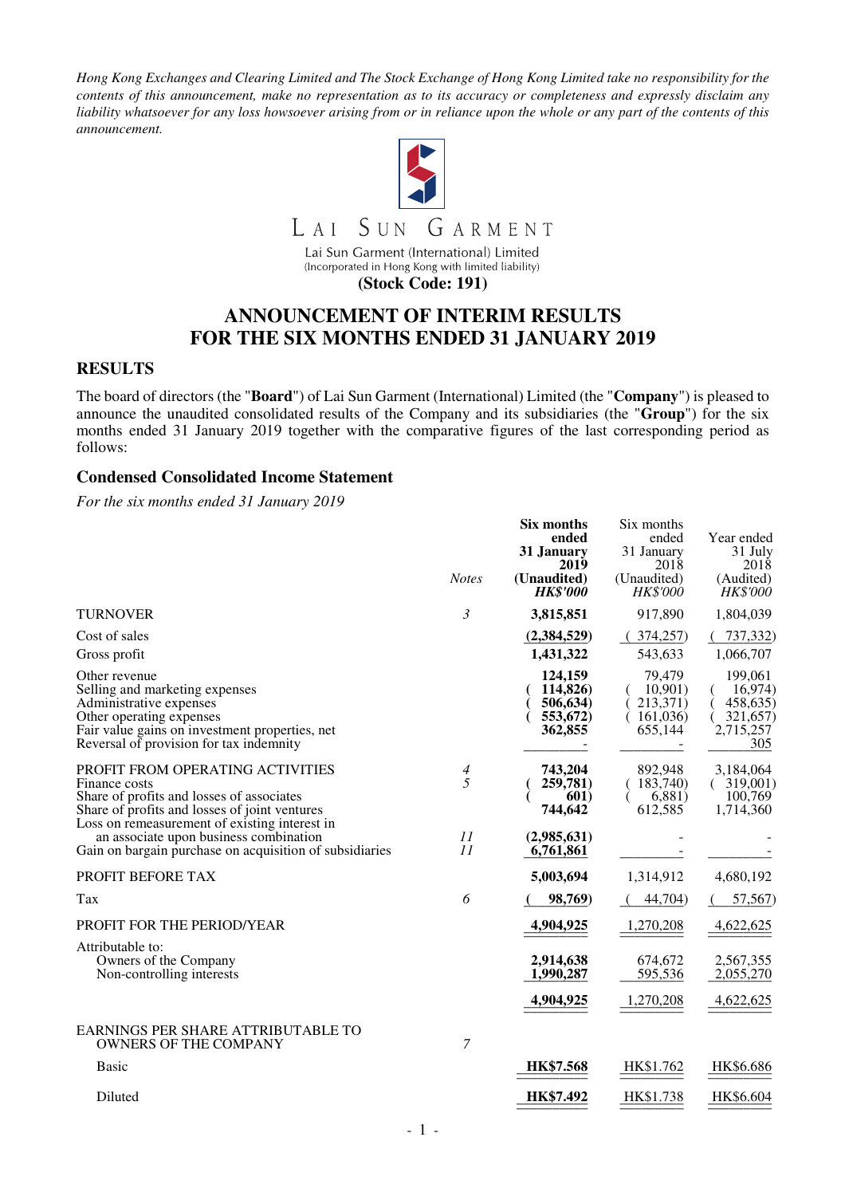*Hong Kong Exchanges and Clearing Limited and The Stock Exchange of Hong Kong Limited take no responsibility for the contents of this announcement, make no representation as to its accuracy or completeness and expressly disclaim any liability whatsoever for any loss howsoever arising from or in reliance upon the whole or any part of the contents of this announcement.* 



Lai Sun Garment (International) Limited (Incorporated in Hong Kong with limited liability)

**(Stock Code: 191)** 

## **ANNOUNCEMENT OF INTERIM RESULTS FOR THE SIX MONTHS ENDED 31 JANUARY 2019**

#### **RESULTS**

The board of directors (the "**Board**") of Lai Sun Garment (International) Limited (the "**Company**") is pleased to announce the unaudited consolidated results of the Company and its subsidiaries (the "**Group**") for the six months ended 31 January 2019 together with the comparative figures of the last corresponding period as follows:

#### **Condensed Consolidated Income Statement**

*For the six months ended 31 January 2019*

|                                                                                                                                                                                                     | <b>Notes</b> | Six months<br>ended<br>31 January<br>2019<br>(Unaudited)<br><b>HK\$'000</b> | Six months<br>ended<br>31 January<br>2018<br>(Unaudited)<br><b>HK\$'000</b> | Year ended<br>31 July<br>2018<br>(Audited)<br><b>HK\$'000</b>  |
|-----------------------------------------------------------------------------------------------------------------------------------------------------------------------------------------------------|--------------|-----------------------------------------------------------------------------|-----------------------------------------------------------------------------|----------------------------------------------------------------|
| <b>TURNOVER</b>                                                                                                                                                                                     | 3            | 3,815,851                                                                   | 917,890                                                                     | 1,804,039                                                      |
| Cost of sales<br>Gross profit                                                                                                                                                                       |              | (2,384,529)<br>1,431,322                                                    | (374,257)<br>543,633                                                        | 737,332)<br>1,066,707                                          |
| Other revenue<br>Selling and marketing expenses<br>Administrative expenses<br>Other operating expenses<br>Fair value gains on investment properties, net<br>Reversal of provision for tax indemnity |              | 124,159<br>114,826)<br>506,634)<br>553,672)<br>362,855                      | 79.479<br>10,901)<br>213,371)<br>(161,036)<br>655,144                       | 199.061<br>16,974)<br>458,635)<br>321,657)<br>2,715,257<br>305 |
| PROFIT FROM OPERATING ACTIVITIES<br>Finance costs<br>Share of profits and losses of associates<br>Share of profits and losses of joint ventures<br>Loss on remeasurement of existing interest in    | 4<br>5       | 743,204<br>259,781)<br><b>601</b> )<br>744,642                              | 892,948<br>183,740)<br>6,881)<br>612,585                                    | 3,184,064<br>(319,001)<br>100,769<br>1,714,360                 |
| an associate upon business combination<br>Gain on bargain purchase on acquisition of subsidiaries                                                                                                   | 11<br>11     | (2,985,631)<br>6,761,861                                                    |                                                                             |                                                                |
| PROFIT BEFORE TAX                                                                                                                                                                                   |              | 5,003,694                                                                   | 1,314,912                                                                   | 4,680,192                                                      |
| Tax                                                                                                                                                                                                 | 6            | 98,769)                                                                     | 44,704)                                                                     | 57,567)                                                        |
| PROFIT FOR THE PERIOD/YEAR                                                                                                                                                                          |              | 4,904,925                                                                   | 1,270,208                                                                   | 4,622,625                                                      |
| Attributable to:<br>Owners of the Company<br>Non-controlling interests                                                                                                                              |              | 2,914,638<br>1,990,287                                                      | 674,672<br>595,536                                                          | 2,567,355<br>2,055,270                                         |
|                                                                                                                                                                                                     |              | 4,904,925                                                                   | 1,270,208                                                                   | 4,622,625                                                      |
| EARNINGS PER SHARE ATTRIBUTABLE TO<br><b>OWNERS OF THE COMPANY</b>                                                                                                                                  | 7            |                                                                             |                                                                             |                                                                |
| <b>Basic</b>                                                                                                                                                                                        |              | HK\$7.568                                                                   | HK\$1.762                                                                   | HK\$6.686                                                      |
| Diluted                                                                                                                                                                                             |              | HK\$7.492                                                                   | HK\$1.738                                                                   | HK\$6.604                                                      |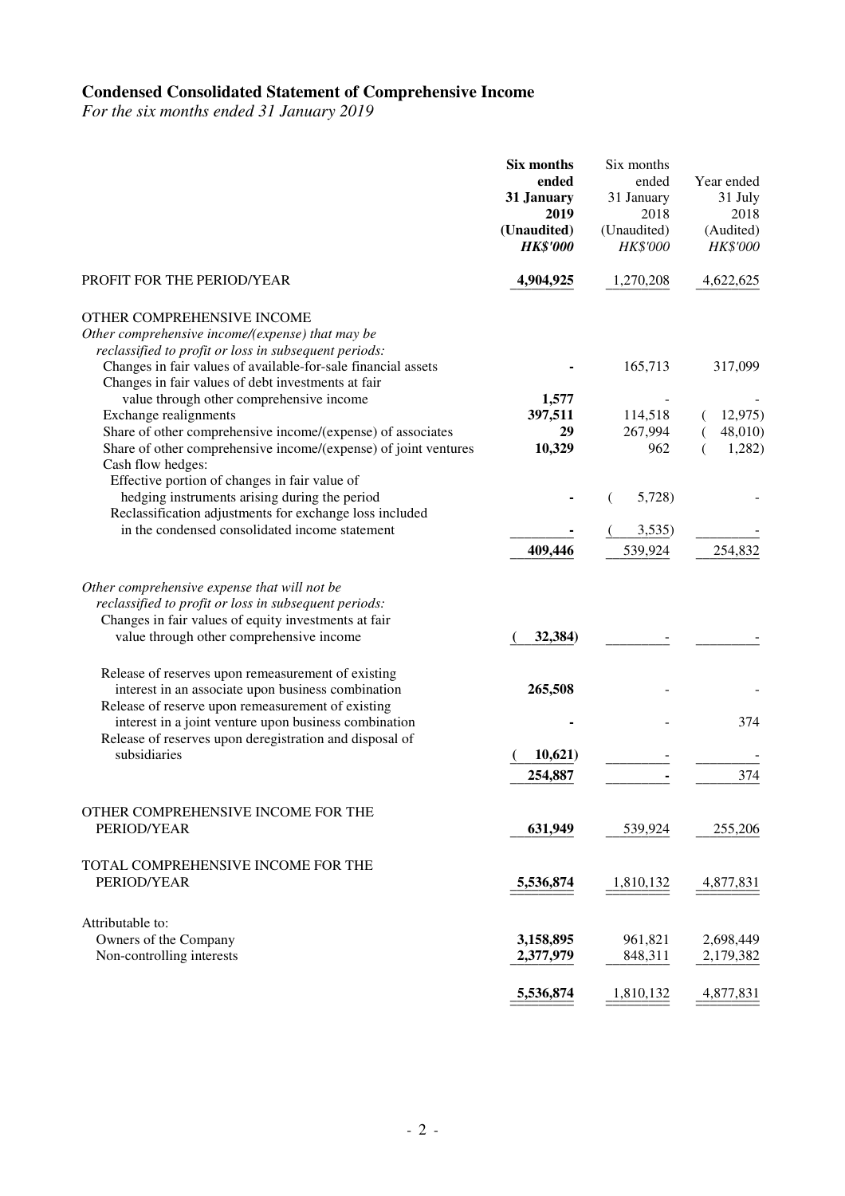#### **Condensed Consolidated Statement of Comprehensive Income**

*For the six months ended 31 January 2019* 

|                                                                                                                                                                                                                                                                                                            | Six months<br>ended<br>31 January<br>2019<br>(Unaudited)<br><b>HK\$'000</b> | Six months<br>ended<br>31 January<br>2018<br>(Unaudited)<br>HK\$'000 | Year ended<br>31 July<br>2018<br>(Audited)<br>HK\$'000 |
|------------------------------------------------------------------------------------------------------------------------------------------------------------------------------------------------------------------------------------------------------------------------------------------------------------|-----------------------------------------------------------------------------|----------------------------------------------------------------------|--------------------------------------------------------|
| PROFIT FOR THE PERIOD/YEAR                                                                                                                                                                                                                                                                                 | 4,904,925                                                                   | 1,270,208                                                            | 4,622,625                                              |
| OTHER COMPREHENSIVE INCOME<br>Other comprehensive income/(expense) that may be<br>reclassified to profit or loss in subsequent periods:<br>Changes in fair values of available-for-sale financial assets<br>Changes in fair values of debt investments at fair<br>value through other comprehensive income | 1,577                                                                       | 165,713                                                              | 317,099                                                |
| Exchange realignments                                                                                                                                                                                                                                                                                      | 397,511                                                                     | 114,518                                                              | 12,975                                                 |
| Share of other comprehensive income/(expense) of associates<br>Share of other comprehensive income/(expense) of joint ventures<br>Cash flow hedges:                                                                                                                                                        | 29<br>10,329                                                                | 267,994<br>962                                                       | 48,010)<br>1,282)                                      |
| Effective portion of changes in fair value of<br>hedging instruments arising during the period<br>Reclassification adjustments for exchange loss included                                                                                                                                                  |                                                                             | 5,728)                                                               |                                                        |
| in the condensed consolidated income statement                                                                                                                                                                                                                                                             | 409,446                                                                     | 3,535)<br>539,924                                                    | 254,832                                                |
| Other comprehensive expense that will not be<br>reclassified to profit or loss in subsequent periods:<br>Changes in fair values of equity investments at fair<br>value through other comprehensive income<br>Release of reserves upon remeasurement of existing                                            | 32,384)                                                                     |                                                                      |                                                        |
| interest in an associate upon business combination<br>Release of reserve upon remeasurement of existing                                                                                                                                                                                                    | 265,508                                                                     |                                                                      |                                                        |
| interest in a joint venture upon business combination<br>Release of reserves upon deregistration and disposal of                                                                                                                                                                                           |                                                                             |                                                                      | 374                                                    |
| subsidiaries                                                                                                                                                                                                                                                                                               | 10,621)                                                                     |                                                                      |                                                        |
|                                                                                                                                                                                                                                                                                                            | 254,887                                                                     |                                                                      | 374                                                    |
| OTHER COMPREHENSIVE INCOME FOR THE<br>PERIOD/YEAR                                                                                                                                                                                                                                                          | 631,949                                                                     | 539,924                                                              | 255,206                                                |
| TOTAL COMPREHENSIVE INCOME FOR THE<br>PERIOD/YEAR                                                                                                                                                                                                                                                          | 5,536,874                                                                   | 1,810,132                                                            | 4,877,831                                              |
| Attributable to:<br>Owners of the Company<br>Non-controlling interests                                                                                                                                                                                                                                     | 3,158,895<br>2,377,979                                                      | 961,821<br>848,311                                                   | 2,698,449<br>2,179,382                                 |
|                                                                                                                                                                                                                                                                                                            | 5,536,874                                                                   | 1,810,132                                                            | 4,877,831                                              |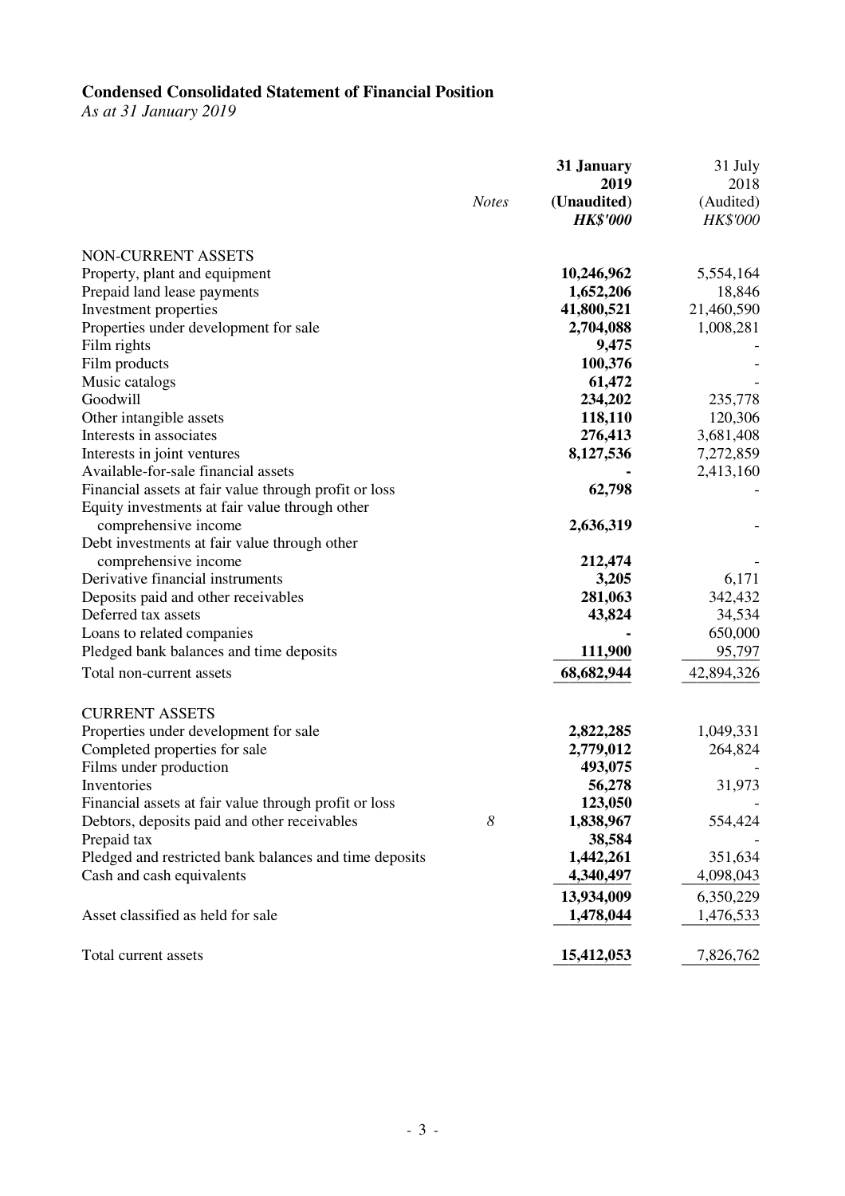#### **Condensed Consolidated Statement of Financial Position**

*As at 31 January 2019* 

|                                                        | 31 January<br>2019             | 31 July<br>2018       |
|--------------------------------------------------------|--------------------------------|-----------------------|
| <b>Notes</b>                                           | (Unaudited)<br><b>HK\$'000</b> | (Audited)<br>HK\$'000 |
| NON-CURRENT ASSETS                                     |                                |                       |
| Property, plant and equipment                          | 10,246,962                     | 5,554,164             |
| Prepaid land lease payments                            | 1,652,206                      | 18,846                |
| Investment properties                                  | 41,800,521                     | 21,460,590            |
| Properties under development for sale                  | 2,704,088                      | 1,008,281             |
| Film rights                                            | 9,475                          |                       |
| Film products                                          | 100,376                        |                       |
| Music catalogs                                         | 61,472                         |                       |
| Goodwill                                               | 234,202                        | 235,778               |
| Other intangible assets                                | 118,110                        | 120,306               |
| Interests in associates                                | 276,413                        | 3,681,408             |
| Interests in joint ventures                            | 8,127,536                      | 7,272,859             |
| Available-for-sale financial assets                    |                                | 2,413,160             |
| Financial assets at fair value through profit or loss  | 62,798                         |                       |
| Equity investments at fair value through other         |                                |                       |
| comprehensive income                                   | 2,636,319                      |                       |
| Debt investments at fair value through other           |                                |                       |
| comprehensive income                                   | 212,474                        |                       |
| Derivative financial instruments                       | 3,205                          | 6,171                 |
| Deposits paid and other receivables                    | 281,063                        | 342,432               |
| Deferred tax assets                                    | 43,824                         | 34,534                |
| Loans to related companies                             |                                | 650,000               |
| Pledged bank balances and time deposits                | 111,900                        | 95,797                |
| Total non-current assets                               | 68,682,944                     | 42,894,326            |
| <b>CURRENT ASSETS</b>                                  |                                |                       |
| Properties under development for sale                  | 2,822,285                      | 1,049,331             |
| Completed properties for sale                          | 2,779,012                      | 264,824               |
| Films under production                                 | 493,075                        |                       |
| Inventories                                            | 56,278                         | 31,973                |
| Financial assets at fair value through profit or loss  | 123,050                        |                       |
| Debtors, deposits paid and other receivables<br>8      | 1,838,967                      | 554,424               |
| Prepaid tax                                            | 38,584                         |                       |
| Pledged and restricted bank balances and time deposits | 1,442,261                      | 351,634               |
| Cash and cash equivalents                              | 4,340,497                      | 4,098,043             |
|                                                        | 13,934,009                     | 6,350,229             |
| Asset classified as held for sale                      | 1,478,044                      | 1,476,533             |
| Total current assets                                   | 15,412,053                     | 7,826,762             |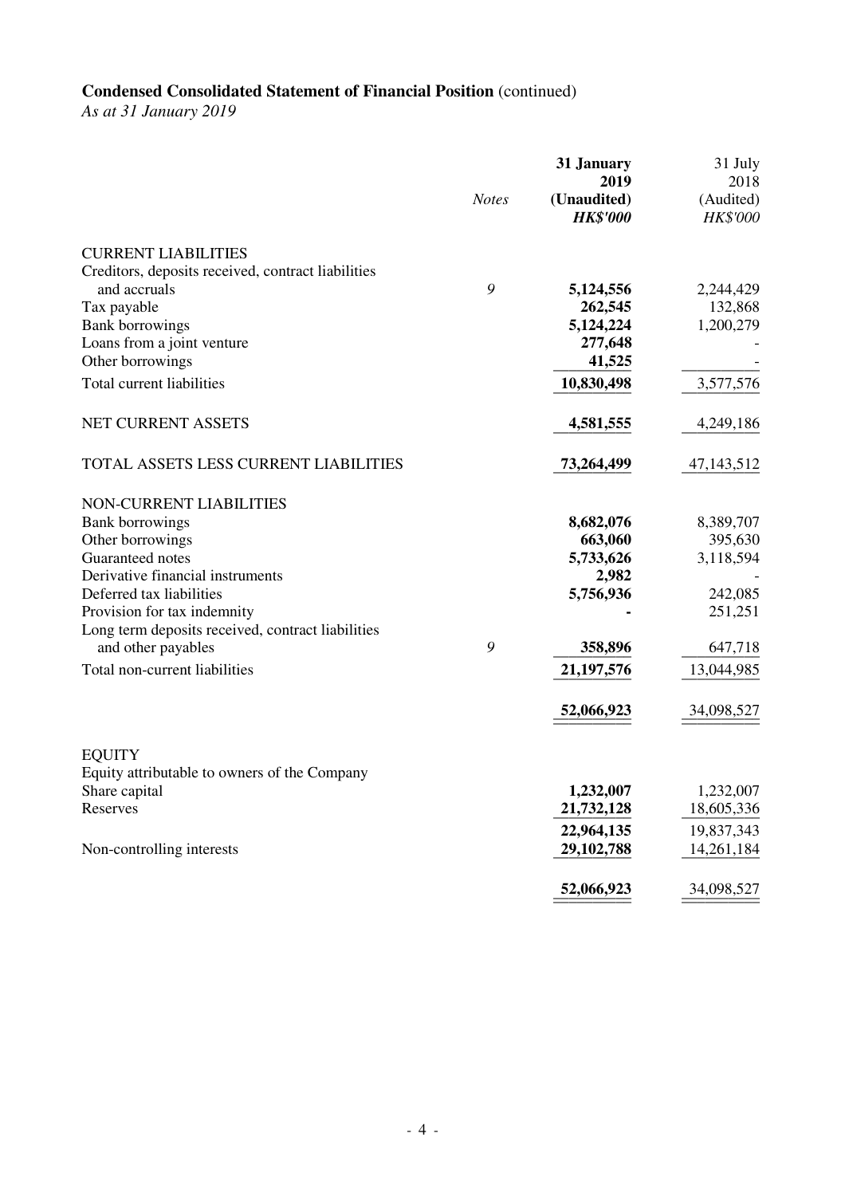# **Condensed Consolidated Statement of Financial Position** (continued)

*As at 31 January 2019* 

|                                                    | <b>Notes</b> | 31 January<br>2019<br>(Unaudited)<br><b>HK\$'000</b> | 31 July<br>2018<br>(Audited)<br>HK\$'000 |
|----------------------------------------------------|--------------|------------------------------------------------------|------------------------------------------|
| <b>CURRENT LIABILITIES</b>                         |              |                                                      |                                          |
| Creditors, deposits received, contract liabilities |              |                                                      |                                          |
| and accruals                                       | 9            | 5,124,556                                            | 2,244,429                                |
| Tax payable                                        |              | 262,545                                              | 132,868                                  |
| <b>Bank borrowings</b>                             |              | 5,124,224                                            | 1,200,279                                |
| Loans from a joint venture                         |              | 277,648<br>41,525                                    |                                          |
| Other borrowings                                   |              |                                                      |                                          |
| Total current liabilities                          |              | 10,830,498                                           | 3,577,576                                |
| NET CURRENT ASSETS                                 |              | 4,581,555                                            | 4,249,186                                |
| TOTAL ASSETS LESS CURRENT LIABILITIES              |              | 73,264,499                                           | 47, 143, 512                             |
| NON-CURRENT LIABILITIES                            |              |                                                      |                                          |
| <b>Bank borrowings</b>                             |              | 8,682,076                                            | 8,389,707                                |
| Other borrowings                                   |              | 663,060                                              | 395,630                                  |
| Guaranteed notes                                   |              | 5,733,626                                            | 3,118,594                                |
| Derivative financial instruments                   |              | 2,982                                                |                                          |
| Deferred tax liabilities                           |              | 5,756,936                                            | 242,085                                  |
| Provision for tax indemnity                        |              |                                                      | 251,251                                  |
| Long term deposits received, contract liabilities  |              |                                                      |                                          |
| and other payables                                 | 9            | 358,896                                              | 647,718                                  |
| Total non-current liabilities                      |              | 21, 197, 576                                         | 13,044,985                               |
|                                                    |              | 52,066,923                                           | 34,098,527                               |
| <b>EQUITY</b>                                      |              |                                                      |                                          |
| Equity attributable to owners of the Company       |              |                                                      |                                          |
| Share capital                                      |              | 1,232,007                                            | 1,232,007                                |
| Reserves                                           |              | 21,732,128                                           | 18,605,336                               |
|                                                    |              | 22,964,135                                           | 19,837,343                               |
| Non-controlling interests                          |              | 29,102,788                                           | 14,261,184                               |
|                                                    |              | 52,066,923                                           | 34,098,527                               |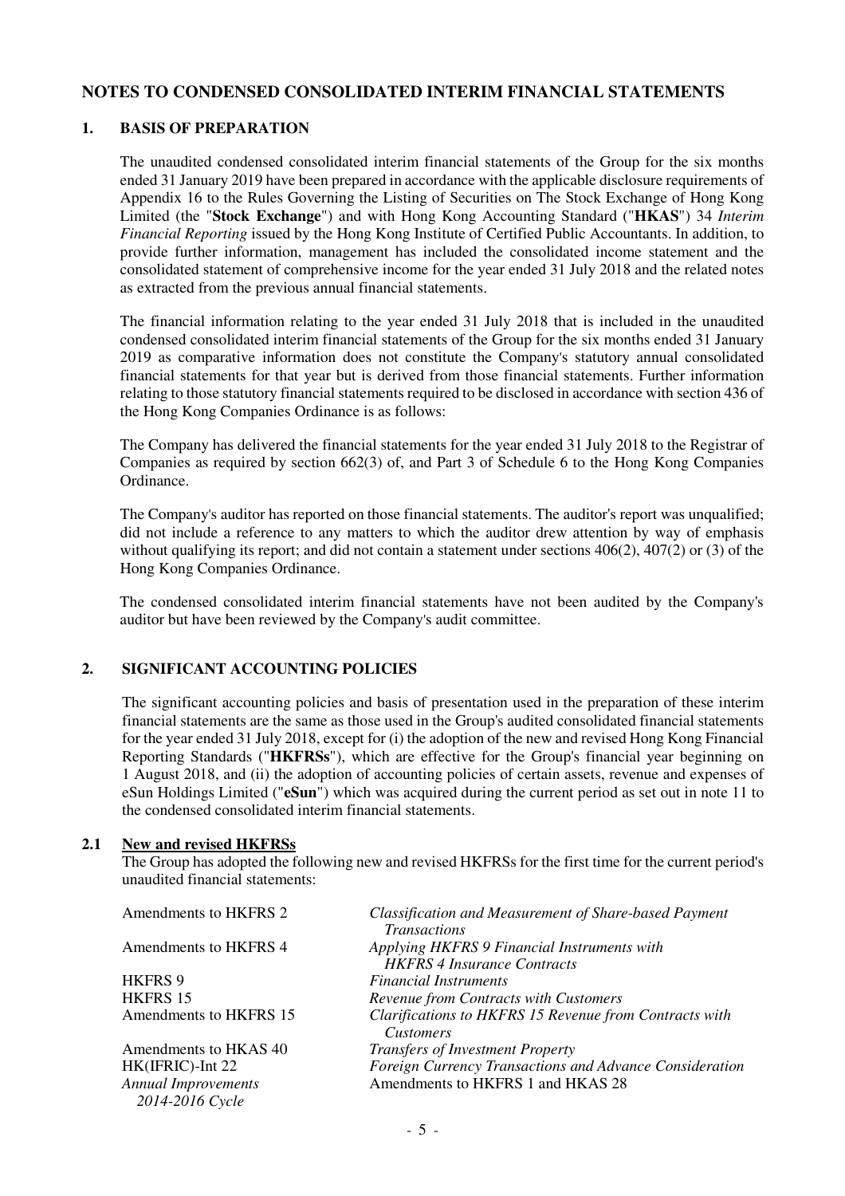### **NOTES TO CONDENSED CONSOLIDATED INTERIM FINANCIAL STATEMENTS**

#### **1. BASIS OF PREPARATION**

The unaudited condensed consolidated interim financial statements of the Group for the six months ended 31 January 2019 have been prepared in accordance with the applicable disclosure requirements of Appendix 16 to the Rules Governing the Listing of Securities on The Stock Exchange of Hong Kong Limited (the "**Stock Exchange**") and with Hong Kong Accounting Standard ("**HKAS**") 34 *Interim Financial Reporting* issued by the Hong Kong Institute of Certified Public Accountants. In addition, to provide further information, management has included the consolidated income statement and the consolidated statement of comprehensive income for the year ended 31 July 2018 and the related notes as extracted from the previous annual financial statements.

The financial information relating to the year ended 31 July 2018 that is included in the unaudited condensed consolidated interim financial statements of the Group for the six months ended 31 January 2019 as comparative information does not constitute the Company's statutory annual consolidated financial statements for that year but is derived from those financial statements. Further information relating to those statutory financial statements required to be disclosed in accordance with section 436 of the Hong Kong Companies Ordinance is as follows:

The Company has delivered the financial statements for the year ended 31 July 2018 to the Registrar of Companies as required by section 662(3) of, and Part 3 of Schedule 6 to the Hong Kong Companies Ordinance.

The Company's auditor has reported on those financial statements. The auditor's report was unqualified; did not include a reference to any matters to which the auditor drew attention by way of emphasis without qualifying its report; and did not contain a statement under sections  $406(2)$ ,  $407(2)$  or (3) of the Hong Kong Companies Ordinance.

The condensed consolidated interim financial statements have not been audited by the Company's auditor but have been reviewed by the Company's audit committee.

### **2. SIGNIFICANT ACCOUNTING POLICIES**

 The significant accounting policies and basis of presentation used in the preparation of these interim financial statements are the same as those used in the Group's audited consolidated financial statements for the year ended 31 July 2018, except for (i) the adoption of the new and revised Hong Kong Financial Reporting Standards ("**HKFRSs**"), which are effective for the Group's financial year beginning on 1 August 2018, and (ii) the adoption of accounting policies of certain assets, revenue and expenses of eSun Holdings Limited ("**eSun**") which was acquired during the current period as set out in note 11 to the condensed consolidated interim financial statements.

#### **2.1 New and revised HKFRSs**

 The Group has adopted the following new and revised HKFRSs for the first time for the current period's unaudited financial statements:

| Classification and Measurement of Share-based Payment   |
|---------------------------------------------------------|
|                                                         |
|                                                         |
|                                                         |
|                                                         |
|                                                         |
| Clarifications to HKFRS 15 Revenue from Contracts with  |
|                                                         |
|                                                         |
| Foreign Currency Transactions and Advance Consideration |
|                                                         |
|                                                         |
|                                                         |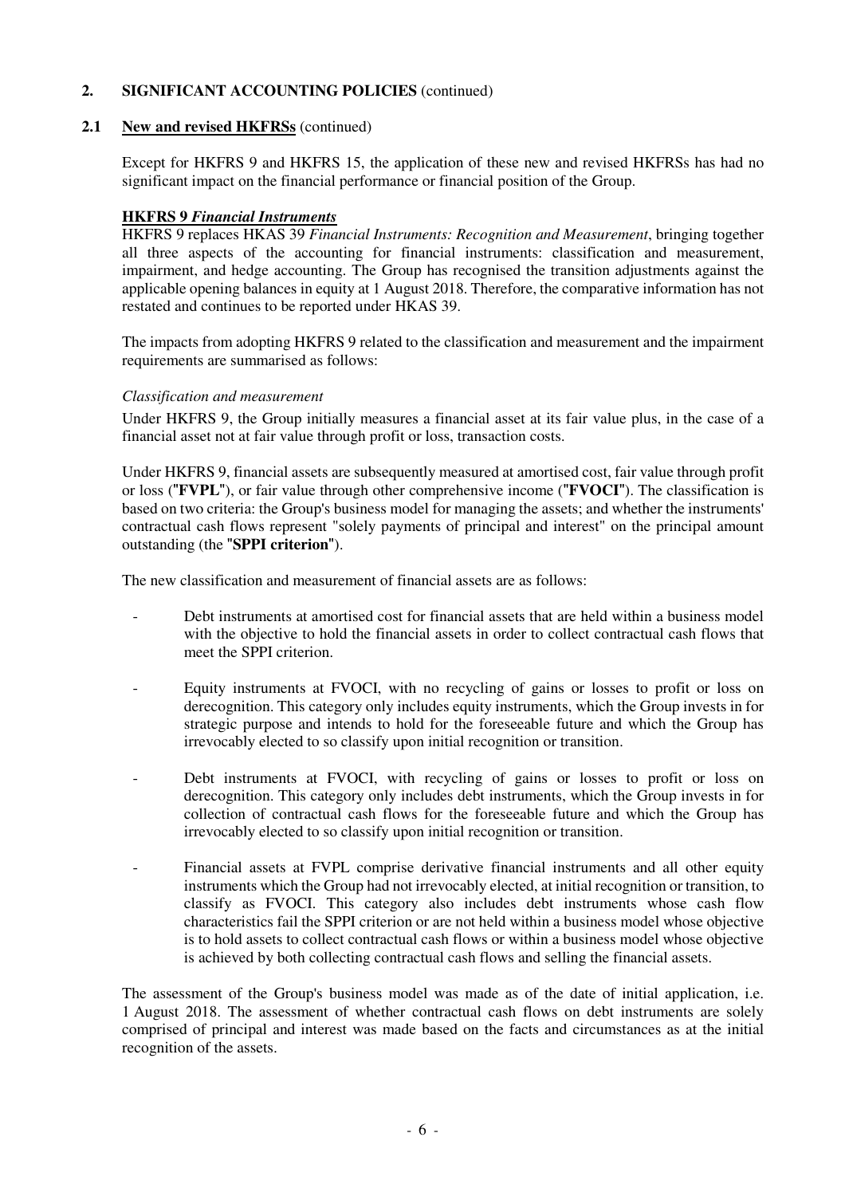#### **2.1 New and revised HKFRSs** (continued)

 Except for HKFRS 9 and HKFRS 15, the application of these new and revised HKFRSs has had no significant impact on the financial performance or financial position of the Group.

#### **HKFRS 9** *Financial Instruments*

 HKFRS 9 replaces HKAS 39 *Financial Instruments: Recognition and Measurement*, bringing together all three aspects of the accounting for financial instruments: classification and measurement, impairment, and hedge accounting. The Group has recognised the transition adjustments against the applicable opening balances in equity at 1 August 2018. Therefore, the comparative information has not restated and continues to be reported under HKAS 39.

 The impacts from adopting HKFRS 9 related to the classification and measurement and the impairment requirements are summarised as follows:

#### *Classification and measurement*

 Under HKFRS 9, the Group initially measures a financial asset at its fair value plus, in the case of a financial asset not at fair value through profit or loss, transaction costs.

 Under HKFRS 9, financial assets are subsequently measured at amortised cost, fair value through profit or loss ("**FVPL**"), or fair value through other comprehensive income ("**FVOCI**"). The classification is based on two criteria: the Group's business model for managing the assets; and whether the instruments' contractual cash flows represent "solely payments of principal and interest" on the principal amount outstanding (the "**SPPI criterion**").

The new classification and measurement of financial assets are as follows:

- Debt instruments at amortised cost for financial assets that are held within a business model with the objective to hold the financial assets in order to collect contractual cash flows that meet the SPPI criterion.
- Equity instruments at FVOCI, with no recycling of gains or losses to profit or loss on derecognition. This category only includes equity instruments, which the Group invests in for strategic purpose and intends to hold for the foreseeable future and which the Group has irrevocably elected to so classify upon initial recognition or transition.
- Debt instruments at FVOCI, with recycling of gains or losses to profit or loss on derecognition. This category only includes debt instruments, which the Group invests in for collection of contractual cash flows for the foreseeable future and which the Group has irrevocably elected to so classify upon initial recognition or transition.
- Financial assets at FVPL comprise derivative financial instruments and all other equity instruments which the Group had not irrevocably elected, at initial recognition or transition, to classify as FVOCI. This category also includes debt instruments whose cash flow characteristics fail the SPPI criterion or are not held within a business model whose objective is to hold assets to collect contractual cash flows or within a business model whose objective is achieved by both collecting contractual cash flows and selling the financial assets.

 The assessment of the Group's business model was made as of the date of initial application, i.e. 1 August 2018. The assessment of whether contractual cash flows on debt instruments are solely comprised of principal and interest was made based on the facts and circumstances as at the initial recognition of the assets.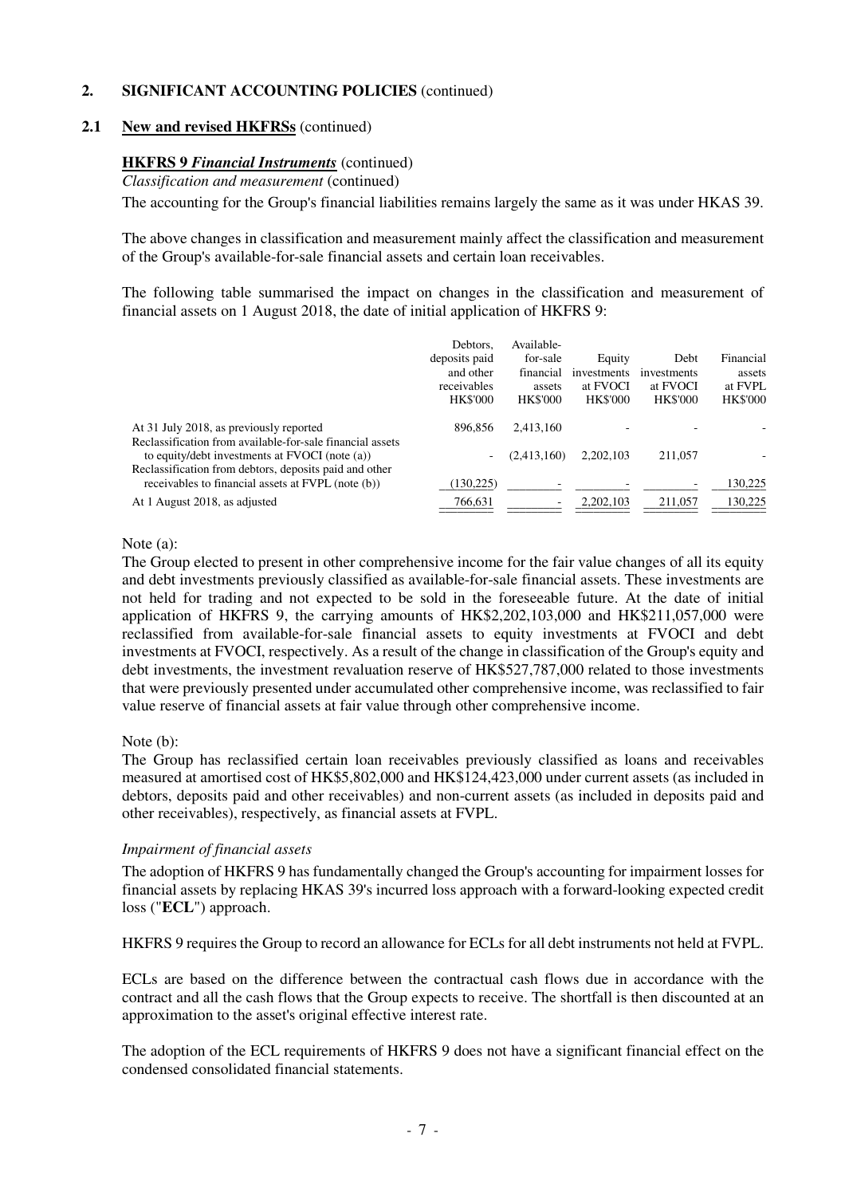#### **2.1 New and revised HKFRSs** (continued)

#### **HKFRS 9** *Financial Instruments* (continued)

*Classification and measurement* (continued)

The accounting for the Group's financial liabilities remains largely the same as it was under HKAS 39.

 The above changes in classification and measurement mainly affect the classification and measurement of the Group's available-for-sale financial assets and certain loan receivables.

 The following table summarised the impact on changes in the classification and measurement of financial assets on 1 August 2018, the date of initial application of HKFRS 9:

|                                                                                                                                                                       | Debtors.<br>deposits paid<br>and other<br>receivables<br><b>HK\$'000</b> | Available-<br>for-sale<br>financial<br>assets<br><b>HK\$'000</b> | Equity<br>investments<br>at FVOCI<br><b>HK\$'000</b> | Debt<br>investments<br>at FVOCI<br><b>HK\$'000</b> | Financial<br>assets<br>at FVPL<br><b>HK\$'000</b> |
|-----------------------------------------------------------------------------------------------------------------------------------------------------------------------|--------------------------------------------------------------------------|------------------------------------------------------------------|------------------------------------------------------|----------------------------------------------------|---------------------------------------------------|
| At 31 July 2018, as previously reported                                                                                                                               | 896.856                                                                  | 2.413.160                                                        |                                                      |                                                    |                                                   |
| Reclassification from available-for-sale financial assets<br>to equity/debt investments at FVOCI (note (a))<br>Reclassification from debtors, deposits paid and other | $\overline{\phantom{a}}$                                                 | (2,413,160)                                                      | 2.202.103                                            | 211,057                                            |                                                   |
| receivables to financial assets at FVPL (note (b))                                                                                                                    | 130,225)                                                                 |                                                                  |                                                      |                                                    | 130,225                                           |
| At 1 August 2018, as adjusted                                                                                                                                         | 766,631                                                                  |                                                                  | 2, 202, 103                                          | 211,057                                            | 130,225                                           |

#### Note (a):

The Group elected to present in other comprehensive income for the fair value changes of all its equity and debt investments previously classified as available-for-sale financial assets. These investments are not held for trading and not expected to be sold in the foreseeable future. At the date of initial application of HKFRS 9, the carrying amounts of HK\$2,202,103,000 and HK\$211,057,000 were reclassified from available-for-sale financial assets to equity investments at FVOCI and debt investments at FVOCI, respectively. As a result of the change in classification of the Group's equity and debt investments, the investment revaluation reserve of HK\$527,787,000 related to those investments that were previously presented under accumulated other comprehensive income, was reclassified to fair value reserve of financial assets at fair value through other comprehensive income.

#### Note (b):

 The Group has reclassified certain loan receivables previously classified as loans and receivables measured at amortised cost of HK\$5,802,000 and HK\$124,423,000 under current assets (as included in debtors, deposits paid and other receivables) and non-current assets (as included in deposits paid and other receivables), respectively, as financial assets at FVPL.

#### *Impairment of financial assets*

 The adoption of HKFRS 9 has fundamentally changed the Group's accounting for impairment losses for financial assets by replacing HKAS 39's incurred loss approach with a forward-looking expected credit loss ("**ECL**") approach.

HKFRS 9 requires the Group to record an allowance for ECLs for all debt instruments not held at FVPL.

 ECLs are based on the difference between the contractual cash flows due in accordance with the contract and all the cash flows that the Group expects to receive. The shortfall is then discounted at an approximation to the asset's original effective interest rate.

 The adoption of the ECL requirements of HKFRS 9 does not have a significant financial effect on the condensed consolidated financial statements.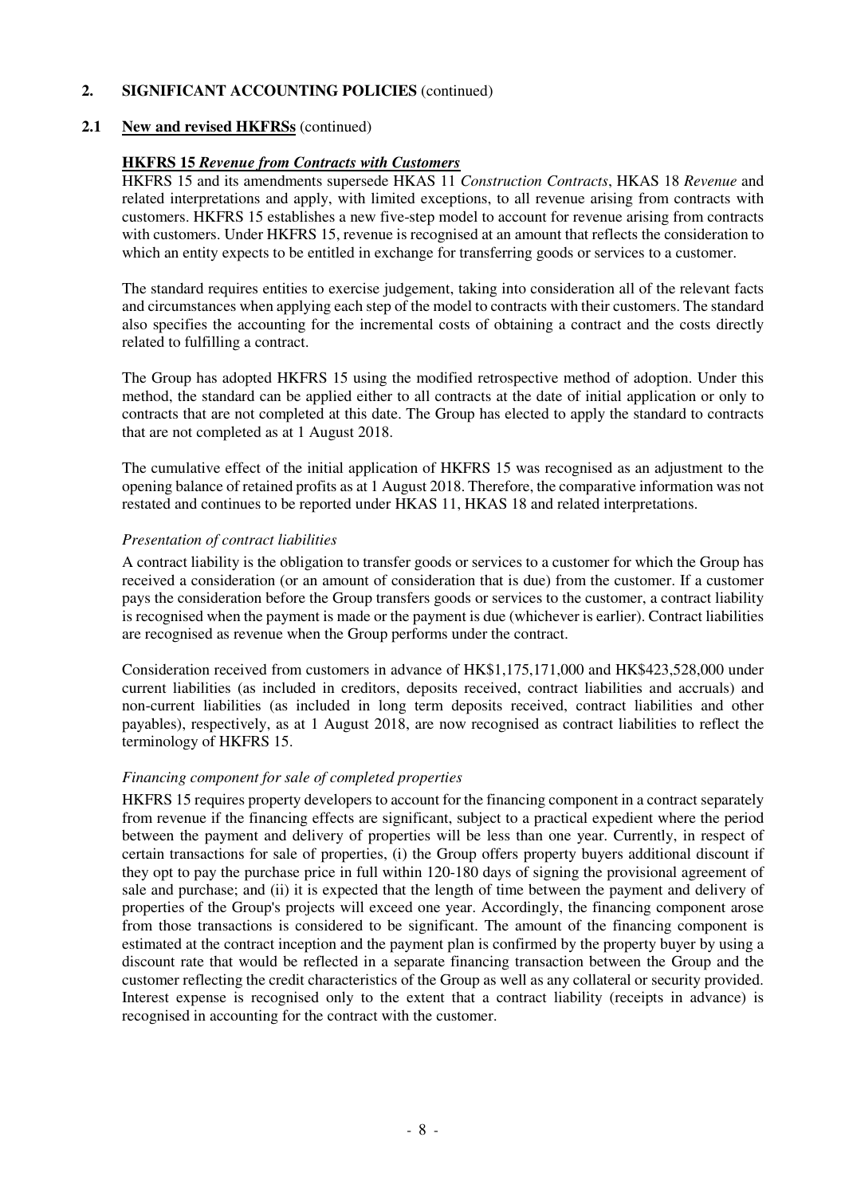#### **2.1 New and revised HKFRSs** (continued)

#### **HKFRS 15** *Revenue from Contracts with Customers*

 HKFRS 15 and its amendments supersede HKAS 11 *Construction Contracts*, HKAS 18 *Revenue* and related interpretations and apply, with limited exceptions, to all revenue arising from contracts with customers. HKFRS 15 establishes a new five-step model to account for revenue arising from contracts with customers. Under HKFRS 15, revenue is recognised at an amount that reflects the consideration to which an entity expects to be entitled in exchange for transferring goods or services to a customer.

 The standard requires entities to exercise judgement, taking into consideration all of the relevant facts and circumstances when applying each step of the model to contracts with their customers. The standard also specifies the accounting for the incremental costs of obtaining a contract and the costs directly related to fulfilling a contract.

 The Group has adopted HKFRS 15 using the modified retrospective method of adoption. Under this method, the standard can be applied either to all contracts at the date of initial application or only to contracts that are not completed at this date. The Group has elected to apply the standard to contracts that are not completed as at 1 August 2018.

 The cumulative effect of the initial application of HKFRS 15 was recognised as an adjustment to the opening balance of retained profits as at 1 August 2018. Therefore, the comparative information was not restated and continues to be reported under HKAS 11, HKAS 18 and related interpretations.

#### *Presentation of contract liabilities*

 A contract liability is the obligation to transfer goods or services to a customer for which the Group has received a consideration (or an amount of consideration that is due) from the customer. If a customer pays the consideration before the Group transfers goods or services to the customer, a contract liability is recognised when the payment is made or the payment is due (whichever is earlier). Contract liabilities are recognised as revenue when the Group performs under the contract.

 Consideration received from customers in advance of HK\$1,175,171,000 and HK\$423,528,000 under current liabilities (as included in creditors, deposits received, contract liabilities and accruals) and non-current liabilities (as included in long term deposits received, contract liabilities and other payables), respectively, as at 1 August 2018, are now recognised as contract liabilities to reflect the terminology of HKFRS 15.

#### *Financing component for sale of completed properties*

 HKFRS 15 requires property developers to account for the financing component in a contract separately from revenue if the financing effects are significant, subject to a practical expedient where the period between the payment and delivery of properties will be less than one year. Currently, in respect of certain transactions for sale of properties, (i) the Group offers property buyers additional discount if they opt to pay the purchase price in full within 120-180 days of signing the provisional agreement of sale and purchase; and (ii) it is expected that the length of time between the payment and delivery of properties of the Group's projects will exceed one year. Accordingly, the financing component arose from those transactions is considered to be significant. The amount of the financing component is estimated at the contract inception and the payment plan is confirmed by the property buyer by using a discount rate that would be reflected in a separate financing transaction between the Group and the customer reflecting the credit characteristics of the Group as well as any collateral or security provided. Interest expense is recognised only to the extent that a contract liability (receipts in advance) is recognised in accounting for the contract with the customer.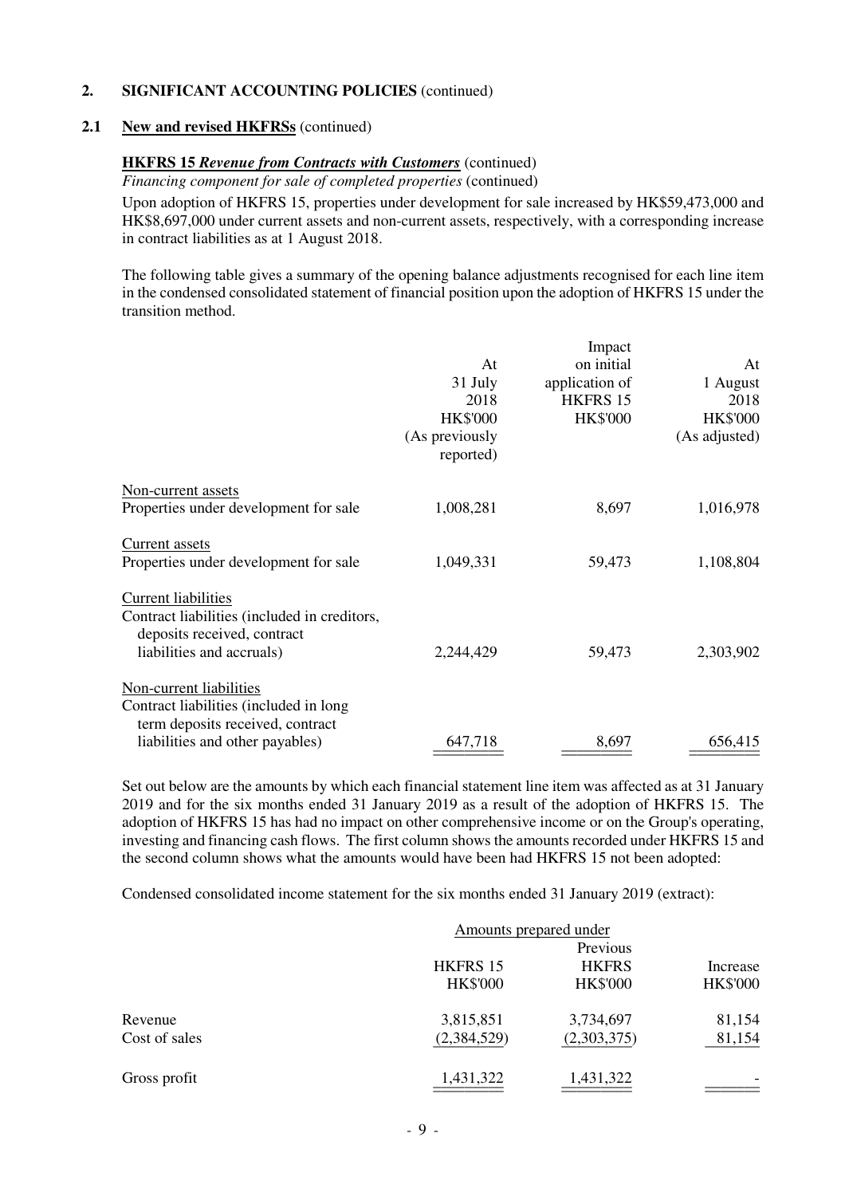#### **2.1 New and revised HKFRSs** (continued)

#### **HKFRS 15** *Revenue from Contracts with Customers* (continued)

*Financing component for sale of completed properties (continued)* 

Upon adoption of HKFRS 15, properties under development for sale increased by HK\$59,473,000 and HK\$8,697,000 under current assets and non-current assets, respectively, with a corresponding increase in contract liabilities as at 1 August 2018.

 The following table gives a summary of the opening balance adjustments recognised for each line item in the condensed consolidated statement of financial position upon the adoption of HKFRS 15 under the transition method.

| At<br>31 July<br>2018<br><b>HK\$'000</b><br>(As previously<br>reported) | Impact<br>on initial<br>application of<br><b>HKFRS 15</b><br><b>HK\$'000</b> | At<br>1 August<br>2018<br><b>HK\$'000</b><br>(As adjusted) |
|-------------------------------------------------------------------------|------------------------------------------------------------------------------|------------------------------------------------------------|
| 1,008,281                                                               | 8,697                                                                        | 1,016,978                                                  |
| 1,049,331                                                               | 59,473                                                                       | 1,108,804                                                  |
| 2,244,429                                                               | 59,473                                                                       | 2,303,902                                                  |
|                                                                         |                                                                              | 656,415                                                    |
|                                                                         | 647,718                                                                      | 8,697                                                      |

 Set out below are the amounts by which each financial statement line item was affected as at 31 January 2019 and for the six months ended 31 January 2019 as a result of the adoption of HKFRS 15. The adoption of HKFRS 15 has had no impact on other comprehensive income or on the Group's operating, investing and financing cash flows. The first column shows the amounts recorded under HKFRS 15 and the second column shows what the amounts would have been had HKFRS 15 not been adopted:

Condensed consolidated income statement for the six months ended 31 January 2019 (extract):

|               |                 | Amounts prepared under |                 |
|---------------|-----------------|------------------------|-----------------|
|               |                 | Previous               |                 |
|               | <b>HKFRS 15</b> | <b>HKFRS</b>           | Increase        |
|               | <b>HK\$'000</b> | <b>HK\$'000</b>        | <b>HK\$'000</b> |
| Revenue       | 3,815,851       | 3,734,697              | 81,154          |
| Cost of sales | (2,384,529)     | (2,303,375)            | 81,154          |
| Gross profit  | 1,431,322       | 1,431,322              |                 |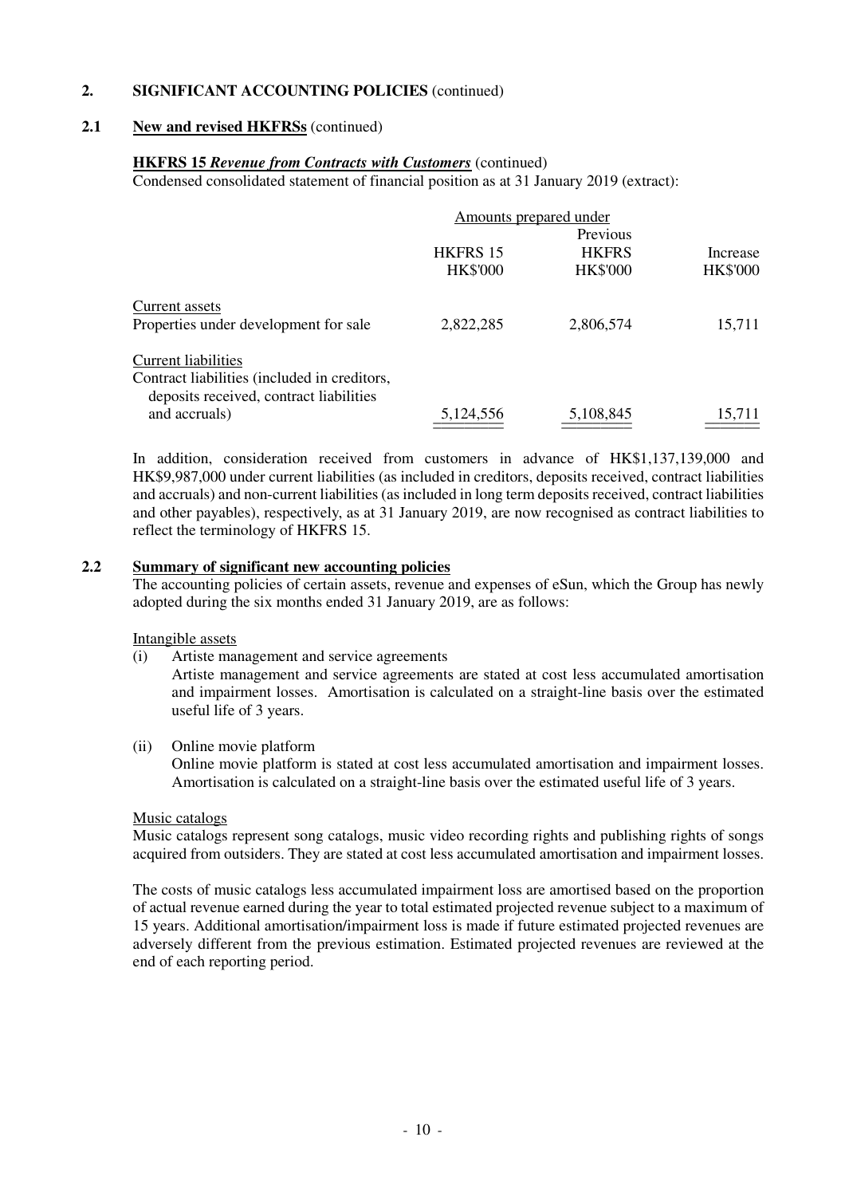#### **2.1 New and revised HKFRSs** (continued)

#### **HKFRS 15** *Revenue from Contracts with Customers* (continued) Condensed consolidated statement of financial position as at 31 January 2019 (extract):

Amounts prepared under Previous Previous HKFRS 15 HKFRS Increase HK\$'000 HK\$'000 HK\$'000 Current assets Properties under development for sale 2,822,285 2,806,574 15,711 Current liabilities Contract liabilities (included in creditors, deposits received, contract liabilities and accruals) 5,124,556 5,108,845 15,711 and accruals)  $\frac{5,124,556}{\frac{3,124,556}{\frac{3,108,845}{\frac{3,108,845}{\frac{3,108,845}{\frac{3,108,845}{\frac{3,108,845}{\frac{3,108,845}{\frac{3,108,845}{\frac{3,108,845}{\frac{3,108,845}{\frac{3,108,845}{\frac{3,108,845}{\frac{3,108,845}{\frac{3,108,845}{\frac{3,108,84$ 

In addition, consideration received from customers in advance of HK\$1,137,139,000 and HK\$9,987,000 under current liabilities (as included in creditors, deposits received, contract liabilities and accruals) and non-current liabilities (as included in long term deposits received, contract liabilities and other payables), respectively, as at 31 January 2019, are now recognised as contract liabilities to reflect the terminology of HKFRS 15.

#### **2.2 Summary of significant new accounting policies**

 The accounting policies of certain assets, revenue and expenses of eSun, which the Group has newly adopted during the six months ended 31 January 2019, are as follows:

Intangible assets

(i) Artiste management and service agreements

 Artiste management and service agreements are stated at cost less accumulated amortisation and impairment losses. Amortisation is calculated on a straight-line basis over the estimated useful life of 3 years.

#### (ii) Online movie platform

 Online movie platform is stated at cost less accumulated amortisation and impairment losses. Amortisation is calculated on a straight-line basis over the estimated useful life of 3 years.

#### Music catalogs

 Music catalogs represent song catalogs, music video recording rights and publishing rights of songs acquired from outsiders. They are stated at cost less accumulated amortisation and impairment losses.

 The costs of music catalogs less accumulated impairment loss are amortised based on the proportion of actual revenue earned during the year to total estimated projected revenue subject to a maximum of 15 years. Additional amortisation/impairment loss is made if future estimated projected revenues are adversely different from the previous estimation. Estimated projected revenues are reviewed at the end of each reporting period.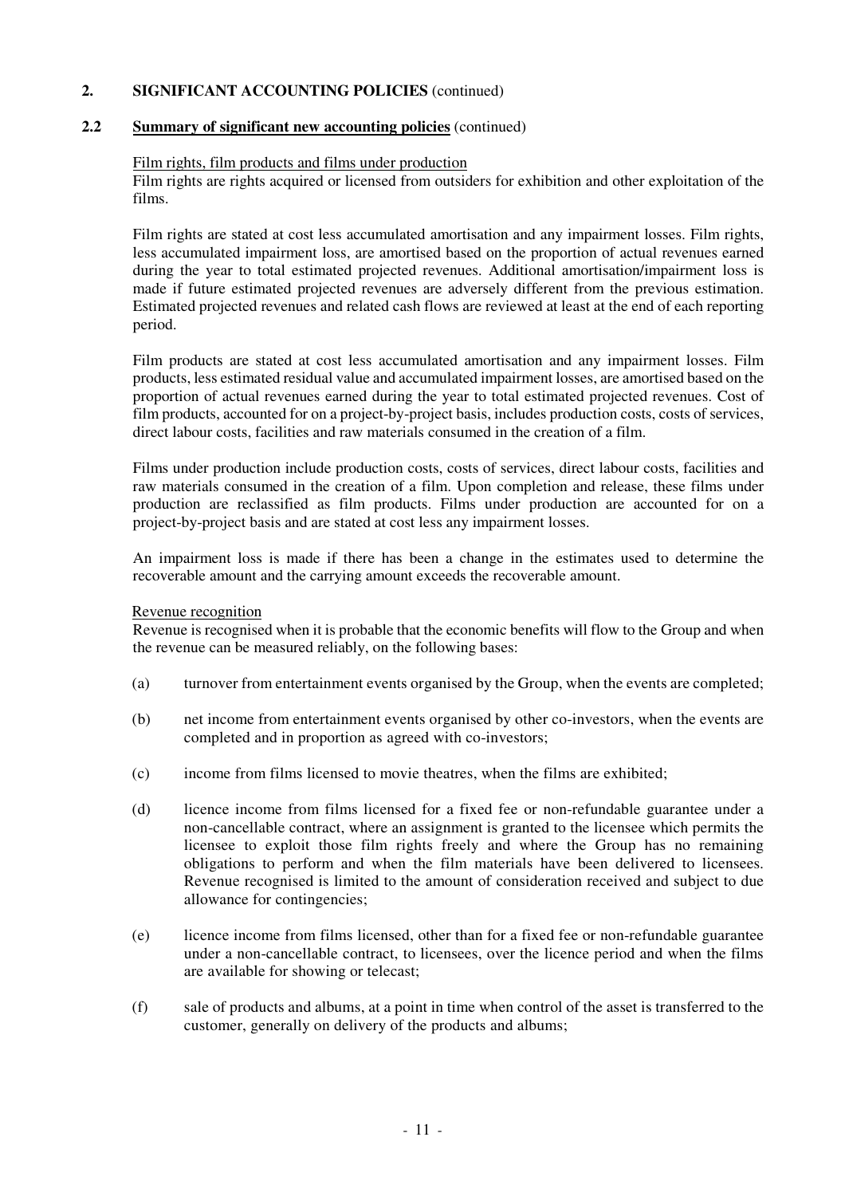#### **2.2 Summary of significant new accounting policies** (continued)

#### Film rights, film products and films under production

 Film rights are rights acquired or licensed from outsiders for exhibition and other exploitation of the films.

 Film rights are stated at cost less accumulated amortisation and any impairment losses. Film rights, less accumulated impairment loss, are amortised based on the proportion of actual revenues earned during the year to total estimated projected revenues. Additional amortisation/impairment loss is made if future estimated projected revenues are adversely different from the previous estimation. Estimated projected revenues and related cash flows are reviewed at least at the end of each reporting period.

 Film products are stated at cost less accumulated amortisation and any impairment losses. Film products, less estimated residual value and accumulated impairment losses, are amortised based on the proportion of actual revenues earned during the year to total estimated projected revenues. Cost of film products, accounted for on a project-by-project basis, includes production costs, costs of services, direct labour costs, facilities and raw materials consumed in the creation of a film.

 Films under production include production costs, costs of services, direct labour costs, facilities and raw materials consumed in the creation of a film. Upon completion and release, these films under production are reclassified as film products. Films under production are accounted for on a project-by-project basis and are stated at cost less any impairment losses.

 An impairment loss is made if there has been a change in the estimates used to determine the recoverable amount and the carrying amount exceeds the recoverable amount.

#### Revenue recognition

 Revenue is recognised when it is probable that the economic benefits will flow to the Group and when the revenue can be measured reliably, on the following bases:

- (a) turnover from entertainment events organised by the Group, when the events are completed;
- (b) net income from entertainment events organised by other co-investors, when the events are completed and in proportion as agreed with co-investors;
- (c) income from films licensed to movie theatres, when the films are exhibited;
- (d) licence income from films licensed for a fixed fee or non-refundable guarantee under a non-cancellable contract, where an assignment is granted to the licensee which permits the licensee to exploit those film rights freely and where the Group has no remaining obligations to perform and when the film materials have been delivered to licensees. Revenue recognised is limited to the amount of consideration received and subject to due allowance for contingencies;
- (e) licence income from films licensed, other than for a fixed fee or non-refundable guarantee under a non-cancellable contract, to licensees, over the licence period and when the films are available for showing or telecast;
- (f) sale of products and albums, at a point in time when control of the asset is transferred to the customer, generally on delivery of the products and albums;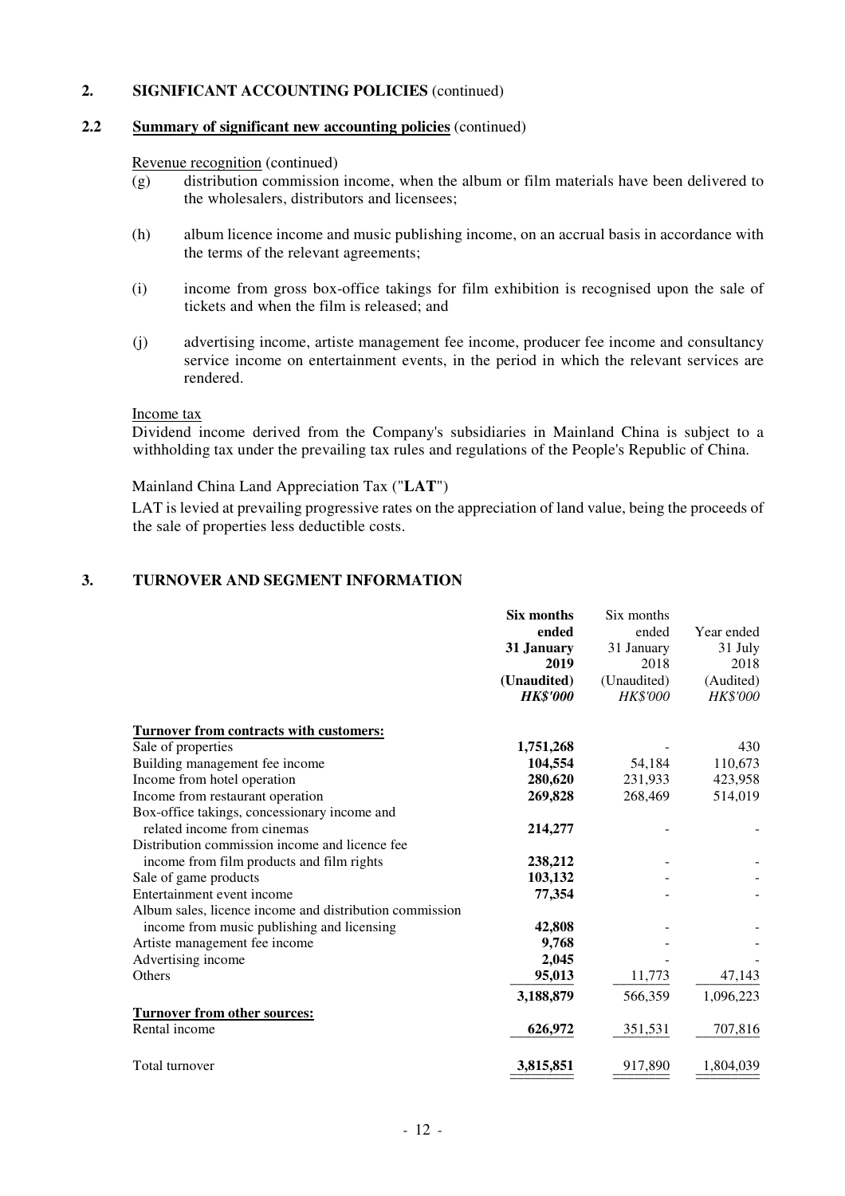#### **2.2 Summary of significant new accounting policies** (continued)

#### Revenue recognition (continued)

- $\overline{g}$  distribution commission income, when the album or film materials have been delivered to the wholesalers, distributors and licensees;
- (h) album licence income and music publishing income, on an accrual basis in accordance with the terms of the relevant agreements;
- (i) income from gross box-office takings for film exhibition is recognised upon the sale of tickets and when the film is released; and
- (j) advertising income, artiste management fee income, producer fee income and consultancy service income on entertainment events, in the period in which the relevant services are rendered.

#### Income tax

Dividend income derived from the Company's subsidiaries in Mainland China is subject to a withholding tax under the prevailing tax rules and regulations of the People's Republic of China.

Mainland China Land Appreciation Tax ("**LAT**")

LAT is levied at prevailing progressive rates on the appreciation of land value, being the proceeds of the sale of properties less deductible costs.

#### **3. TURNOVER AND SEGMENT INFORMATION**

|                                                         | Six months      | Six months  |                 |
|---------------------------------------------------------|-----------------|-------------|-----------------|
|                                                         | ended           | ended       | Year ended      |
|                                                         | 31 January      | 31 January  | 31 July         |
|                                                         | 2019            | 2018        | 2018            |
|                                                         | (Unaudited)     | (Unaudited) | (Audited)       |
|                                                         | <b>HK\$'000</b> | HK\$'000    | <b>HK\$'000</b> |
| <b>Turnover from contracts with customers:</b>          |                 |             |                 |
| Sale of properties                                      | 1,751,268       |             | 430             |
| Building management fee income                          | 104,554         | 54,184      | 110,673         |
| Income from hotel operation                             | 280,620         | 231,933     | 423,958         |
| Income from restaurant operation                        | 269,828         | 268,469     | 514,019         |
| Box-office takings, concessionary income and            |                 |             |                 |
| related income from cinemas                             | 214,277         |             |                 |
| Distribution commission income and licence fee          |                 |             |                 |
| income from film products and film rights               | 238,212         |             |                 |
| Sale of game products                                   | 103,132         |             |                 |
| Entertainment event income                              | 77,354          |             |                 |
| Album sales, licence income and distribution commission |                 |             |                 |
| income from music publishing and licensing              | 42,808          |             |                 |
| Artiste management fee income                           | 9,768           |             |                 |
| Advertising income                                      | 2,045           |             |                 |
| Others                                                  | 95,013          | 11,773      | 47,143          |
|                                                         | 3,188,879       | 566,359     | 1,096,223       |
| <b>Turnover from other sources:</b>                     |                 |             |                 |
| Rental income                                           | 626,972         | 351,531     | 707,816         |
| Total turnover                                          | 3,815,851       | 917,890     | 1,804,039       |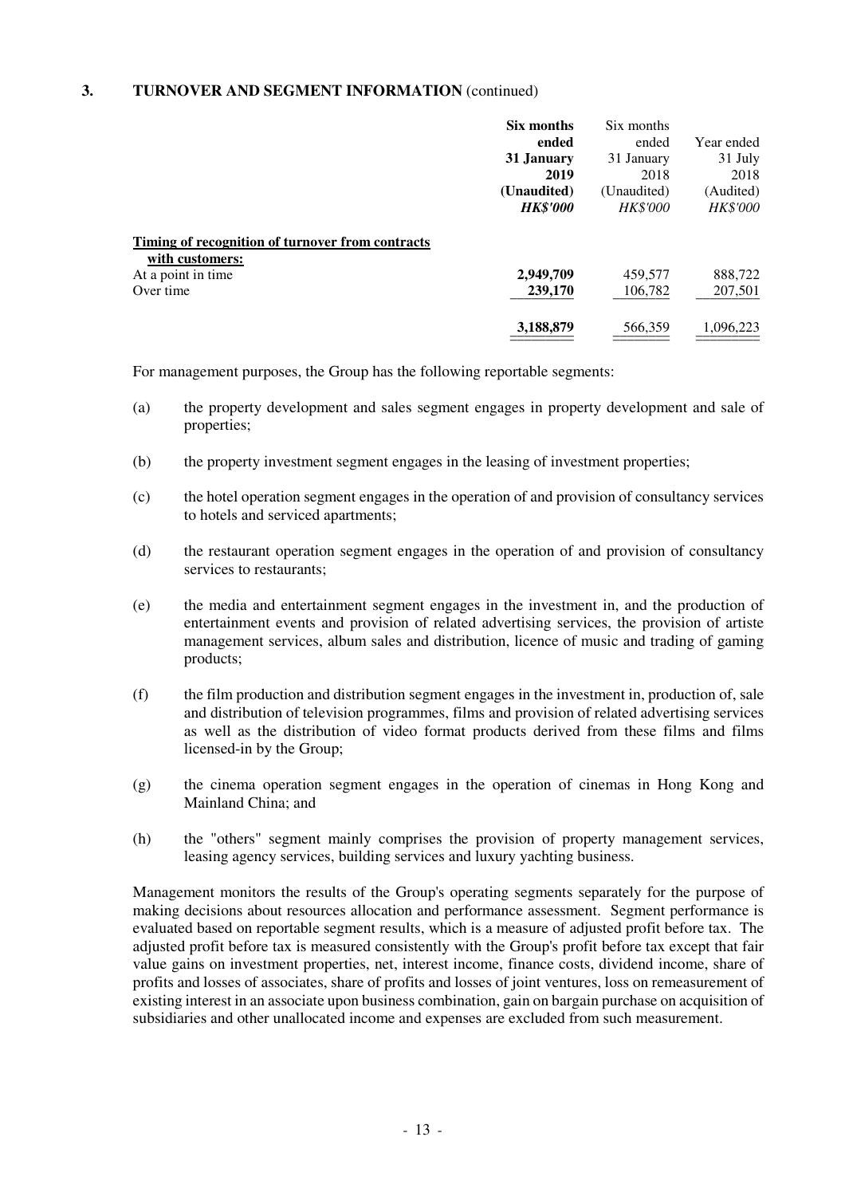|                                                                     | Six months      | Six months      |                 |
|---------------------------------------------------------------------|-----------------|-----------------|-----------------|
|                                                                     | ended           | ended           | Year ended      |
|                                                                     | 31 January      | 31 January      | 31 July         |
|                                                                     | 2019            | 2018            | 2018            |
|                                                                     | (Unaudited)     | (Unaudited)     | (Audited)       |
|                                                                     | <b>HK\$'000</b> | <b>HK\$'000</b> | <b>HK\$'000</b> |
| Timing of recognition of turnover from contracts<br>with customers: |                 |                 |                 |
|                                                                     | 2,949,709       | 459,577         | 888,722         |
| At a point in time<br>Over time                                     | 239,170         | 106,782         | 207,501         |

For management purposes, the Group has the following reportable segments:

- (a) the property development and sales segment engages in property development and sale of properties;
- (b) the property investment segment engages in the leasing of investment properties;
- (c) the hotel operation segment engages in the operation of and provision of consultancy services to hotels and serviced apartments;
- (d) the restaurant operation segment engages in the operation of and provision of consultancy services to restaurants;
- (e) the media and entertainment segment engages in the investment in, and the production of entertainment events and provision of related advertising services, the provision of artiste management services, album sales and distribution, licence of music and trading of gaming products;
- (f) the film production and distribution segment engages in the investment in, production of, sale and distribution of television programmes, films and provision of related advertising services as well as the distribution of video format products derived from these films and films licensed-in by the Group;
- (g) the cinema operation segment engages in the operation of cinemas in Hong Kong and Mainland China; and
- (h) the "others" segment mainly comprises the provision of property management services, leasing agency services, building services and luxury yachting business.

 Management monitors the results of the Group's operating segments separately for the purpose of making decisions about resources allocation and performance assessment. Segment performance is evaluated based on reportable segment results, which is a measure of adjusted profit before tax. The adjusted profit before tax is measured consistently with the Group's profit before tax except that fair value gains on investment properties, net, interest income, finance costs, dividend income, share of profits and losses of associates, share of profits and losses of joint ventures, loss on remeasurement of existing interest in an associate upon business combination, gain on bargain purchase on acquisition of subsidiaries and other unallocated income and expenses are excluded from such measurement.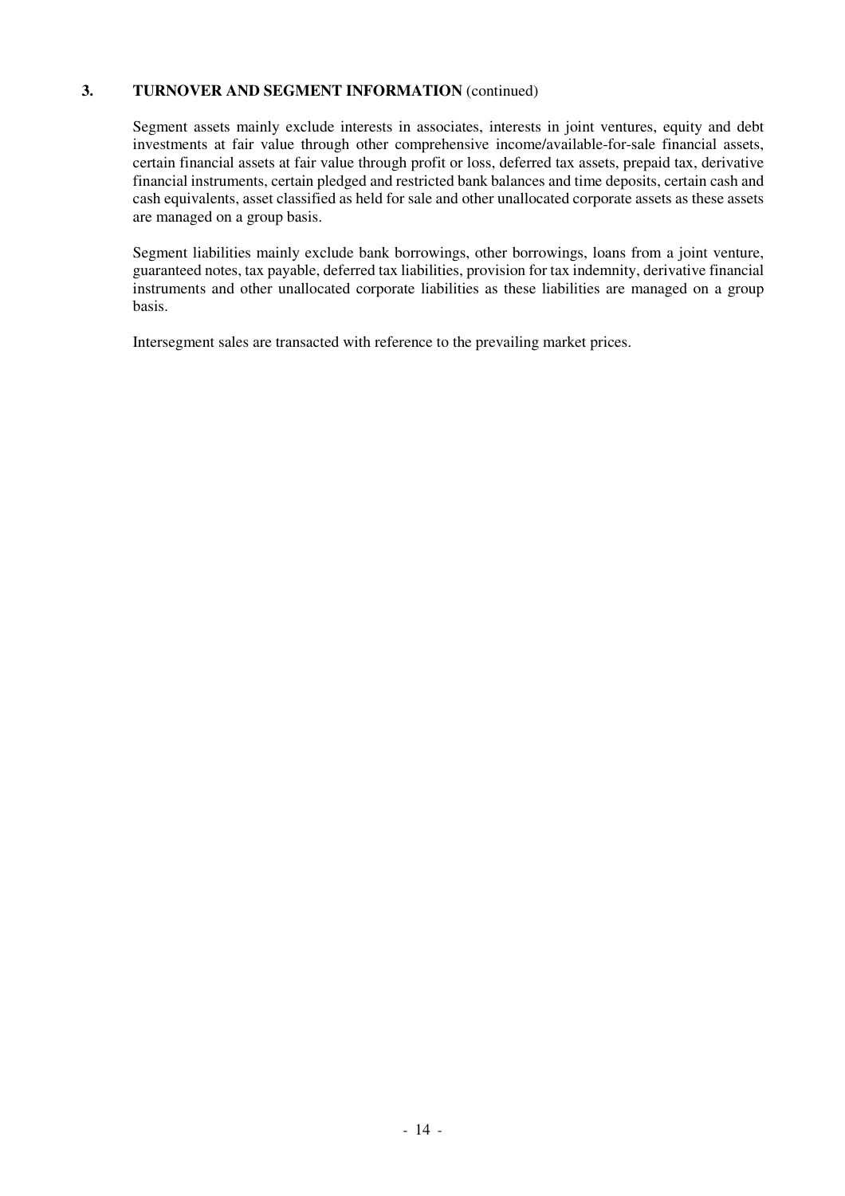Segment assets mainly exclude interests in associates, interests in joint ventures, equity and debt investments at fair value through other comprehensive income/available-for-sale financial assets, certain financial assets at fair value through profit or loss, deferred tax assets, prepaid tax, derivative financial instruments, certain pledged and restricted bank balances and time deposits, certain cash and cash equivalents, asset classified as held for sale and other unallocated corporate assets as these assets are managed on a group basis.

 Segment liabilities mainly exclude bank borrowings, other borrowings, loans from a joint venture, guaranteed notes, tax payable, deferred tax liabilities, provision for tax indemnity, derivative financial instruments and other unallocated corporate liabilities as these liabilities are managed on a group basis.

Intersegment sales are transacted with reference to the prevailing market prices.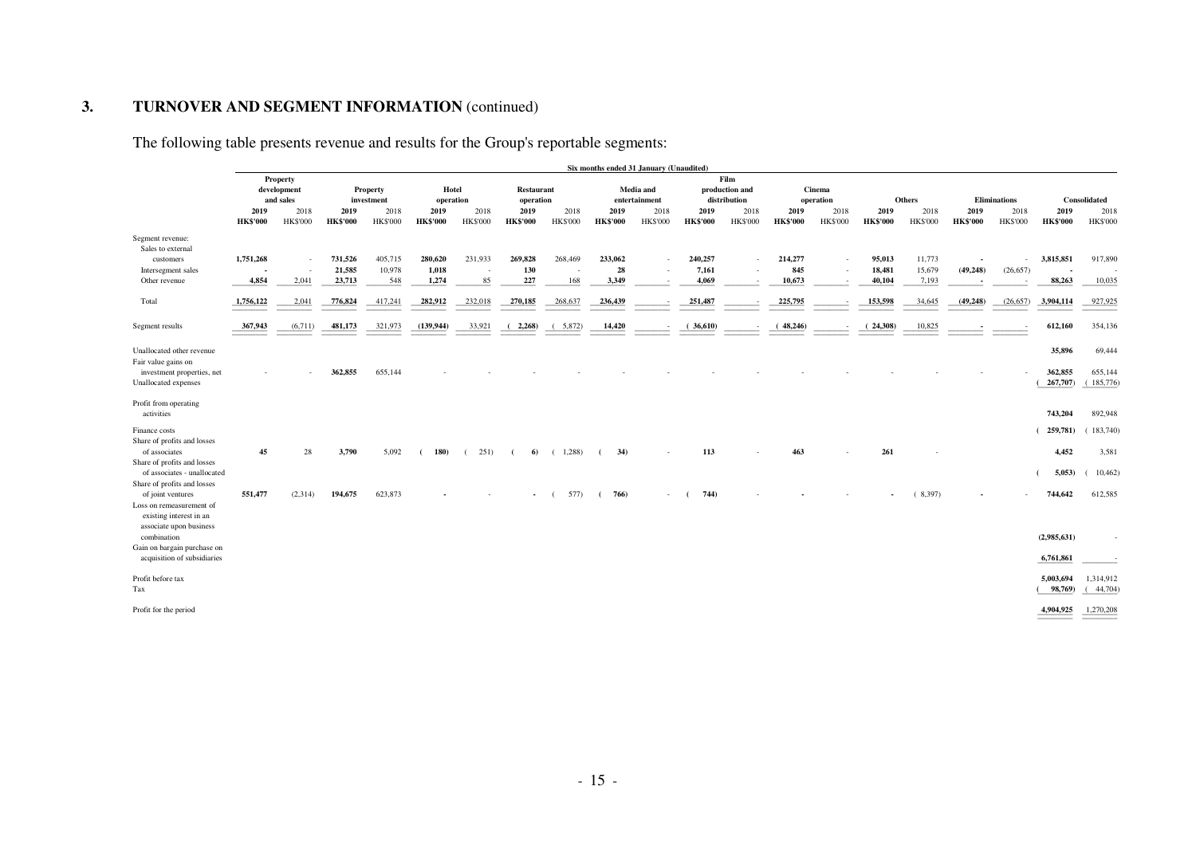The following table presents revenue and results for the Group's reportable segments:

|                                                                                                         |                                      |                         |                         |                         |                         |                         |                         |                         | Six months ended 31 January (Unaudited)              |                         |                         |                         |                            |                         |                                        |                         |                             |                         |                                       |                         |  |  |              |
|---------------------------------------------------------------------------------------------------------|--------------------------------------|-------------------------|-------------------------|-------------------------|-------------------------|-------------------------|-------------------------|-------------------------|------------------------------------------------------|-------------------------|-------------------------|-------------------------|----------------------------|-------------------------|----------------------------------------|-------------------------|-----------------------------|-------------------------|---------------------------------------|-------------------------|--|--|--------------|
|                                                                                                         | Property<br>development<br>and sales |                         |                         |                         |                         |                         | Property<br>investment  |                         | Hotel<br><b>Restaurant</b><br>operation<br>operation |                         |                         |                         | Media and<br>entertainment |                         | Film<br>production and<br>distribution | Cinema<br>operation     |                             | <b>Others</b>           |                                       | <b>Eliminations</b>     |  |  | Consolidated |
|                                                                                                         | 2019<br><b>HK\$'000</b>              | 2018<br><b>HK\$'000</b> | 2019<br><b>HK\$'000</b> | 2018<br><b>HK\$'000</b> | 2019<br><b>HK\$'000</b> | 2018<br><b>HK\$'000</b> | 2019<br><b>HK\$'000</b> | 2018<br><b>HK\$'000</b> | 2019<br><b>HK\$'000</b>                              | 2018<br><b>HK\$'000</b> | 2019<br><b>HK\$'000</b> | 2018<br><b>HK\$'000</b> | 2019<br><b>HK\$'000</b>    | 2018<br><b>HK\$'000</b> | 2019<br><b>HK\$'000</b>                | 2018<br><b>HK\$'000</b> | 2019<br><b>HK\$'000</b>     | 2018<br><b>HK\$'000</b> | 2019<br><b>HK\$'000</b>               | 2018<br><b>HK\$'000</b> |  |  |              |
| Segment revenue:<br>Sales to external<br>customers<br>Intersegment sales                                | 1,751,268                            |                         | 731,526<br>21,585       | 405,715<br>10,978       | 280,620<br>1,018        | 231,933<br>$\sim$       | 269,828<br>130          | 268,469                 | 233,062<br>28                                        |                         | 240,257<br>7,161        | $\sim$<br>$\sim$        | 214,277<br>845             | $\sim$<br>$\sim$        | 95,013<br>18,481                       | 11,773<br>15,679        | $\blacksquare$<br>(49, 248) | (26, 657)               | 3,815,851<br>$\overline{\phantom{a}}$ | 917,890                 |  |  |              |
| Other revenue                                                                                           | 4,854                                | 2,041                   | 23,713                  | 548                     | 1,274                   | 85                      | 227                     | 168                     | 3,349                                                |                         | 4.069                   | $\sim$                  | 10.673                     | $\sim$                  | 40.104                                 | 7,193                   | $\overline{\phantom{a}}$    |                         | 88,263                                | 10,035                  |  |  |              |
| Total                                                                                                   | 1,756,122                            | 2,041                   | 776,824                 | 417,241                 | 282,912                 | 232,018                 | 270,185                 | 268,637                 | 236,439                                              | $\sim$                  | 251,487                 | $\sim$                  | 225,795                    | $\sim$                  | 153,598                                | 34,645                  | (49, 248)                   | (26, 657)               | 3,904,114                             | 927,925                 |  |  |              |
| Segment results                                                                                         | 367,943                              | (6,711)                 | 481,173                 | 321,973                 | (139, 944)              | 33,921                  | (2,268)                 | (5,872)                 | 14,420                                               | $\sim$                  | (36,610)                |                         | (48,246)                   |                         | (24,308)                               | 10,825                  |                             |                         | 612,160                               | 354,136                 |  |  |              |
| Unallocated other revenue<br>Fair value gains on                                                        |                                      |                         |                         |                         |                         |                         |                         |                         |                                                      |                         |                         |                         |                            |                         |                                        |                         |                             |                         | 35,896                                | 69,444                  |  |  |              |
| investment properties, net<br>Unallocated expenses                                                      |                                      |                         | 362,855                 | 655,144                 |                         |                         |                         |                         |                                                      |                         |                         |                         |                            |                         |                                        |                         |                             |                         | 362,855<br>267,707)                   | 655,144<br>(185, 776)   |  |  |              |
| Profit from operating<br>activities                                                                     |                                      |                         |                         |                         |                         |                         |                         |                         |                                                      |                         |                         |                         |                            |                         |                                        |                         |                             |                         | 743,204                               | 892,948                 |  |  |              |
| Finance costs<br>Share of profits and losses<br>of associates                                           | 45                                   |                         |                         | 5,092                   |                         | 251)                    |                         | (1,288)                 | 34)                                                  |                         | 113                     |                         | 463                        |                         | 261                                    |                         |                             |                         | 259,781)<br>4,452                     | 183,740                 |  |  |              |
| Share of profits and losses<br>of associates - unallocated                                              |                                      | 28                      | 3,790                   |                         | 180)                    |                         | 6                       |                         |                                                      |                         |                         |                         |                            |                         |                                        |                         |                             |                         | 5,053                                 | 3,581<br>10,462         |  |  |              |
| Share of profits and losses<br>of joint ventures<br>Loss on remeasurement of<br>existing interest in an | 551,477                              | (2,314)                 | 194,675                 | 623,873                 |                         |                         | $\blacksquare$          | 577)                    | 766)<br>$\epsilon$                                   | ÷.                      | 744)                    |                         |                            |                         |                                        | (8,397)                 |                             |                         | 744,642                               | 612,585                 |  |  |              |
| associate upon business<br>combination<br>Gain on bargain purchase on                                   |                                      |                         |                         |                         |                         |                         |                         |                         |                                                      |                         |                         |                         |                            |                         |                                        |                         |                             |                         | (2,985,631)                           |                         |  |  |              |
| acquisition of subsidiaries                                                                             |                                      |                         |                         |                         |                         |                         |                         |                         |                                                      |                         |                         |                         |                            |                         |                                        |                         |                             |                         | 6,761,861                             |                         |  |  |              |
| Profit before tax<br>Tax                                                                                |                                      |                         |                         |                         |                         |                         |                         |                         |                                                      |                         |                         |                         |                            |                         |                                        |                         |                             |                         | 5,003,694<br>98,769)                  | 1,314,912<br>44,704)    |  |  |              |
| Profit for the period                                                                                   |                                      |                         |                         |                         |                         |                         |                         |                         |                                                      |                         |                         |                         |                            |                         |                                        |                         |                             |                         | 4,904,925                             | 1,270,208               |  |  |              |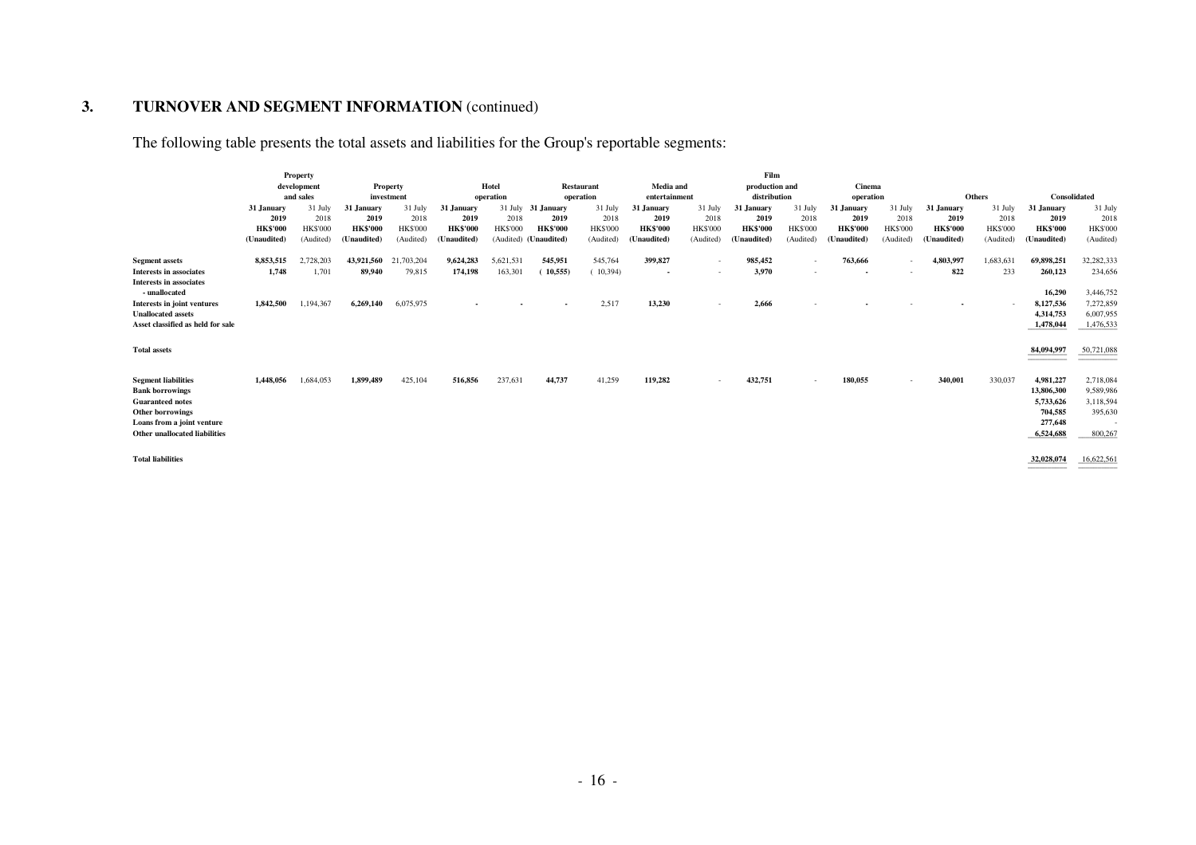The following table presents the total assets and liabilities for the Group's reportable segments:

|                                          |                 | Property        |                 |                 |                          |                 |                       |                   |                          |                          | Film            |                 |                 |                          |                          |                 |                 |                          |
|------------------------------------------|-----------------|-----------------|-----------------|-----------------|--------------------------|-----------------|-----------------------|-------------------|--------------------------|--------------------------|-----------------|-----------------|-----------------|--------------------------|--------------------------|-----------------|-----------------|--------------------------|
|                                          |                 | development     |                 | Property        |                          | Hotel           |                       | <b>Restaurant</b> | Media and                |                          | production and  |                 | Cinema          |                          |                          |                 |                 |                          |
|                                          |                 | and sales       |                 | investment      |                          | operation       |                       | operation         | entertainment            |                          | distribution    |                 | operation       |                          |                          | <b>Others</b>   | Consolidated    |                          |
|                                          | 31 January      | 31 July         | 31 January      | 31 July         | 31 January               |                 | 31 July 31 January    | 31 July           | 31 January               | 31 July                  | 31 January      | 31 July         | 31 January      | 31 July                  | 31 January               | 31 July         | 31 January      | 31 July                  |
|                                          | 2019            | 2018            | 2019            | 2018            | 2019                     | 2018            | 2019                  | 2018              | 2019                     | 2018                     | 2019            | 2018            | 2019            | 2018                     | 2019                     | 2018            | 2019            | 2018                     |
|                                          | <b>HK\$'000</b> | <b>HK\$'000</b> | <b>HK\$'000</b> | <b>HK\$'000</b> | <b>HK\$'000</b>          | <b>HK\$'000</b> | <b>HK\$'000</b>       | <b>HK\$'000</b>   | <b>HK\$'000</b>          | <b>HK\$'000</b>          | <b>HK\$'000</b> | <b>HK\$'000</b> | <b>HK\$'000</b> | <b>HK\$'000</b>          | <b>HK\$'000</b>          | <b>HK\$'000</b> | <b>HK\$'000</b> | <b>HK\$'000</b>          |
|                                          | (Unaudited)     | (Audited)       | (Unaudited)     | (Audited)       | (Unaudited)              |                 | (Audited) (Unaudited) | (Audited)         | (Unaudited)              | (Audited)                | (Unaudited)     | (Audited)       | (Unaudited)     | (Audited)                | (Unaudited)              | (Audited)       | Unaudited)      | (Audited)                |
| <b>Segment assets</b>                    | 8.853.515       | 2,728,203       | 43,921,560      | 21,703,204      | 9,624,283                | 5,621,531       | 545,951               | 545,764           | 399,827                  | $\sim$                   | 985,452         | $\sim$          | 763,666         | $\sim$                   | 4,803,997                | 1,683,631       | 69,898,251      | 32,282,333               |
| Interests in associates                  | 1,748           | 1,701           | 89,940          | 79,815          | 174,198                  | 163,301         | (10, 555)             | (10, 394)         | $\overline{\phantom{a}}$ | $\overline{\phantom{a}}$ | 3,970           | $\sim$          | $\sim$          |                          | 822                      | 233             | 260,123         | 234,656                  |
| Interests in associates<br>- unallocated |                 |                 |                 |                 |                          |                 |                       |                   |                          |                          |                 |                 |                 |                          |                          |                 | 16,290          | 3,446,752                |
| Interests in joint ventures              | 1,842,500       | 1,194,367       | 6,269,140       | 6,075,975       | $\overline{\phantom{a}}$ |                 | $\sim$                | 2,517             | 13,230                   | ٠                        | 2,666           |                 |                 |                          | $\overline{\phantom{a}}$ |                 | 8,127,536       | 7,272,859                |
| <b>Unallocated assets</b>                |                 |                 |                 |                 |                          |                 |                       |                   |                          |                          |                 |                 |                 |                          |                          |                 | 4,314,753       | 6,007,955                |
| Asset classified as held for sale        |                 |                 |                 |                 |                          |                 |                       |                   |                          |                          |                 |                 |                 |                          |                          |                 | 1,478,044       | 1,476,533                |
|                                          |                 |                 |                 |                 |                          |                 |                       |                   |                          |                          |                 |                 |                 |                          |                          |                 |                 |                          |
| <b>Total assets</b>                      |                 |                 |                 |                 |                          |                 |                       |                   |                          |                          |                 |                 |                 |                          |                          |                 | 84,094,997      | 50,721,088               |
|                                          |                 |                 |                 |                 |                          |                 |                       |                   |                          |                          |                 |                 |                 |                          |                          |                 |                 |                          |
| <b>Segment liabilities</b>               | 1.448.056       | 1,684,053       | 1,899,489       | 425,104         | 516,856                  | 237,631         | 44,737                | 41,259            | 119,282                  | $\overline{\phantom{a}}$ | 432,751         | $\sim$          | 180,055         | $\overline{\phantom{a}}$ | 340,001                  | 330,037         | 4,981,227       | 2,718,084                |
| <b>Bank borrowings</b>                   |                 |                 |                 |                 |                          |                 |                       |                   |                          |                          |                 |                 |                 |                          |                          |                 | 13,806,300      | 9,589,986                |
| <b>Guaranteed notes</b>                  |                 |                 |                 |                 |                          |                 |                       |                   |                          |                          |                 |                 |                 |                          |                          |                 | 5,733,626       | 3,118,594                |
| <b>Other borrowings</b>                  |                 |                 |                 |                 |                          |                 |                       |                   |                          |                          |                 |                 |                 |                          |                          |                 | 704,585         | 395,630                  |
| Loans from a joint venture               |                 |                 |                 |                 |                          |                 |                       |                   |                          |                          |                 |                 |                 |                          |                          |                 | 277,648         | $\overline{\phantom{a}}$ |
| Other unallocated liabilities            |                 |                 |                 |                 |                          |                 |                       |                   |                          |                          |                 |                 |                 |                          |                          |                 | 6,524,688       | 800,267                  |
| <b>Total liabilities</b>                 |                 |                 |                 |                 |                          |                 |                       |                   |                          |                          |                 |                 |                 |                          |                          |                 | 32,028,074      | 16,622,561               |

 $\mathcal{L}_\text{max}$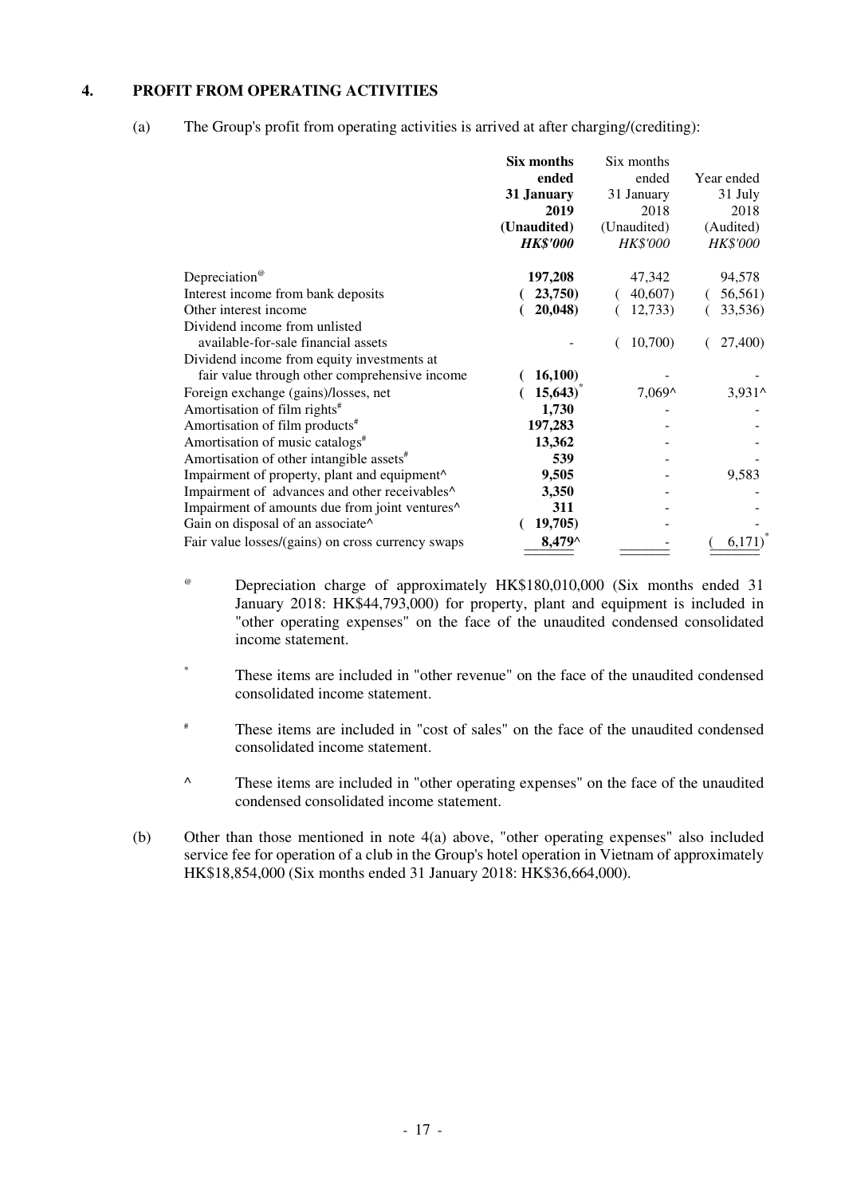### **4. PROFIT FROM OPERATING ACTIVITIES**

(a) The Group's profit from operating activities is arrived at after charging/(crediting):

|                                                                      | Six months<br>ended<br>31 January<br>2019<br>(Unaudited)<br><b>HK\$'000</b> | Six months<br>ended<br>31 January<br>2018<br>(Unaudited)<br><b>HK\$'000</b> | Year ended<br>31 July<br>2018<br>(Audited)<br><b>HK\$'000</b> |
|----------------------------------------------------------------------|-----------------------------------------------------------------------------|-----------------------------------------------------------------------------|---------------------------------------------------------------|
| Depreciation <sup>®</sup>                                            | 197,208                                                                     | 47,342                                                                      | 94,578                                                        |
| Interest income from bank deposits                                   | 23,750)                                                                     | 40,607)                                                                     | 56,561)                                                       |
| Other interest income                                                | 20,048)                                                                     | 12,733                                                                      | 33,536)                                                       |
| Dividend income from unlisted<br>available-for-sale financial assets |                                                                             | 10,700                                                                      | 27,400)                                                       |
| Dividend income from equity investments at                           |                                                                             |                                                                             |                                                               |
| fair value through other comprehensive income                        | 16,100)                                                                     |                                                                             |                                                               |
| Foreign exchange (gains)/losses, net                                 | 15,643)                                                                     | $7,069^{\circ}$                                                             | $3,931^{\circ}$                                               |
| Amortisation of film rights <sup>#</sup>                             | 1,730                                                                       |                                                                             |                                                               |
| Amortisation of film products <sup>#</sup>                           | 197,283                                                                     |                                                                             |                                                               |
| Amortisation of music catalogs <sup>#</sup>                          | 13,362                                                                      |                                                                             |                                                               |
| Amortisation of other intangible assets <sup>#</sup>                 | 539                                                                         |                                                                             |                                                               |
| Impairment of property, plant and equipment^                         | 9,505                                                                       |                                                                             | 9,583                                                         |
| Impairment of advances and other receivables <sup>^</sup>            | 3,350                                                                       |                                                                             |                                                               |
| Impairment of amounts due from joint ventures^                       | 311                                                                         |                                                                             |                                                               |
| Gain on disposal of an associate^                                    | 19,705)                                                                     |                                                                             |                                                               |
| Fair value losses/(gains) on cross currency swaps                    | 8,479^                                                                      |                                                                             | 6,171)                                                        |
|                                                                      |                                                                             |                                                                             |                                                               |

- @ Depreciation charge of approximately HK\$180,010,000 (Six months ended 31 January 2018: HK\$44,793,000) for property, plant and equipment is included in "other operating expenses" on the face of the unaudited condensed consolidated income statement.
- \* These items are included in "other revenue" on the face of the unaudited condensed consolidated income statement.
- # These items are included in "cost of sales" on the face of the unaudited condensed consolidated income statement.
- ^ These items are included in "other operating expenses" on the face of the unaudited condensed consolidated income statement.
- (b) Other than those mentioned in note 4(a) above, "other operating expenses" also included service fee for operation of a club in the Group's hotel operation in Vietnam of approximately HK\$18,854,000 (Six months ended 31 January 2018: HK\$36,664,000).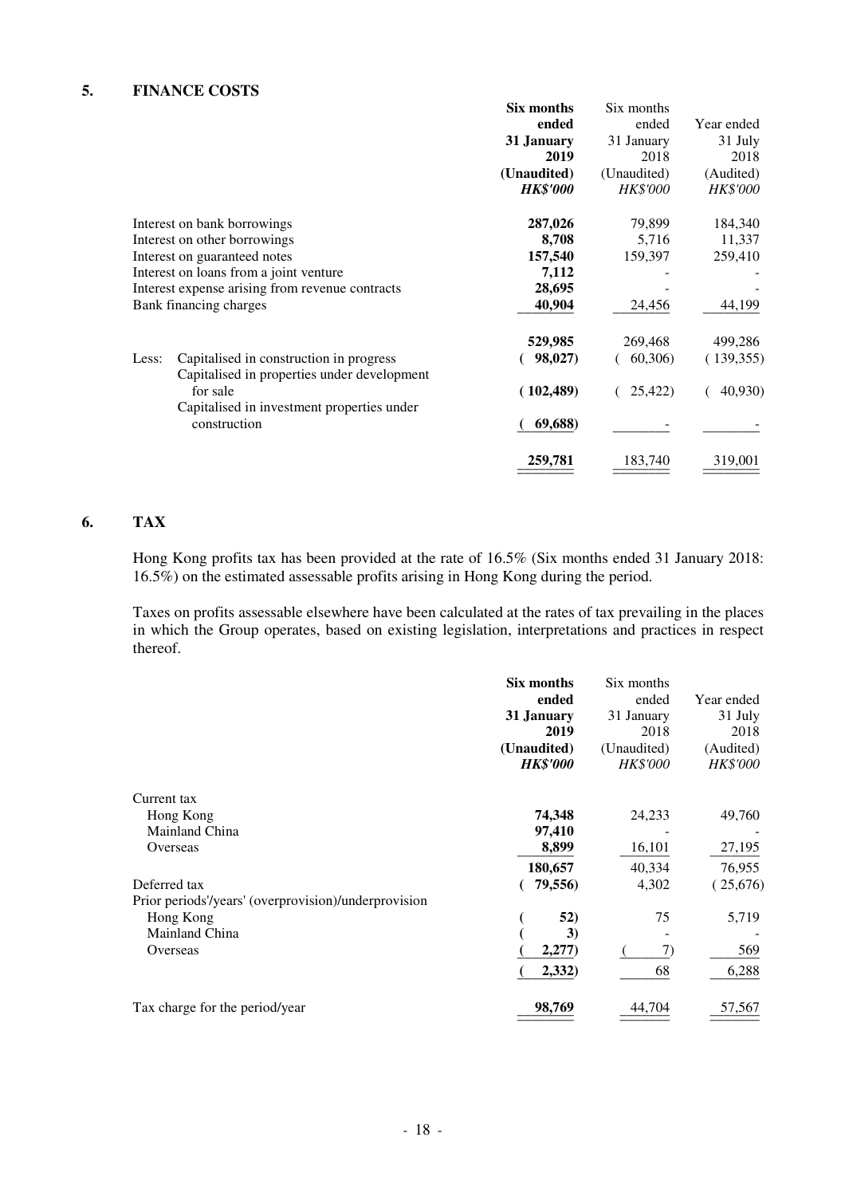### **5. FINANCE COSTS**

|       |                                                            | Six months      | Six months      |                 |
|-------|------------------------------------------------------------|-----------------|-----------------|-----------------|
|       |                                                            | ended           | ended           | Year ended      |
|       |                                                            | 31 January      | 31 January      | 31 July         |
|       |                                                            | 2019            | 2018            | 2018            |
|       |                                                            | (Unaudited)     | (Unaudited)     | (Audited)       |
|       |                                                            | <b>HK\$'000</b> | <b>HK\$'000</b> | <b>HK\$'000</b> |
|       | Interest on bank borrowings                                | 287,026         | 79,899          | 184,340         |
|       | Interest on other borrowings                               | 8,708           | 5,716           | 11,337          |
|       | Interest on guaranteed notes                               | 157,540         | 159,397         | 259,410         |
|       | Interest on loans from a joint venture                     | 7,112           |                 |                 |
|       | Interest expense arising from revenue contracts            | 28,695          |                 |                 |
|       | Bank financing charges                                     | 40,904          | 24,456          | 44,199          |
|       |                                                            | 529,985         | 269,468         | 499,286         |
| Less: | Capitalised in construction in progress                    | 98,027)         | 60,306)         | (139, 355)      |
|       | Capitalised in properties under development<br>for sale    | (102, 489)      | 25,422)         | 40,930          |
|       | Capitalised in investment properties under<br>construction | 69,688)         |                 |                 |
|       |                                                            | 259,781         | 183,740         | 319,001         |

## **6. TAX**

 Hong Kong profits tax has been provided at the rate of 16.5% (Six months ended 31 January 2018: 16.5%) on the estimated assessable profits arising in Hong Kong during the period.

 Taxes on profits assessable elsewhere have been calculated at the rates of tax prevailing in the places in which the Group operates, based on existing legislation, interpretations and practices in respect thereof.

|                                                      | Six months      | Six months      |                 |
|------------------------------------------------------|-----------------|-----------------|-----------------|
|                                                      | ended           | ended           | Year ended      |
|                                                      | 31 January      | 31 January      | 31 July         |
|                                                      | 2019            | 2018            | 2018            |
|                                                      | (Unaudited)     | (Unaudited)     | (Audited)       |
|                                                      | <b>HK\$'000</b> | <b>HK\$'000</b> | <b>HK\$'000</b> |
| Current tax                                          |                 |                 |                 |
| Hong Kong                                            | 74,348          | 24,233          | 49,760          |
| Mainland China                                       | 97,410          |                 |                 |
| Overseas                                             | 8,899           | 16,101          | 27,195          |
|                                                      | 180,657         | 40,334          | 76,955          |
| Deferred tax                                         | 79,556)         | 4,302           | (25,676)        |
| Prior periods'/years' (overprovision)/underprovision |                 |                 |                 |
| Hong Kong                                            | 52)             | 75              | 5,719           |
| Mainland China                                       | 3)              |                 |                 |
| Overseas                                             | 2,277)          | 7)              | 569             |
|                                                      | 2,332)          | 68              | 6,288           |
| Tax charge for the period/year                       | 98,769          | 44,704          | 57,567          |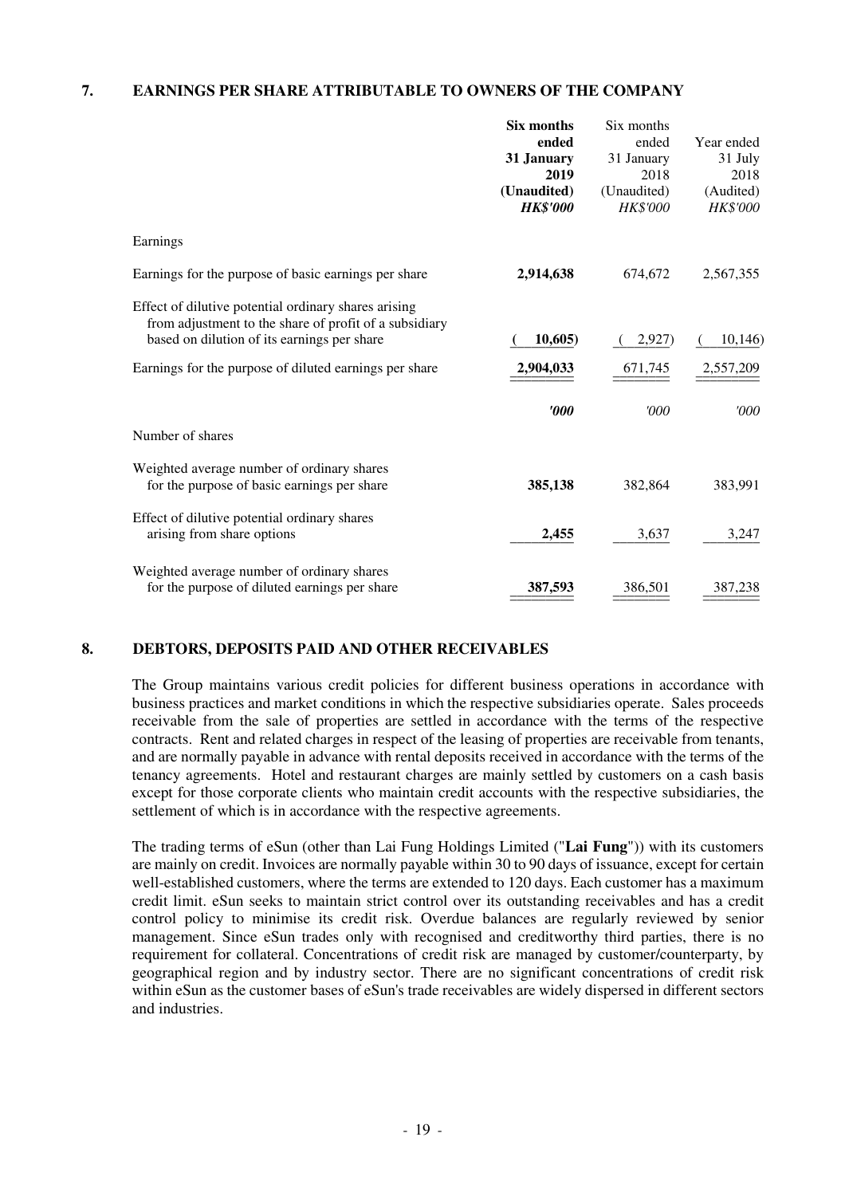### **7. EARNINGS PER SHARE ATTRIBUTABLE TO OWNERS OF THE COMPANY**

|                                                                                                       | Six months              | Six months  |            |
|-------------------------------------------------------------------------------------------------------|-------------------------|-------------|------------|
|                                                                                                       | ended                   | ended       | Year ended |
|                                                                                                       | 31 January              | 31 January  | 31 July    |
|                                                                                                       | 2019                    | 2018        | 2018       |
|                                                                                                       | (Unaudited)             | (Unaudited) | (Audited)  |
|                                                                                                       | <b>HK\$'000</b>         | HK\$'000    | HK\$'000   |
| Earnings                                                                                              |                         |             |            |
| Earnings for the purpose of basic earnings per share                                                  | 2,914,638               | 674,672     | 2,567,355  |
| Effect of dilutive potential ordinary shares arising                                                  |                         |             |            |
| from adjustment to the share of profit of a subsidiary<br>based on dilution of its earnings per share | 10,605)                 | 2,927)      | 10,146     |
| Earnings for the purpose of diluted earnings per share                                                | 2,904,033               | 671,745     | 2,557,209  |
|                                                                                                       | $\boldsymbol{\it v000}$ | '000        | '000       |
| Number of shares                                                                                      |                         |             |            |
| Weighted average number of ordinary shares                                                            |                         |             |            |
| for the purpose of basic earnings per share                                                           | 385,138                 | 382,864     | 383,991    |
| Effect of dilutive potential ordinary shares                                                          |                         |             |            |
| arising from share options                                                                            | 2,455                   | 3,637       | 3,247      |
| Weighted average number of ordinary shares                                                            |                         |             |            |
| for the purpose of diluted earnings per share                                                         | 387,593                 | 386,501     | 387,238    |

#### **8. DEBTORS, DEPOSITS PAID AND OTHER RECEIVABLES**

The Group maintains various credit policies for different business operations in accordance with business practices and market conditions in which the respective subsidiaries operate. Sales proceeds receivable from the sale of properties are settled in accordance with the terms of the respective contracts. Rent and related charges in respect of the leasing of properties are receivable from tenants, and are normally payable in advance with rental deposits received in accordance with the terms of the tenancy agreements. Hotel and restaurant charges are mainly settled by customers on a cash basis except for those corporate clients who maintain credit accounts with the respective subsidiaries, the settlement of which is in accordance with the respective agreements.

The trading terms of eSun (other than Lai Fung Holdings Limited ("**Lai Fung**")) with its customers are mainly on credit. Invoices are normally payable within 30 to 90 days of issuance, except for certain well-established customers, where the terms are extended to 120 days. Each customer has a maximum credit limit. eSun seeks to maintain strict control over its outstanding receivables and has a credit control policy to minimise its credit risk. Overdue balances are regularly reviewed by senior management. Since eSun trades only with recognised and creditworthy third parties, there is no requirement for collateral. Concentrations of credit risk are managed by customer/counterparty, by geographical region and by industry sector. There are no significant concentrations of credit risk within eSun as the customer bases of eSun's trade receivables are widely dispersed in different sectors and industries.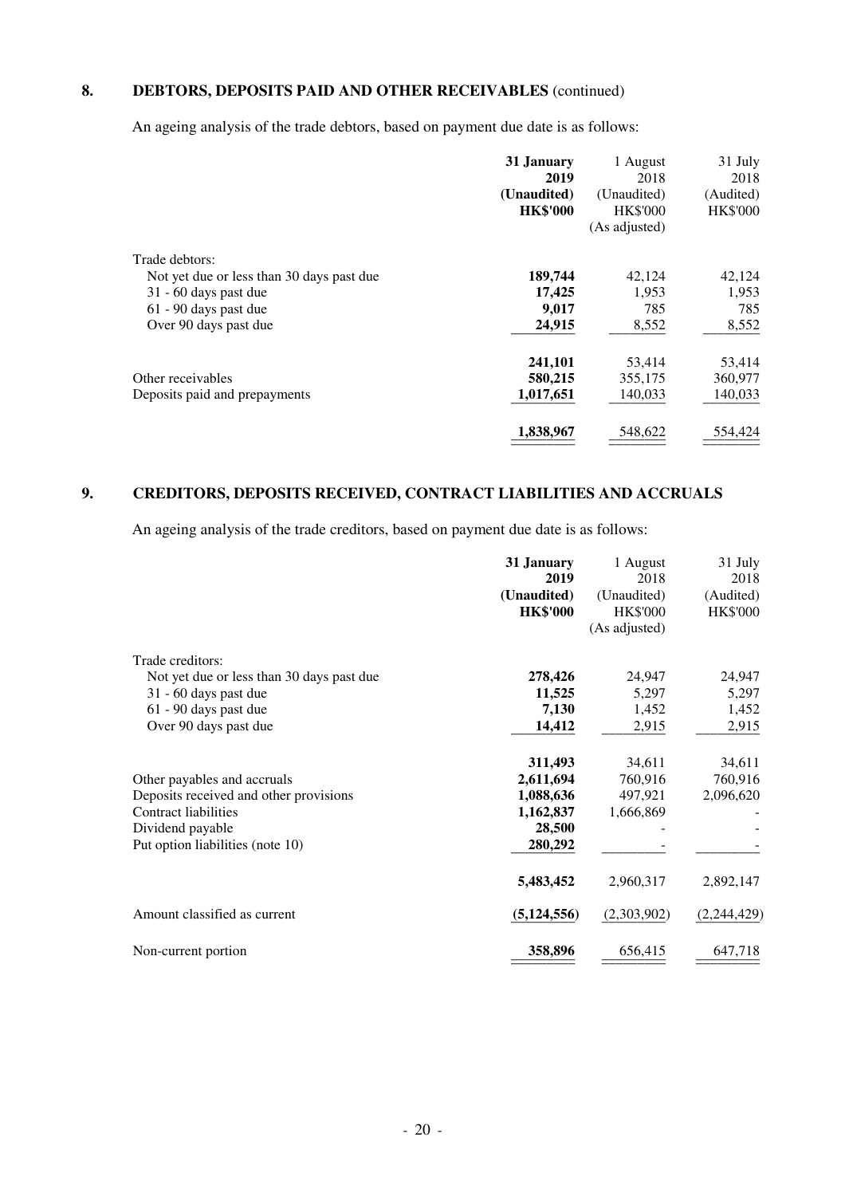## **8. DEBTORS, DEPOSITS PAID AND OTHER RECEIVABLES** (continued)

An ageing analysis of the trade debtors, based on payment due date is as follows:

|                                           | 31 January<br>2019<br>(Unaudited)<br><b>HK\$'000</b> | 1 August<br>2018<br>(Unaudited)<br><b>HK\$'000</b><br>(As adjusted) | 31 July<br>2018<br>(Audited)<br><b>HK\$'000</b> |
|-------------------------------------------|------------------------------------------------------|---------------------------------------------------------------------|-------------------------------------------------|
| Trade debtors:                            |                                                      |                                                                     |                                                 |
| Not yet due or less than 30 days past due | 189,744                                              | 42,124                                                              | 42,124                                          |
| 31 - 60 days past due                     | 17,425                                               | 1,953                                                               | 1,953                                           |
| 61 - 90 days past due                     | 9,017                                                | 785                                                                 | 785                                             |
| Over 90 days past due                     | 24,915                                               | 8,552                                                               | 8,552                                           |
|                                           | 241,101                                              | 53,414                                                              | 53,414                                          |
| Other receivables                         | 580,215                                              | 355,175                                                             | 360,977                                         |
| Deposits paid and prepayments             | 1,017,651                                            | 140,033                                                             | 140,033                                         |
|                                           | 1,838,967                                            | 548,622                                                             | 554,424                                         |

## **9. CREDITORS, DEPOSITS RECEIVED, CONTRACT LIABILITIES AND ACCRUALS**

An ageing analysis of the trade creditors, based on payment due date is as follows:

|                                           | 31 January<br>2019             | 1 August<br>2018                                | 31 July<br>2018              |
|-------------------------------------------|--------------------------------|-------------------------------------------------|------------------------------|
|                                           | (Unaudited)<br><b>HK\$'000</b> | (Unaudited)<br><b>HK\$'000</b><br>(As adjusted) | (Audited)<br><b>HK\$'000</b> |
|                                           |                                |                                                 |                              |
| Trade creditors:                          |                                |                                                 |                              |
| Not yet due or less than 30 days past due | 278,426                        | 24,947                                          | 24,947                       |
| 31 - 60 days past due                     | 11,525                         | 5,297                                           | 5,297                        |
| 61 - 90 days past due                     | 7,130                          | 1,452                                           | 1,452                        |
| Over 90 days past due                     | 14,412                         | 2,915                                           | 2,915                        |
|                                           | 311,493                        | 34,611                                          | 34,611                       |
| Other payables and accruals               | 2,611,694                      | 760,916                                         | 760,916                      |
| Deposits received and other provisions    | 1,088,636                      | 497,921                                         | 2,096,620                    |
| <b>Contract liabilities</b>               | 1,162,837                      | 1,666,869                                       |                              |
| Dividend payable                          | 28,500                         |                                                 |                              |
| Put option liabilities (note 10)          | 280,292                        |                                                 |                              |
|                                           | 5,483,452                      | 2,960,317                                       | 2,892,147                    |
| Amount classified as current              | (5, 124, 556)                  | (2,303,902)                                     | (2,244,429)                  |
| Non-current portion                       | 358,896                        | 656,415                                         | 647,718                      |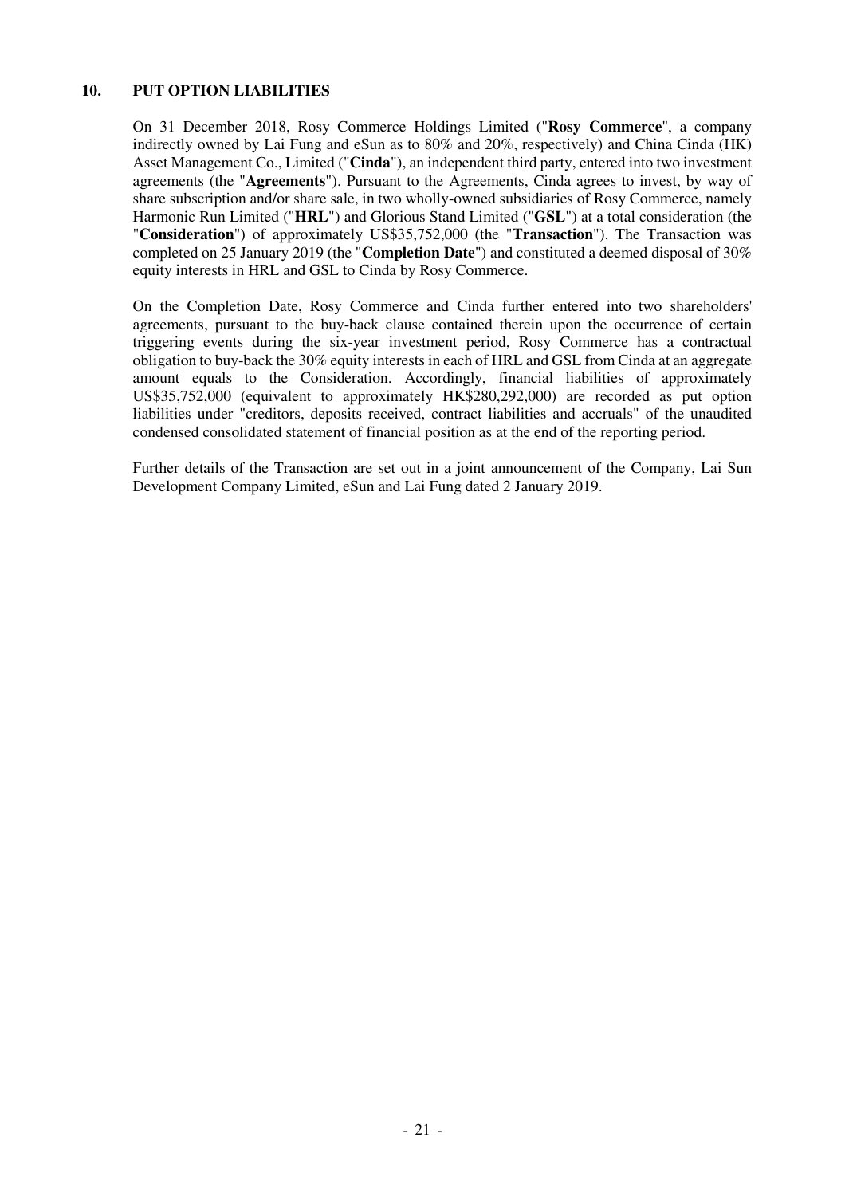#### **10. PUT OPTION LIABILITIES**

On 31 December 2018, Rosy Commerce Holdings Limited ("**Rosy Commerce**", a company indirectly owned by Lai Fung and eSun as to 80% and 20%, respectively) and China Cinda (HK) Asset Management Co., Limited ("**Cinda**"), an independent third party, entered into two investment agreements (the "**Agreements**"). Pursuant to the Agreements, Cinda agrees to invest, by way of share subscription and/or share sale, in two wholly-owned subsidiaries of Rosy Commerce, namely Harmonic Run Limited ("**HRL**") and Glorious Stand Limited ("**GSL**") at a total consideration (the "**Consideration**") of approximately US\$35,752,000 (the "**Transaction**"). The Transaction was completed on 25 January 2019 (the "**Completion Date**") and constituted a deemed disposal of 30% equity interests in HRL and GSL to Cinda by Rosy Commerce.

On the Completion Date, Rosy Commerce and Cinda further entered into two shareholders' agreements, pursuant to the buy-back clause contained therein upon the occurrence of certain triggering events during the six-year investment period, Rosy Commerce has a contractual obligation to buy-back the 30% equity interests in each of HRL and GSL from Cinda at an aggregate amount equals to the Consideration. Accordingly, financial liabilities of approximately US\$35,752,000 (equivalent to approximately HK\$280,292,000) are recorded as put option liabilities under "creditors, deposits received, contract liabilities and accruals" of the unaudited condensed consolidated statement of financial position as at the end of the reporting period.

Further details of the Transaction are set out in a joint announcement of the Company, Lai Sun Development Company Limited, eSun and Lai Fung dated 2 January 2019.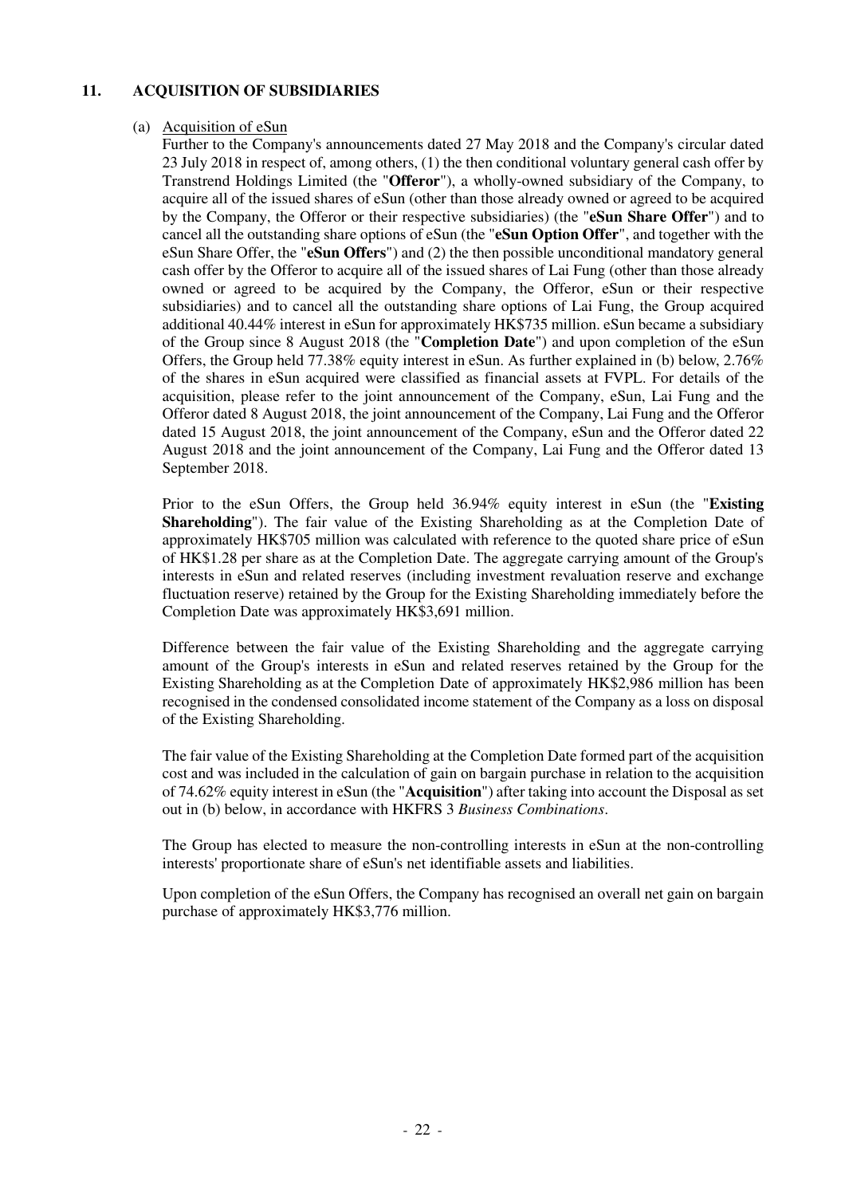### **11. ACQUISITION OF SUBSIDIARIES**

#### (a) Acquisition of eSun

Further to the Company's announcements dated 27 May 2018 and the Company's circular dated 23 July 2018 in respect of, among others, (1) the then conditional voluntary general cash offer by Transtrend Holdings Limited (the "**Offeror**"), a wholly-owned subsidiary of the Company, to acquire all of the issued shares of eSun (other than those already owned or agreed to be acquired by the Company, the Offeror or their respective subsidiaries) (the "**eSun Share Offer**") and to cancel all the outstanding share options of eSun (the "**eSun Option Offer**", and together with the eSun Share Offer, the "**eSun Offers**") and (2) the then possible unconditional mandatory general cash offer by the Offeror to acquire all of the issued shares of Lai Fung (other than those already owned or agreed to be acquired by the Company, the Offeror, eSun or their respective subsidiaries) and to cancel all the outstanding share options of Lai Fung, the Group acquired additional 40.44% interest in eSun for approximately HK\$735 million. eSun became a subsidiary of the Group since 8 August 2018 (the "**Completion Date**") and upon completion of the eSun Offers, the Group held 77.38% equity interest in eSun. As further explained in (b) below, 2.76% of the shares in eSun acquired were classified as financial assets at FVPL. For details of the acquisition, please refer to the joint announcement of the Company, eSun, Lai Fung and the Offeror dated 8 August 2018, the joint announcement of the Company, Lai Fung and the Offeror dated 15 August 2018, the joint announcement of the Company, eSun and the Offeror dated 22 August 2018 and the joint announcement of the Company, Lai Fung and the Offeror dated 13 September 2018.

Prior to the eSun Offers, the Group held 36.94% equity interest in eSun (the "**Existing Shareholding**"). The fair value of the Existing Shareholding as at the Completion Date of approximately HK\$705 million was calculated with reference to the quoted share price of eSun of HK\$1.28 per share as at the Completion Date. The aggregate carrying amount of the Group's interests in eSun and related reserves (including investment revaluation reserve and exchange fluctuation reserve) retained by the Group for the Existing Shareholding immediately before the Completion Date was approximately HK\$3,691 million.

 Difference between the fair value of the Existing Shareholding and the aggregate carrying amount of the Group's interests in eSun and related reserves retained by the Group for the Existing Shareholding as at the Completion Date of approximately HK\$2,986 million has been recognised in the condensed consolidated income statement of the Company as a loss on disposal of the Existing Shareholding.

 The fair value of the Existing Shareholding at the Completion Date formed part of the acquisition cost and was included in the calculation of gain on bargain purchase in relation to the acquisition of 74.62% equity interest in eSun (the "**Acquisition**") after taking into account the Disposal as set out in (b) below, in accordance with HKFRS 3 *Business Combinations*.

 The Group has elected to measure the non-controlling interests in eSun at the non-controlling interests' proportionate share of eSun's net identifiable assets and liabilities.

 Upon completion of the eSun Offers, the Company has recognised an overall net gain on bargain purchase of approximately HK\$3,776 million.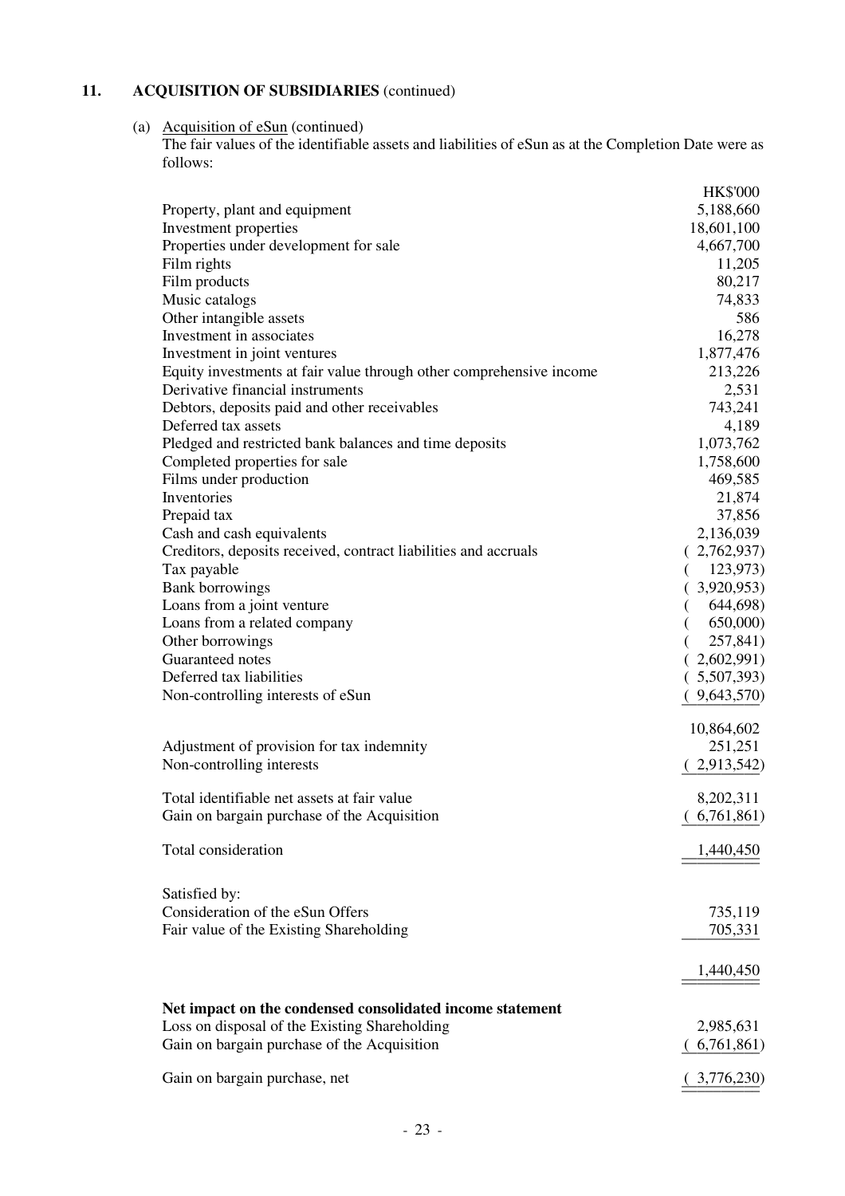## **11. ACQUISITION OF SUBSIDIARIES** (continued)

(a) Acquisition of eSun (continued) The fair values of the identifiable assets and liabilities of eSun as at the Completion Date were as follows:

|                                                                     | <b>HK\$'000</b> |
|---------------------------------------------------------------------|-----------------|
| Property, plant and equipment                                       | 5,188,660       |
| Investment properties                                               | 18,601,100      |
| Properties under development for sale                               | 4,667,700       |
| Film rights                                                         | 11,205          |
| Film products                                                       | 80,217          |
| Music catalogs                                                      | 74,833          |
| Other intangible assets                                             | 586             |
| Investment in associates                                            | 16,278          |
| Investment in joint ventures                                        | 1,877,476       |
| Equity investments at fair value through other comprehensive income | 213,226         |
| Derivative financial instruments                                    | 2,531           |
| Debtors, deposits paid and other receivables                        | 743,241         |
| Deferred tax assets                                                 | 4,189           |
| Pledged and restricted bank balances and time deposits              | 1,073,762       |
| Completed properties for sale                                       | 1,758,600       |
| Films under production                                              | 469,585         |
| Inventories                                                         | 21,874          |
| Prepaid tax                                                         | 37,856          |
| Cash and cash equivalents                                           | 2,136,039       |
| Creditors, deposits received, contract liabilities and accruals     | (2,762,937)     |
| Tax payable                                                         | 123,973)        |
| <b>Bank borrowings</b>                                              | 3,920,953)      |
| Loans from a joint venture                                          | 644,698)        |
| Loans from a related company                                        | 650,000)        |
| Other borrowings                                                    | 257,841)        |
| Guaranteed notes                                                    | 2,602,991)      |
| Deferred tax liabilities                                            | (.5,507,393)    |
| Non-controlling interests of eSun                                   | 9,643,570)      |
|                                                                     |                 |
|                                                                     | 10,864,602      |
| Adjustment of provision for tax indemnity                           | 251,251         |
| Non-controlling interests                                           | 2,913,542)      |
| Total identifiable net assets at fair value                         | 8,202,311       |
| Gain on bargain purchase of the Acquisition                         | (6,761,861)     |
|                                                                     |                 |
| Total consideration                                                 | 1,440,450       |
|                                                                     |                 |
| Satisfied by:                                                       |                 |
| Consideration of the eSun Offers                                    | 735,119         |
| Fair value of the Existing Shareholding                             | 705,331         |
|                                                                     | 1,440,450       |
|                                                                     |                 |
| Net impact on the condensed consolidated income statement           |                 |
| Loss on disposal of the Existing Shareholding                       | 2,985,631       |
| Gain on bargain purchase of the Acquisition                         | 6,761,861)      |
| Gain on bargain purchase, net                                       | 3,776,230)      |
|                                                                     |                 |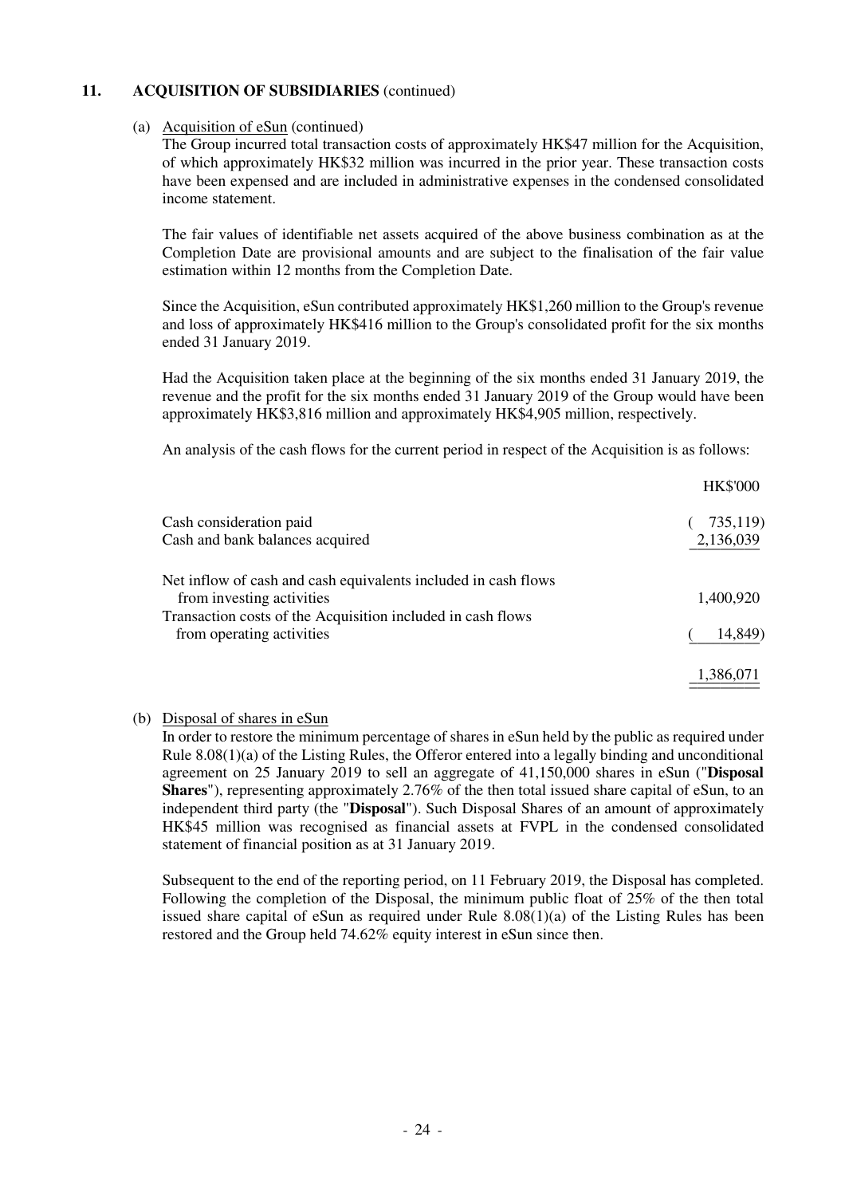### **11. ACQUISITION OF SUBSIDIARIES** (continued)

#### (a) Acquisition of eSun (continued)

The Group incurred total transaction costs of approximately HK\$47 million for the Acquisition, of which approximately HK\$32 million was incurred in the prior year. These transaction costs have been expensed and are included in administrative expenses in the condensed consolidated income statement.

The fair values of identifiable net assets acquired of the above business combination as at the Completion Date are provisional amounts and are subject to the finalisation of the fair value estimation within 12 months from the Completion Date.

Since the Acquisition, eSun contributed approximately HK\$1,260 million to the Group's revenue and loss of approximately HK\$416 million to the Group's consolidated profit for the six months ended 31 January 2019.

Had the Acquisition taken place at the beginning of the six months ended 31 January 2019, the revenue and the profit for the six months ended 31 January 2019 of the Group would have been approximately HK\$3,816 million and approximately HK\$4,905 million, respectively.

An analysis of the cash flows for the current period in respect of the Acquisition is as follows:

|                                                                | <b>HK\$'000</b> |
|----------------------------------------------------------------|-----------------|
| Cash consideration paid                                        | 735,119)        |
| Cash and bank balances acquired                                | 2,136,039       |
| Net inflow of cash and cash equivalents included in cash flows |                 |
| from investing activities                                      | 1,400,920       |
| Transaction costs of the Acquisition included in cash flows    |                 |
| from operating activities                                      | 14,849)         |
|                                                                | 1,386,071       |
|                                                                |                 |

#### (b) Disposal of shares in eSun

In order to restore the minimum percentage of shares in eSun held by the public as required under Rule 8.08(1)(a) of the Listing Rules, the Offeror entered into a legally binding and unconditional agreement on 25 January 2019 to sell an aggregate of 41,150,000 shares in eSun ("**Disposal Shares**"), representing approximately 2.76% of the then total issued share capital of eSun, to an independent third party (the "**Disposal**"). Such Disposal Shares of an amount of approximately HK\$45 million was recognised as financial assets at FVPL in the condensed consolidated statement of financial position as at 31 January 2019.

Subsequent to the end of the reporting period, on 11 February 2019, the Disposal has completed. Following the completion of the Disposal, the minimum public float of 25% of the then total issued share capital of eSun as required under Rule  $8.08(1)(a)$  of the Listing Rules has been restored and the Group held 74.62% equity interest in eSun since then.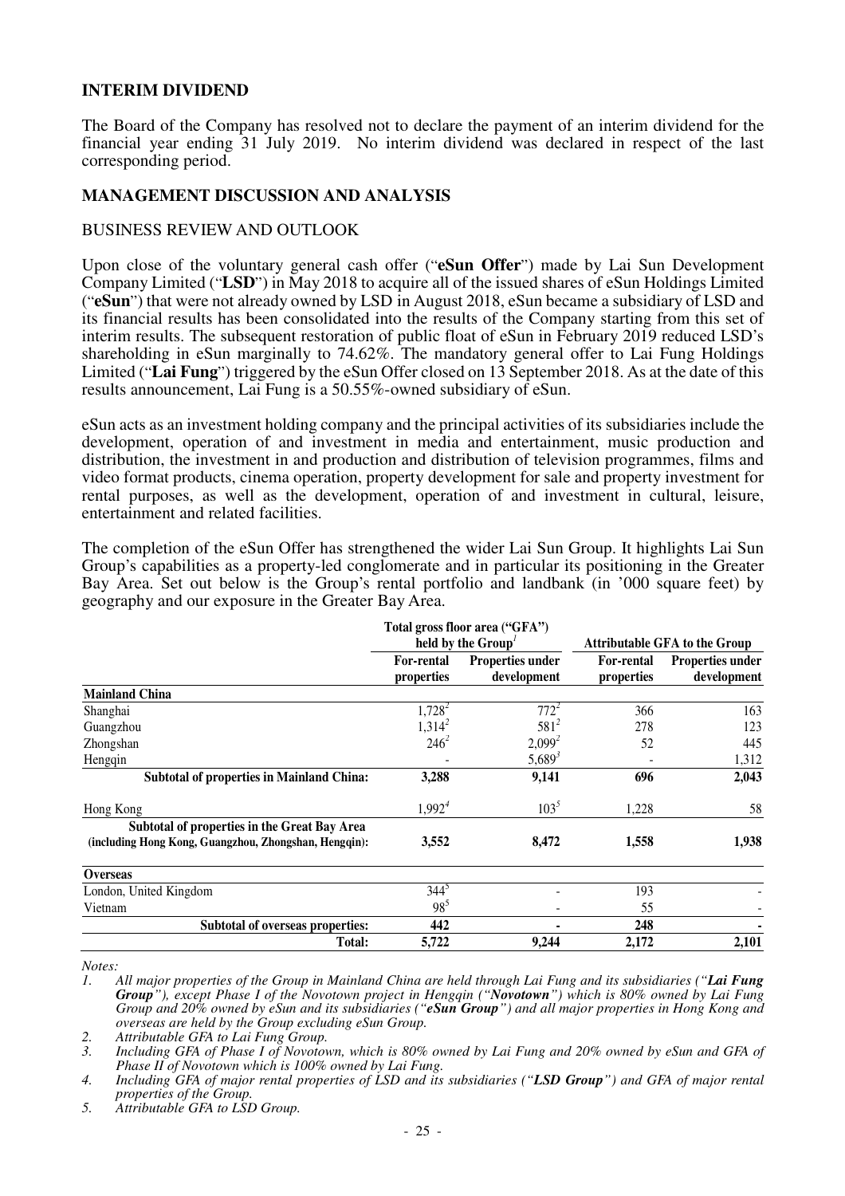### **INTERIM DIVIDEND**

The Board of the Company has resolved not to declare the payment of an interim dividend for the financial year ending 31 July 2019. No interim dividend was declared in respect of the last corresponding period.

#### **MANAGEMENT DISCUSSION AND ANALYSIS**

### BUSINESS REVIEW AND OUTLOOK

Upon close of the voluntary general cash offer ("**eSun Offer**") made by Lai Sun Development Company Limited ("**LSD**") in May 2018 to acquire all of the issued shares of eSun Holdings Limited ("**eSun**") that were not already owned by LSD in August 2018, eSun became a subsidiary of LSD and its financial results has been consolidated into the results of the Company starting from this set of interim results. The subsequent restoration of public float of eSun in February 2019 reduced LSD's shareholding in eSun marginally to 74.62%. The mandatory general offer to Lai Fung Holdings Limited ("**Lai Fung**") triggered by the eSun Offer closed on 13 September 2018. As at the date of this results announcement, Lai Fung is a 50.55%-owned subsidiary of eSun.

eSun acts as an investment holding company and the principal activities of its subsidiaries include the development, operation of and investment in media and entertainment, music production and distribution, the investment in and production and distribution of television programmes, films and video format products, cinema operation, property development for sale and property investment for rental purposes, as well as the development, operation of and investment in cultural, leisure, entertainment and related facilities.

The completion of the eSun Offer has strengthened the wider Lai Sun Group. It highlights Lai Sun Group's capabilities as a property-led conglomerate and in particular its positioning in the Greater Bay Area. Set out below is the Group's rental portfolio and landbank (in '000 square feet) by geography and our exposure in the Greater Bay Area.

|                                                       |                                 | Total gross floor area ("GFA")<br>held by the Group'               |       | <b>Attributable GFA to the Group</b>   |
|-------------------------------------------------------|---------------------------------|--------------------------------------------------------------------|-------|----------------------------------------|
|                                                       | <b>For-rental</b><br>properties | <b>Properties under</b><br>For-rental<br>development<br>properties |       | <b>Properties under</b><br>development |
| <b>Mainland China</b>                                 |                                 |                                                                    |       |                                        |
| Shanghai                                              | $1,728^2$                       | $772^2$                                                            | 366   | 163                                    |
| Guangzhou                                             | $1,314^2$                       | $581^{2}$                                                          | 278   | 123                                    |
| Zhongshan                                             | $246^2$                         | $2,099^2$                                                          | 52    | 445                                    |
| Hengqin                                               |                                 | $5,689^3$                                                          |       | 1,312                                  |
| <b>Subtotal of properties in Mainland China:</b>      | 3,288                           | 9,141                                                              | 696   | 2,043                                  |
| Hong Kong                                             | 1,992 <sup>4</sup>              | $103^5$                                                            | 1,228 | 58                                     |
| Subtotal of properties in the Great Bay Area          |                                 |                                                                    |       |                                        |
| (including Hong Kong, Guangzhou, Zhongshan, Hengqin): | 3,552                           | 8,472                                                              | 1,558 | 1,938                                  |
| <b>Overseas</b>                                       |                                 |                                                                    |       |                                        |
| London, United Kingdom                                | $344^{\circ}$                   |                                                                    | 193   |                                        |
| Vietnam                                               | $98^5$                          |                                                                    | 55    |                                        |
| <b>Subtotal of overseas properties:</b>               | 442                             |                                                                    | 248   |                                        |
| Total:                                                | 5,722                           | 9,244                                                              | 2,172 | 2,101                                  |

*Notes:* 

*1. All major properties of the Group in Mainland China are held through Lai Fung and its subsidiaries ("Lai Fung Group"), except Phase I of the Novotown project in Hengqin ("Novotown") which is 80% owned by Lai Fung Group and 20% owned by eSun and its subsidiaries ("eSun Group") and all major properties in Hong Kong and overseas are held by the Group excluding eSun Group.* 

*2. Attributable GFA to Lai Fung Group.* 

*3. Including GFA of Phase I of Novotown, which is 80% owned by Lai Fung and 20% owned by eSun and GFA of Phase II of Novotown which is 100% owned by Lai Fung.* 

*5. Attributable GFA to LSD Group.* 

*<sup>4.</sup> Including GFA of major rental properties of LSD and its subsidiaries ("LSD Group") and GFA of major rental properties of the Group.*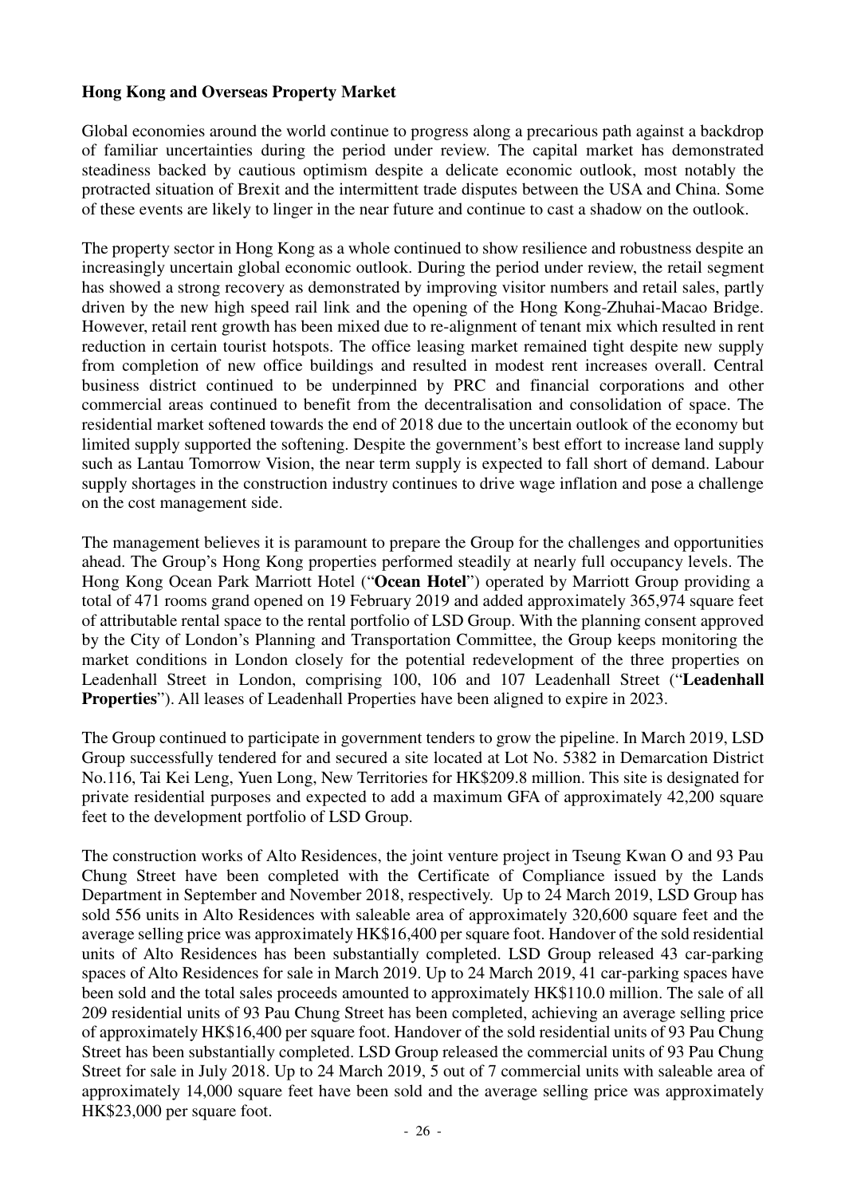## **Hong Kong and Overseas Property Market**

Global economies around the world continue to progress along a precarious path against a backdrop of familiar uncertainties during the period under review. The capital market has demonstrated steadiness backed by cautious optimism despite a delicate economic outlook, most notably the protracted situation of Brexit and the intermittent trade disputes between the USA and China. Some of these events are likely to linger in the near future and continue to cast a shadow on the outlook.

The property sector in Hong Kong as a whole continued to show resilience and robustness despite an increasingly uncertain global economic outlook. During the period under review, the retail segment has showed a strong recovery as demonstrated by improving visitor numbers and retail sales, partly driven by the new high speed rail link and the opening of the Hong Kong-Zhuhai-Macao Bridge. However, retail rent growth has been mixed due to re-alignment of tenant mix which resulted in rent reduction in certain tourist hotspots. The office leasing market remained tight despite new supply from completion of new office buildings and resulted in modest rent increases overall. Central business district continued to be underpinned by PRC and financial corporations and other commercial areas continued to benefit from the decentralisation and consolidation of space. The residential market softened towards the end of 2018 due to the uncertain outlook of the economy but limited supply supported the softening. Despite the government's best effort to increase land supply such as Lantau Tomorrow Vision, the near term supply is expected to fall short of demand. Labour supply shortages in the construction industry continues to drive wage inflation and pose a challenge on the cost management side.

The management believes it is paramount to prepare the Group for the challenges and opportunities ahead. The Group's Hong Kong properties performed steadily at nearly full occupancy levels. The Hong Kong Ocean Park Marriott Hotel ("**Ocean Hotel**") operated by Marriott Group providing a total of 471 rooms grand opened on 19 February 2019 and added approximately 365,974 square feet of attributable rental space to the rental portfolio of LSD Group. With the planning consent approved by the City of London's Planning and Transportation Committee, the Group keeps monitoring the market conditions in London closely for the potential redevelopment of the three properties on Leadenhall Street in London, comprising 100, 106 and 107 Leadenhall Street ("**Leadenhall Properties**"). All leases of Leadenhall Properties have been aligned to expire in 2023.

The Group continued to participate in government tenders to grow the pipeline. In March 2019, LSD Group successfully tendered for and secured a site located at Lot No. 5382 in Demarcation District No.116, Tai Kei Leng, Yuen Long, New Territories for HK\$209.8 million. This site is designated for private residential purposes and expected to add a maximum GFA of approximately 42,200 square feet to the development portfolio of LSD Group.

The construction works of Alto Residences, the joint venture project in Tseung Kwan O and 93 Pau Chung Street have been completed with the Certificate of Compliance issued by the Lands Department in September and November 2018, respectively. Up to 24 March 2019, LSD Group has sold 556 units in Alto Residences with saleable area of approximately 320,600 square feet and the average selling price was approximately HK\$16,400 per square foot. Handover of the sold residential units of Alto Residences has been substantially completed. LSD Group released 43 car-parking spaces of Alto Residences for sale in March 2019. Up to 24 March 2019, 41 car-parking spaces have been sold and the total sales proceeds amounted to approximately HK\$110.0 million. The sale of all 209 residential units of 93 Pau Chung Street has been completed, achieving an average selling price of approximately HK\$16,400 per square foot. Handover of the sold residential units of 93 Pau Chung Street has been substantially completed. LSD Group released the commercial units of 93 Pau Chung Street for sale in July 2018. Up to 24 March 2019, 5 out of 7 commercial units with saleable area of approximately 14,000 square feet have been sold and the average selling price was approximately HK\$23,000 per square foot.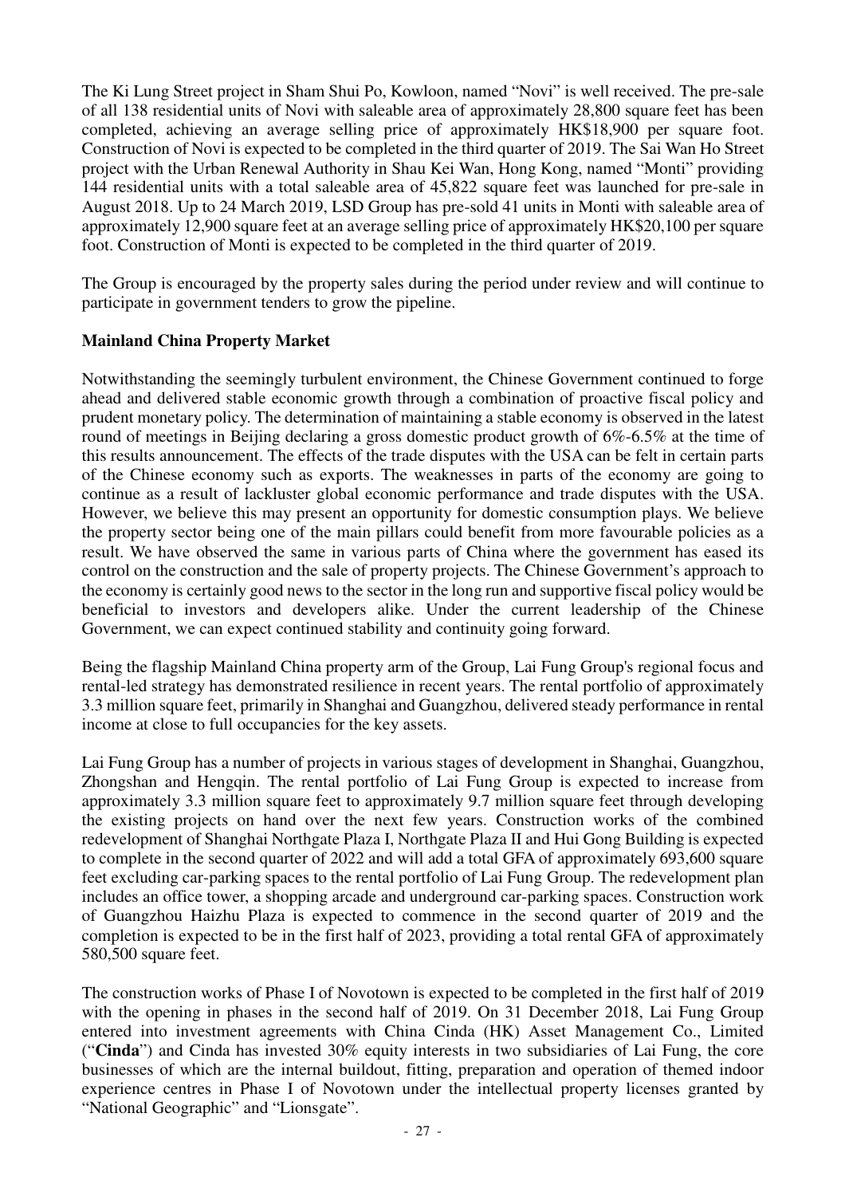The Ki Lung Street project in Sham Shui Po, Kowloon, named "Novi" is well received. The pre-sale of all 138 residential units of Novi with saleable area of approximately 28,800 square feet has been completed, achieving an average selling price of approximately HK\$18,900 per square foot. Construction of Novi is expected to be completed in the third quarter of 2019. The Sai Wan Ho Street project with the Urban Renewal Authority in Shau Kei Wan, Hong Kong, named "Monti" providing 144 residential units with a total saleable area of 45,822 square feet was launched for pre-sale in August 2018. Up to 24 March 2019, LSD Group has pre-sold 41 units in Monti with saleable area of approximately 12,900 square feet at an average selling price of approximately HK\$20,100 per square foot. Construction of Monti is expected to be completed in the third quarter of 2019.

The Group is encouraged by the property sales during the period under review and will continue to participate in government tenders to grow the pipeline.

## **Mainland China Property Market**

Notwithstanding the seemingly turbulent environment, the Chinese Government continued to forge ahead and delivered stable economic growth through a combination of proactive fiscal policy and prudent monetary policy. The determination of maintaining a stable economy is observed in the latest round of meetings in Beijing declaring a gross domestic product growth of 6%-6.5% at the time of this results announcement. The effects of the trade disputes with the USA can be felt in certain parts of the Chinese economy such as exports. The weaknesses in parts of the economy are going to continue as a result of lackluster global economic performance and trade disputes with the USA. However, we believe this may present an opportunity for domestic consumption plays. We believe the property sector being one of the main pillars could benefit from more favourable policies as a result. We have observed the same in various parts of China where the government has eased its control on the construction and the sale of property projects. The Chinese Government's approach to the economy is certainly good news to the sector in the long run and supportive fiscal policy would be beneficial to investors and developers alike. Under the current leadership of the Chinese Government, we can expect continued stability and continuity going forward.

Being the flagship Mainland China property arm of the Group, Lai Fung Group's regional focus and rental-led strategy has demonstrated resilience in recent years. The rental portfolio of approximately 3.3 million square feet, primarily in Shanghai and Guangzhou, delivered steady performance in rental income at close to full occupancies for the key assets.

Lai Fung Group has a number of projects in various stages of development in Shanghai, Guangzhou, Zhongshan and Hengqin. The rental portfolio of Lai Fung Group is expected to increase from approximately 3.3 million square feet to approximately 9.7 million square feet through developing the existing projects on hand over the next few years. Construction works of the combined redevelopment of Shanghai Northgate Plaza I, Northgate Plaza II and Hui Gong Building is expected to complete in the second quarter of 2022 and will add a total GFA of approximately 693,600 square feet excluding car-parking spaces to the rental portfolio of Lai Fung Group. The redevelopment plan includes an office tower, a shopping arcade and underground car-parking spaces. Construction work of Guangzhou Haizhu Plaza is expected to commence in the second quarter of 2019 and the completion is expected to be in the first half of 2023, providing a total rental GFA of approximately 580,500 square feet.

The construction works of Phase I of Novotown is expected to be completed in the first half of 2019 with the opening in phases in the second half of 2019. On 31 December 2018, Lai Fung Group entered into investment agreements with China Cinda (HK) Asset Management Co., Limited ("**Cinda**") and Cinda has invested 30% equity interests in two subsidiaries of Lai Fung, the core businesses of which are the internal buildout, fitting, preparation and operation of themed indoor experience centres in Phase I of Novotown under the intellectual property licenses granted by "National Geographic" and "Lionsgate".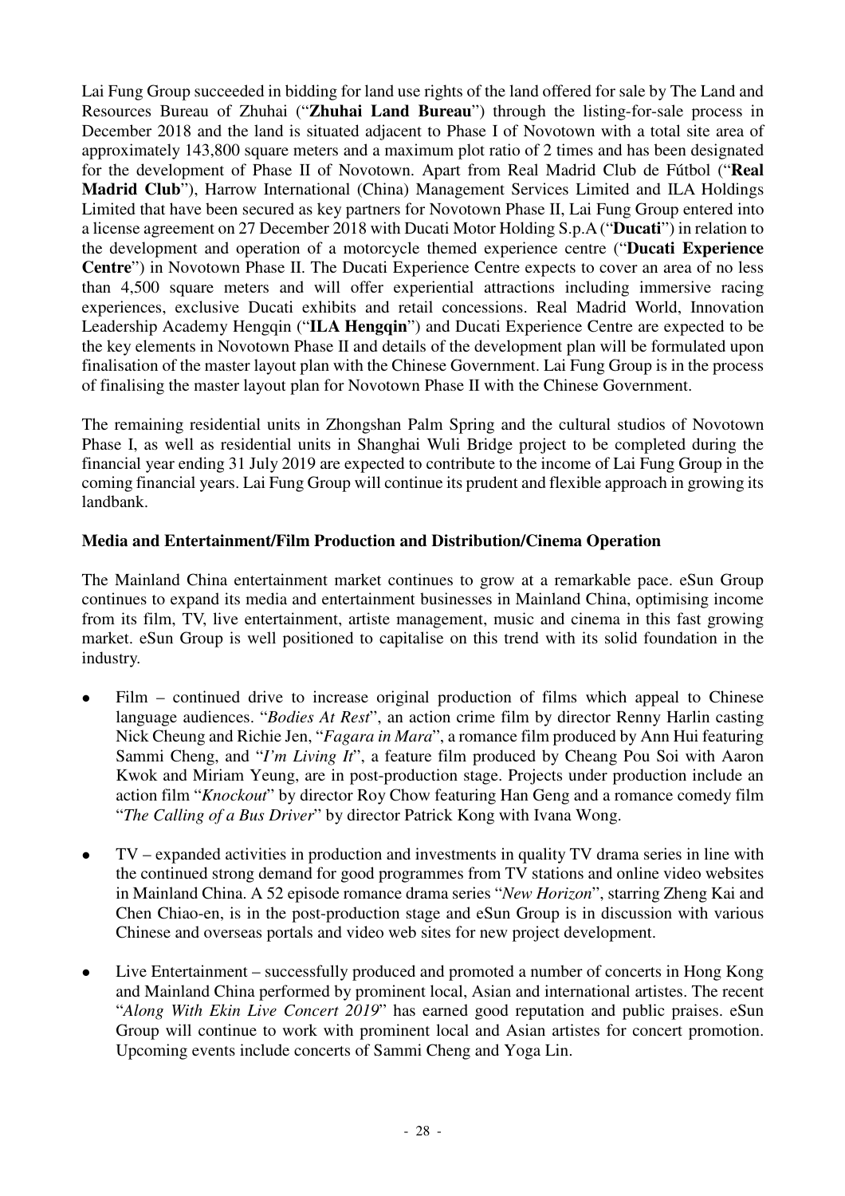Lai Fung Group succeeded in bidding for land use rights of the land offered for sale by The Land and Resources Bureau of Zhuhai ("**Zhuhai Land Bureau**") through the listing-for-sale process in December 2018 and the land is situated adjacent to Phase I of Novotown with a total site area of approximately 143,800 square meters and a maximum plot ratio of 2 times and has been designated for the development of Phase II of Novotown. Apart from Real Madrid Club de Fútbol ("**Real Madrid Club**"), Harrow International (China) Management Services Limited and ILA Holdings Limited that have been secured as key partners for Novotown Phase II, Lai Fung Group entered into a license agreement on 27 December 2018 with Ducati Motor Holding S.p.A ("**Ducati**") in relation to the development and operation of a motorcycle themed experience centre ("**Ducati Experience Centre**") in Novotown Phase II. The Ducati Experience Centre expects to cover an area of no less than 4,500 square meters and will offer experiential attractions including immersive racing experiences, exclusive Ducati exhibits and retail concessions. Real Madrid World, Innovation Leadership Academy Hengqin ("**ILA Hengqin**") and Ducati Experience Centre are expected to be the key elements in Novotown Phase II and details of the development plan will be formulated upon finalisation of the master layout plan with the Chinese Government. Lai Fung Group is in the process of finalising the master layout plan for Novotown Phase II with the Chinese Government.

The remaining residential units in Zhongshan Palm Spring and the cultural studios of Novotown Phase I, as well as residential units in Shanghai Wuli Bridge project to be completed during the financial year ending 31 July 2019 are expected to contribute to the income of Lai Fung Group in the coming financial years. Lai Fung Group will continue its prudent and flexible approach in growing its landbank.

## **Media and Entertainment/Film Production and Distribution/Cinema Operation**

The Mainland China entertainment market continues to grow at a remarkable pace. eSun Group continues to expand its media and entertainment businesses in Mainland China, optimising income from its film, TV, live entertainment, artiste management, music and cinema in this fast growing market. eSun Group is well positioned to capitalise on this trend with its solid foundation in the industry.

- Film continued drive to increase original production of films which appeal to Chinese language audiences. "*Bodies At Rest*", an action crime film by director Renny Harlin casting Nick Cheung and Richie Jen, "*Fagara in Mara*", a romance film produced by Ann Hui featuring Sammi Cheng, and "*I'm Living It*", a feature film produced by Cheang Pou Soi with Aaron Kwok and Miriam Yeung, are in post-production stage. Projects under production include an action film "*Knockout*" by director Roy Chow featuring Han Geng and a romance comedy film "*The Calling of a Bus Driver*" by director Patrick Kong with Ivana Wong.
- TV expanded activities in production and investments in quality TV drama series in line with the continued strong demand for good programmes from TV stations and online video websites in Mainland China. A 52 episode romance drama series "*New Horizon*", starring Zheng Kai and Chen Chiao-en, is in the post-production stage and eSun Group is in discussion with various Chinese and overseas portals and video web sites for new project development.
- Live Entertainment successfully produced and promoted a number of concerts in Hong Kong and Mainland China performed by prominent local, Asian and international artistes. The recent "*Along With Ekin Live Concert 2019*" has earned good reputation and public praises. eSun Group will continue to work with prominent local and Asian artistes for concert promotion. Upcoming events include concerts of Sammi Cheng and Yoga Lin.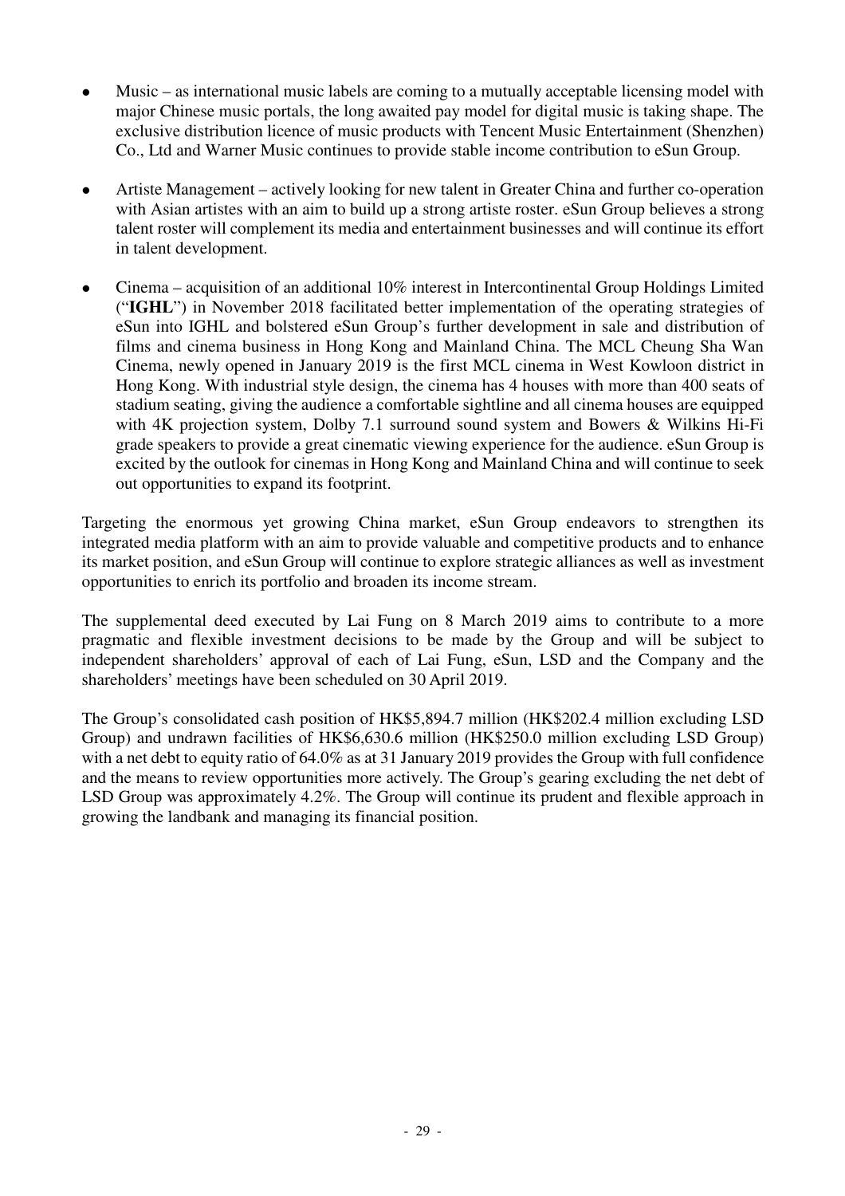- Music as international music labels are coming to a mutually acceptable licensing model with major Chinese music portals, the long awaited pay model for digital music is taking shape. The exclusive distribution licence of music products with Tencent Music Entertainment (Shenzhen) Co., Ltd and Warner Music continues to provide stable income contribution to eSun Group.
- Artiste Management actively looking for new talent in Greater China and further co-operation with Asian artistes with an aim to build up a strong artiste roster. eSun Group believes a strong talent roster will complement its media and entertainment businesses and will continue its effort in talent development.
- Cinema acquisition of an additional 10% interest in Intercontinental Group Holdings Limited ("**IGHL**") in November 2018 facilitated better implementation of the operating strategies of eSun into IGHL and bolstered eSun Group's further development in sale and distribution of films and cinema business in Hong Kong and Mainland China. The MCL Cheung Sha Wan Cinema, newly opened in January 2019 is the first MCL cinema in West Kowloon district in Hong Kong. With industrial style design, the cinema has 4 houses with more than 400 seats of stadium seating, giving the audience a comfortable sightline and all cinema houses are equipped with 4K projection system, Dolby 7.1 surround sound system and Bowers & Wilkins Hi-Fi grade speakers to provide a great cinematic viewing experience for the audience. eSun Group is excited by the outlook for cinemas in Hong Kong and Mainland China and will continue to seek out opportunities to expand its footprint.

Targeting the enormous yet growing China market, eSun Group endeavors to strengthen its integrated media platform with an aim to provide valuable and competitive products and to enhance its market position, and eSun Group will continue to explore strategic alliances as well as investment opportunities to enrich its portfolio and broaden its income stream.

The supplemental deed executed by Lai Fung on 8 March 2019 aims to contribute to a more pragmatic and flexible investment decisions to be made by the Group and will be subject to independent shareholders' approval of each of Lai Fung, eSun, LSD and the Company and the shareholders' meetings have been scheduled on 30 April 2019.

The Group's consolidated cash position of HK\$5,894.7 million (HK\$202.4 million excluding LSD Group) and undrawn facilities of HK\$6,630.6 million (HK\$250.0 million excluding LSD Group) with a net debt to equity ratio of 64.0% as at 31 January 2019 provides the Group with full confidence and the means to review opportunities more actively. The Group's gearing excluding the net debt of LSD Group was approximately 4.2%. The Group will continue its prudent and flexible approach in growing the landbank and managing its financial position.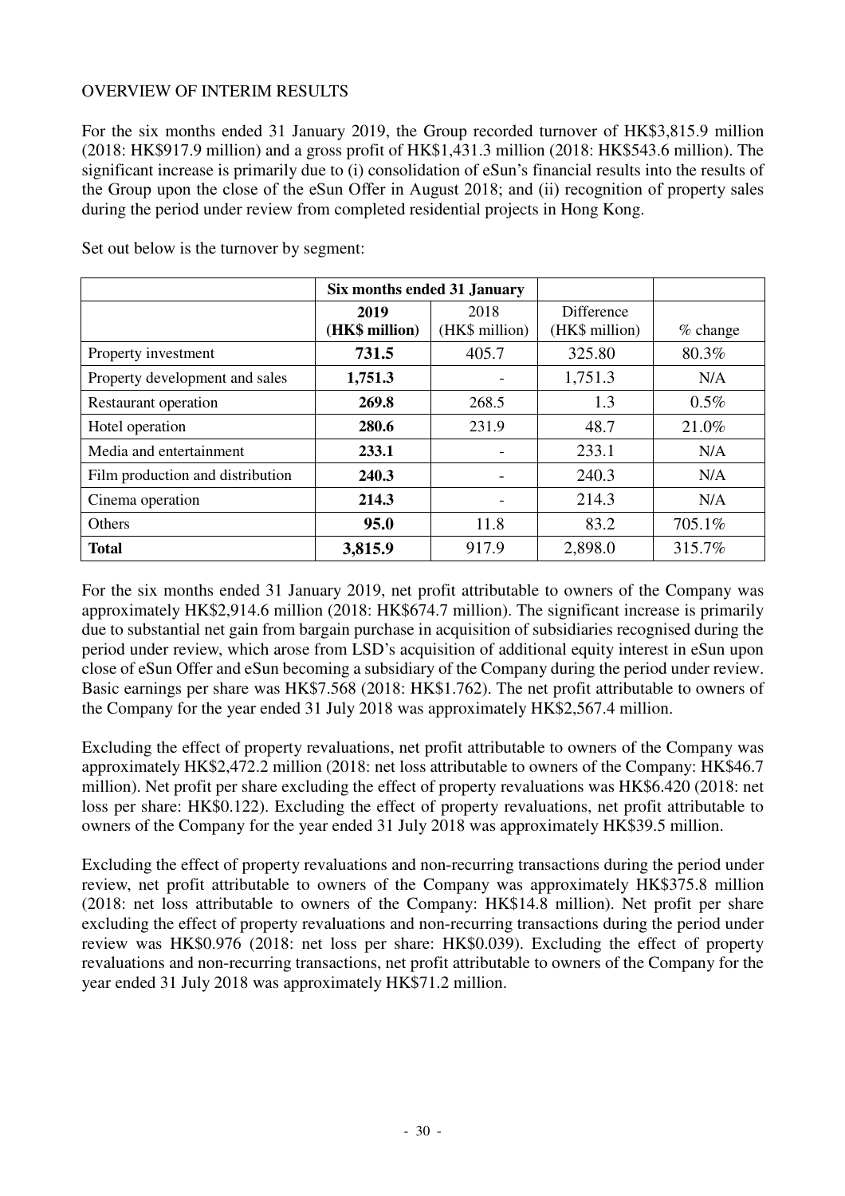## OVERVIEW OF INTERIM RESULTS

For the six months ended 31 January 2019, the Group recorded turnover of HK\$3,815.9 million (2018: HK\$917.9 million) and a gross profit of HK\$1,431.3 million (2018: HK\$543.6 million). The significant increase is primarily due to (i) consolidation of eSun's financial results into the results of the Group upon the close of the eSun Offer in August 2018; and (ii) recognition of property sales during the period under review from completed residential projects in Hong Kong.

|                                  | Six months ended 31 January |                |                   |            |
|----------------------------------|-----------------------------|----------------|-------------------|------------|
|                                  | 2019                        | 2018           | <b>Difference</b> |            |
|                                  | (HK\$ million)              | (HK\$ million) | (HK\$ million)    | $%$ change |
| Property investment              | 731.5                       | 405.7          | 325.80            | 80.3%      |
| Property development and sales   | 1,751.3                     |                | 1,751.3           | N/A        |
| Restaurant operation             | 269.8                       | 268.5          | 1.3               | $0.5\%$    |
| Hotel operation                  | 280.6                       | 231.9          | 48.7              | 21.0%      |
| Media and entertainment          | 233.1                       |                | 233.1             | N/A        |
| Film production and distribution | 240.3                       |                | 240.3             | N/A        |
| Cinema operation                 | 214.3                       |                | 214.3             | N/A        |
| Others                           | 95.0                        | 11.8           | 83.2              | 705.1%     |
| <b>Total</b>                     | 3,815.9                     | 917.9          | 2,898.0           | 315.7%     |

Set out below is the turnover by segment:

For the six months ended 31 January 2019, net profit attributable to owners of the Company was approximately HK\$2,914.6 million (2018: HK\$674.7 million). The significant increase is primarily due to substantial net gain from bargain purchase in acquisition of subsidiaries recognised during the period under review, which arose from LSD's acquisition of additional equity interest in eSun upon close of eSun Offer and eSun becoming a subsidiary of the Company during the period under review. Basic earnings per share was HK\$7.568 (2018: HK\$1.762). The net profit attributable to owners of the Company for the year ended 31 July 2018 was approximately HK\$2,567.4 million.

Excluding the effect of property revaluations, net profit attributable to owners of the Company was approximately HK\$2,472.2 million (2018: net loss attributable to owners of the Company: HK\$46.7 million). Net profit per share excluding the effect of property revaluations was HK\$6.420 (2018: net loss per share: HK\$0.122). Excluding the effect of property revaluations, net profit attributable to owners of the Company for the year ended 31 July 2018 was approximately HK\$39.5 million.

Excluding the effect of property revaluations and non-recurring transactions during the period under review, net profit attributable to owners of the Company was approximately HK\$375.8 million (2018: net loss attributable to owners of the Company: HK\$14.8 million). Net profit per share excluding the effect of property revaluations and non-recurring transactions during the period under review was HK\$0.976 (2018: net loss per share: HK\$0.039). Excluding the effect of property revaluations and non-recurring transactions, net profit attributable to owners of the Company for the year ended 31 July 2018 was approximately HK\$71.2 million.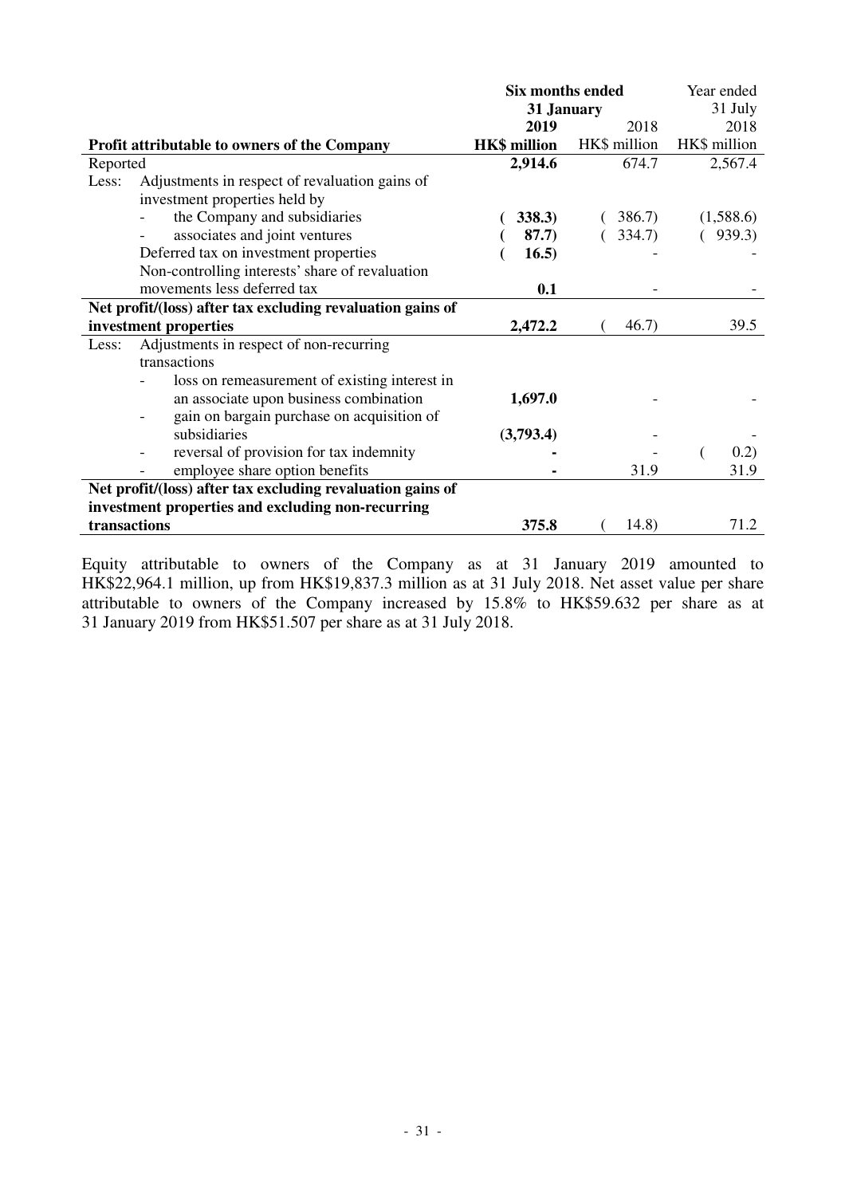|                                                            | <b>Six months ended</b> | Year ended   |              |  |
|------------------------------------------------------------|-------------------------|--------------|--------------|--|
|                                                            |                         | 31 January   |              |  |
|                                                            | 2019                    | 2018         | 2018         |  |
| <b>Profit attributable to owners of the Company</b>        | <b>HK\$</b> million     | HK\$ million | HK\$ million |  |
| Reported                                                   | 2,914.6                 | 674.7        | 2,567.4      |  |
| Adjustments in respect of revaluation gains of<br>Less:    |                         |              |              |  |
| investment properties held by                              |                         |              |              |  |
| the Company and subsidiaries                               | 338.3)                  | 386.7        | (1,588.6)    |  |
| associates and joint ventures                              | 87.7)                   | 334.7)       | 939.3)       |  |
| Deferred tax on investment properties                      | 16.5)                   |              |              |  |
| Non-controlling interests' share of revaluation            |                         |              |              |  |
| movements less deferred tax                                | 0.1                     |              |              |  |
| Net profit/(loss) after tax excluding revaluation gains of |                         |              |              |  |
| investment properties                                      | 2,472.2                 | 46.7)        | 39.5         |  |
| Adjustments in respect of non-recurring<br>Less:           |                         |              |              |  |
| transactions                                               |                         |              |              |  |
| loss on remeasurement of existing interest in              |                         |              |              |  |
| an associate upon business combination                     | 1,697.0                 |              |              |  |
| gain on bargain purchase on acquisition of                 |                         |              |              |  |
| subsidiaries                                               | (3,793.4)               |              |              |  |
| reversal of provision for tax indemnity                    |                         |              | 0.2)         |  |
| employee share option benefits                             |                         | 31.9         | 31.9         |  |
| Net profit/(loss) after tax excluding revaluation gains of |                         |              |              |  |
| investment properties and excluding non-recurring          |                         |              |              |  |
| transactions                                               | 375.8                   | 14.8)        | 71.2         |  |

Equity attributable to owners of the Company as at 31 January 2019 amounted to HK\$22,964.1 million, up from HK\$19,837.3 million as at 31 July 2018. Net asset value per share attributable to owners of the Company increased by 15.8% to HK\$59.632 per share as at 31 January 2019 from HK\$51.507 per share as at 31 July 2018.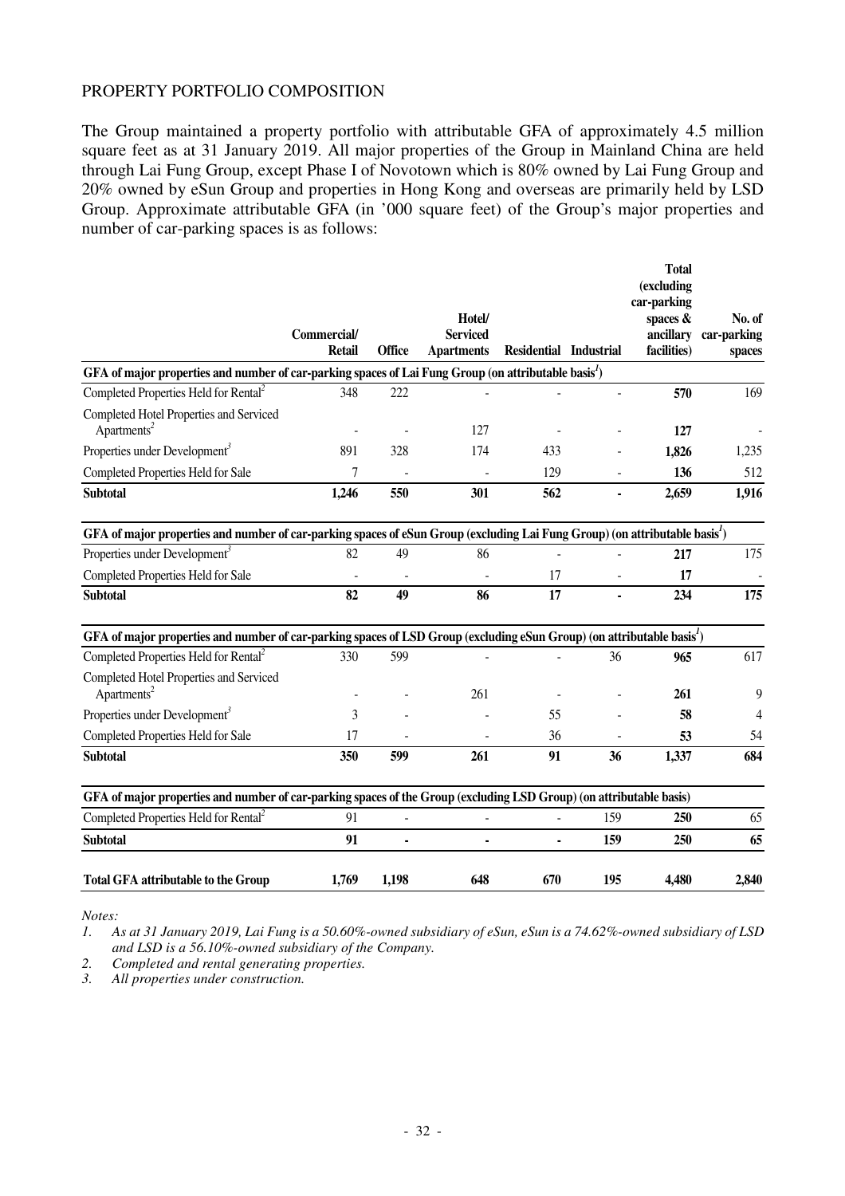#### PROPERTY PORTFOLIO COMPOSITION

The Group maintained a property portfolio with attributable GFA of approximately 4.5 million square feet as at 31 January 2019. All major properties of the Group in Mainland China are held through Lai Fung Group, except Phase I of Novotown which is 80% owned by Lai Fung Group and 20% owned by eSun Group and properties in Hong Kong and overseas are primarily held by LSD Group. Approximate attributable GFA (in '000 square feet) of the Group's major properties and number of car-parking spaces is as follows:

|                                                                                                                                         | Commercial/<br><b>Retail</b> | <b>Office</b>            | Hotel/<br><b>Serviced</b><br><b>Apartments</b> | Residential Industrial |     | <b>Total</b><br>(excluding<br>car-parking<br>spaces &<br>ancillary<br>facilities) | No. of<br>car-parking<br>spaces |
|-----------------------------------------------------------------------------------------------------------------------------------------|------------------------------|--------------------------|------------------------------------------------|------------------------|-----|-----------------------------------------------------------------------------------|---------------------------------|
| GFA of major properties and number of car-parking spaces of Lai Fung Group (on attributable basis <sup>1</sup> )                        |                              |                          |                                                |                        |     |                                                                                   |                                 |
| Completed Properties Held for Rental <sup>2</sup>                                                                                       | 348                          | 222                      |                                                |                        |     | 570                                                                               | 169                             |
| Completed Hotel Properties and Serviced<br>Apartments <sup>2</sup>                                                                      |                              |                          | 127                                            |                        |     | 127                                                                               |                                 |
| Properties under Development <sup>3</sup>                                                                                               | 891                          | 328                      | 174                                            | 433                    |     | 1,826                                                                             | 1,235                           |
| Completed Properties Held for Sale                                                                                                      | 7                            |                          |                                                | 129                    |     | 136                                                                               | 512                             |
| <b>Subtotal</b>                                                                                                                         | 1,246                        | 550                      | 301                                            | 562                    |     | 2,659                                                                             | 1,916                           |
| GFA of major properties and number of car-parking spaces of eSun Group (excluding Lai Fung Group) (on attributable basis <sup>1</sup> ) |                              |                          |                                                |                        |     |                                                                                   |                                 |
| Properties under Development <sup>3</sup>                                                                                               | 82                           | 49                       | 86                                             |                        |     | 217                                                                               | 175                             |
| Completed Properties Held for Sale                                                                                                      |                              | $\overline{\phantom{a}}$ |                                                | 17                     |     | 17                                                                                |                                 |
| <b>Subtotal</b>                                                                                                                         | 82                           | 49                       | 86                                             | 17                     |     | 234                                                                               | 175                             |
| GFA of major properties and number of car-parking spaces of LSD Group (excluding eSun Group) (on attributable basis <sup>1</sup> )      |                              |                          |                                                |                        |     |                                                                                   |                                 |
| Completed Properties Held for Rental <sup>2</sup>                                                                                       | 330                          | 599                      |                                                |                        | 36  | 965                                                                               | 617                             |
| Completed Hotel Properties and Serviced<br>Apartments <sup>2</sup>                                                                      |                              |                          | 261                                            |                        |     | 261                                                                               | 9                               |
| Properties under Development <sup>3</sup>                                                                                               | 3                            |                          |                                                | 55                     |     | 58                                                                                | 4                               |
| Completed Properties Held for Sale                                                                                                      | 17                           |                          |                                                | 36                     |     | 53                                                                                | 54                              |
| <b>Subtotal</b>                                                                                                                         | 350                          | 599                      | 261                                            | 91                     | 36  | 1,337                                                                             | 684                             |
| GFA of major properties and number of car-parking spaces of the Group (excluding LSD Group) (on attributable basis)                     |                              |                          |                                                |                        |     |                                                                                   |                                 |
| Completed Properties Held for Rental <sup>2</sup>                                                                                       | 91                           |                          |                                                |                        | 159 | 250                                                                               | 65                              |
| <b>Subtotal</b>                                                                                                                         | 91                           | ä,                       | $\blacksquare$                                 | $\blacksquare$         | 159 | 250                                                                               | 65                              |
| <b>Total GFA attributable to the Group</b>                                                                                              | 1,769                        | 1,198                    | 648                                            | 670                    | 195 | 4,480                                                                             | 2,840                           |

*Notes:* 

*1. As at 31 January 2019, Lai Fung is a 50.60%-owned subsidiary of eSun, eSun is a 74.62%-owned subsidiary of LSD and LSD is a 56.10%-owned subsidiary of the Company.* 

*2. Completed and rental generating properties.* 

*3. All properties under construction.*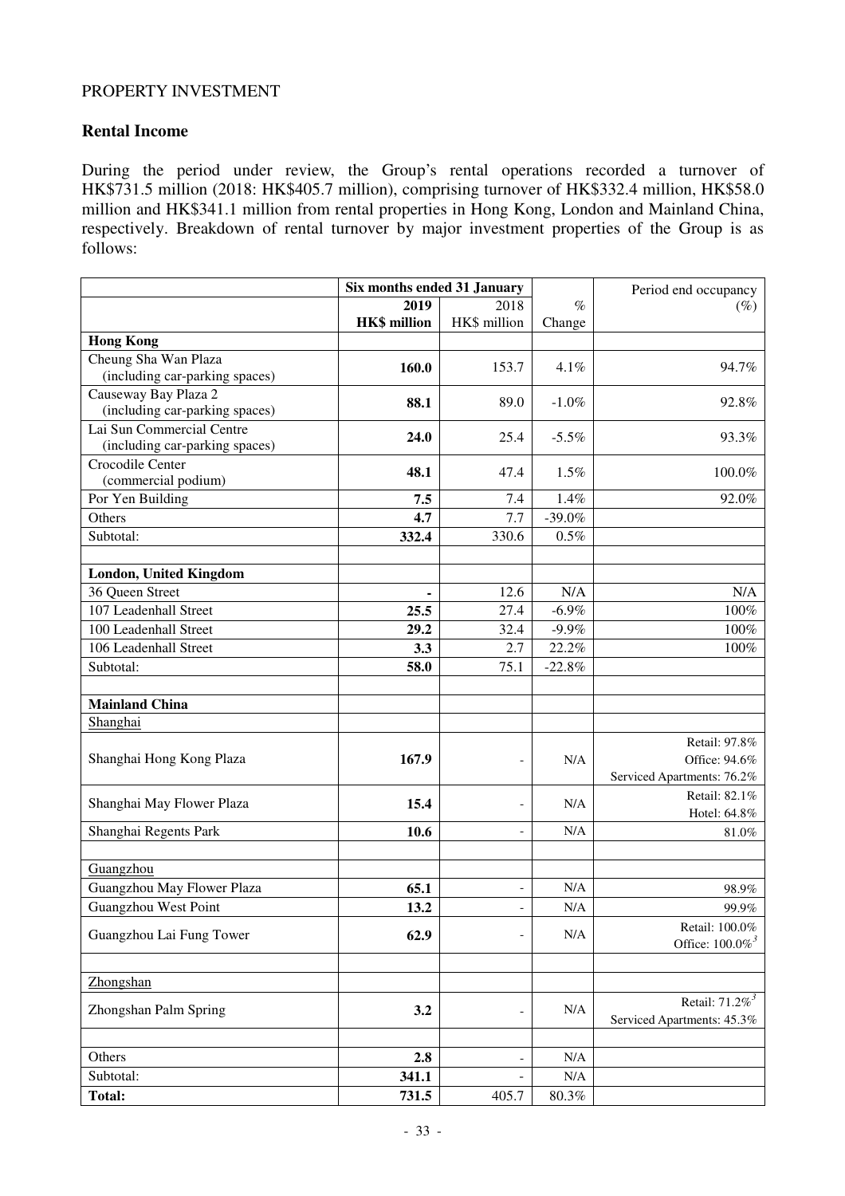### PROPERTY INVESTMENT

### **Rental Income**

During the period under review, the Group's rental operations recorded a turnover of HK\$731.5 million (2018: HK\$405.7 million), comprising turnover of HK\$332.4 million, HK\$58.0 million and HK\$341.1 million from rental properties in Hong Kong, London and Mainland China, respectively. Breakdown of rental turnover by major investment properties of the Group is as follows:

|                                                             | Six months ended 31 January |                          |           | Period end occupancy                                         |
|-------------------------------------------------------------|-----------------------------|--------------------------|-----------|--------------------------------------------------------------|
|                                                             | 2019                        | 2018                     | $\%$      | $(\%)$                                                       |
|                                                             | <b>HK\$</b> million         | HK\$ million             | Change    |                                                              |
| <b>Hong Kong</b>                                            |                             |                          |           |                                                              |
| Cheung Sha Wan Plaza                                        | 160.0                       | 153.7                    | 4.1%      | 94.7%                                                        |
| (including car-parking spaces)                              |                             |                          |           |                                                              |
| Causeway Bay Plaza 2<br>(including car-parking spaces)      | 88.1                        | 89.0                     | $-1.0\%$  | 92.8%                                                        |
| Lai Sun Commercial Centre<br>(including car-parking spaces) | 24.0                        | 25.4                     | $-5.5\%$  | 93.3%                                                        |
| Crocodile Center<br>(commercial podium)                     | 48.1                        | 47.4                     | 1.5%      | 100.0%                                                       |
| Por Yen Building                                            | 7.5                         | 7.4                      | 1.4%      | 92.0%                                                        |
| Others                                                      | 4.7                         | 7.7                      | $-39.0%$  |                                                              |
| Subtotal:                                                   | 332.4                       | 330.6                    | 0.5%      |                                                              |
|                                                             |                             |                          |           |                                                              |
| London, United Kingdom                                      |                             |                          |           |                                                              |
| 36 Queen Street                                             |                             | 12.6                     | N/A       | N/A                                                          |
| 107 Leadenhall Street                                       | 25.5                        | 27.4                     | $-6.9\%$  | 100%                                                         |
| 100 Leadenhall Street                                       | 29.2                        | 32.4                     | $-9.9\%$  | 100%                                                         |
| 106 Leadenhall Street                                       | 3.3                         | 2.7                      | 22.2%     | 100%                                                         |
| Subtotal:                                                   | 58.0                        | 75.1                     | $-22.8%$  |                                                              |
|                                                             |                             |                          |           |                                                              |
| <b>Mainland China</b>                                       |                             |                          |           |                                                              |
| Shanghai                                                    |                             |                          |           |                                                              |
| Shanghai Hong Kong Plaza                                    | 167.9                       | $\overline{\phantom{a}}$ | N/A       | Retail: 97.8%<br>Office: 94.6%<br>Serviced Apartments: 76.2% |
| Shanghai May Flower Plaza                                   | 15.4                        | $\overline{\phantom{a}}$ | N/A       | Retail: 82.1%<br>Hotel: 64.8%                                |
| Shanghai Regents Park                                       | 10.6                        | $\overline{\phantom{a}}$ | N/A       | 81.0%                                                        |
|                                                             |                             |                          |           |                                                              |
| Guangzhou                                                   |                             |                          |           |                                                              |
| Guangzhou May Flower Plaza                                  | 65.1                        | $\overline{\phantom{a}}$ | N/A       | 98.9%                                                        |
| Guangzhou West Point                                        | 13.2                        | $\overline{\phantom{a}}$ | N/A       | 99.9%                                                        |
| Guangzhou Lai Fung Tower                                    | 62.9                        | $\overline{\phantom{a}}$ | N/A       | Retail: 100.0%<br>Office: $100.0\%$ <sup>3</sup>             |
| Zhongshan                                                   |                             |                          |           |                                                              |
| Zhongshan Palm Spring                                       | 3.2                         | $\overline{\phantom{a}}$ | N/A       | Retail: $71.2\%$ <sup>3</sup><br>Serviced Apartments: 45.3%  |
|                                                             |                             |                          |           |                                                              |
| Others                                                      | 2.8                         | $\overline{\phantom{a}}$ | N/A       |                                                              |
| Subtotal:                                                   | 341.1                       |                          | $\rm N/A$ |                                                              |
| <b>Total:</b>                                               | 731.5                       | 405.7                    | $80.3\%$  |                                                              |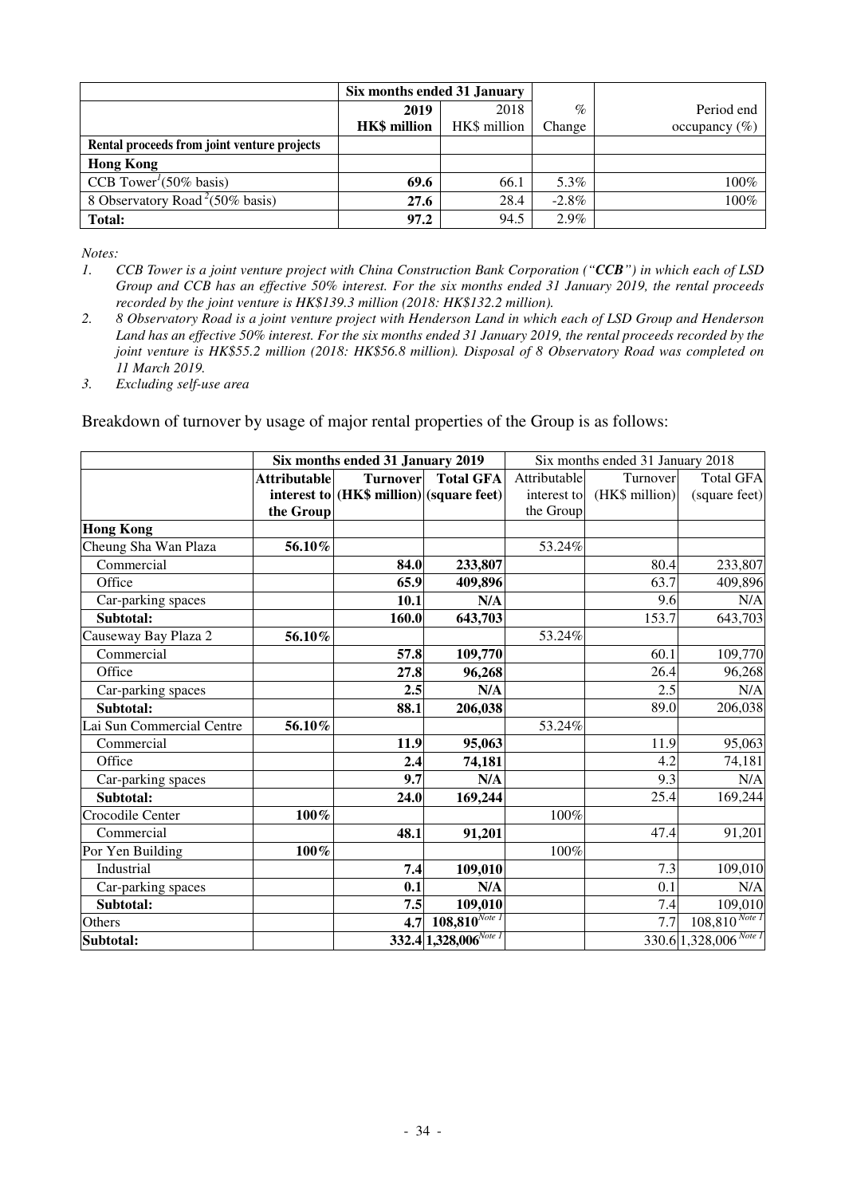|                                                 | Six months ended 31 January |              |          |                   |
|-------------------------------------------------|-----------------------------|--------------|----------|-------------------|
|                                                 | 2019                        | 2018         | $\%$     | Period end        |
|                                                 | <b>HK\$</b> million         | HK\$ million | Change   | occupancy $(\% )$ |
| Rental proceeds from joint venture projects     |                             |              |          |                   |
| <b>Hong Kong</b>                                |                             |              |          |                   |
| CCB Tower <sup><math>1</math></sup> (50% basis) | 69.6                        | 66.1         | 5.3%     | $100\%$           |
| 8 Observatory Road <sup>2</sup> (50% basis)     | 27.6                        | 28.4         | $-2.8\%$ | $100\%$           |
| Total:                                          | 97.2                        | 94.5         | $2.9\%$  |                   |

*Notes:* 

- *1. CCB Tower is a joint venture project with China Construction Bank Corporation ("CCB") in which each of LSD Group and CCB has an effective 50% interest. For the six months ended 31 January 2019, the rental proceeds recorded by the joint venture is HK\$139.3 million (2018: HK\$132.2 million).*
- *2. 8 Observatory Road is a joint venture project with Henderson Land in which each of LSD Group and Henderson Land has an effective 50% interest. For the six months ended 31 January 2019, the rental proceeds recorded by the joint venture is HK\$55.2 million (2018: HK\$56.8 million). Disposal of 8 Observatory Road was completed on 11 March 2019.*
- *3. Excluding self-use area*

Breakdown of turnover by usage of major rental properties of the Group is as follows:

|                           |                     | Six months ended 31 January 2019         |                            | Six months ended 31 January 2018 |                |                                        |
|---------------------------|---------------------|------------------------------------------|----------------------------|----------------------------------|----------------|----------------------------------------|
|                           | <b>Attributable</b> | <b>Turnover</b>                          | <b>Total GFA</b>           | Attributable                     | Turnover       | <b>Total GFA</b>                       |
|                           |                     | interest to (HK\$ million) (square feet) |                            | interest to                      | (HK\$ million) | (square feet)                          |
|                           | the Group           |                                          |                            | the Group                        |                |                                        |
| <b>Hong Kong</b>          |                     |                                          |                            |                                  |                |                                        |
| Cheung Sha Wan Plaza      | 56.10%              |                                          |                            | 53.24%                           |                |                                        |
| Commercial                |                     | 84.0                                     | 233,807                    |                                  | 80.4           | 233,807                                |
| Office                    |                     | 65.9                                     | 409,896                    |                                  | 63.7           | 409,896                                |
| Car-parking spaces        |                     | 10.1                                     | N/A                        |                                  | 9.6            | N/A                                    |
| Subtotal:                 |                     | 160.0                                    | 643,703                    |                                  | 153.7          | 643,703                                |
| Causeway Bay Plaza 2      | 56.10%              |                                          |                            | 53.24%                           |                |                                        |
| Commercial                |                     | 57.8                                     | 109,770                    |                                  | 60.1           | 109,770                                |
| Office                    |                     | 27.8                                     | 96,268                     |                                  | 26.4           | 96,268                                 |
| Car-parking spaces        |                     | 2.5                                      | N/A                        |                                  | 2.5            | N/A                                    |
| Subtotal:                 |                     | 88.1                                     | 206,038                    |                                  | 89.0           | 206,038                                |
| Lai Sun Commercial Centre | 56.10%              |                                          |                            | 53.24%                           |                |                                        |
| Commercial                |                     | 11.9                                     | 95,063                     |                                  | 11.9           | 95,063                                 |
| Office                    |                     | 2.4                                      | 74,181                     |                                  | 4.2            | 74,181                                 |
| Car-parking spaces        |                     | 9.7                                      | N/A                        |                                  | 9.3            | N/A                                    |
| Subtotal:                 |                     | 24.0                                     | 169,244                    |                                  | 25.4           | 169,244                                |
| Crocodile Center          | 100%                |                                          |                            | 100%                             |                |                                        |
| Commercial                |                     | 48.1                                     | 91,201                     |                                  | 47.4           | 91,201                                 |
| Por Yen Building          | 100%                |                                          |                            | 100%                             |                |                                        |
| Industrial                |                     | 7.4                                      | 109,010                    |                                  | 7.3            | 109,010                                |
| Car-parking spaces        |                     | 0.1                                      | N/A                        |                                  | 0.1            | N/A                                    |
| Subtotal:                 |                     | 7.5                                      | 109,010                    |                                  | 7.4            | 109,010                                |
| Others                    |                     | 4.7                                      | $108,810^{Note I}$         |                                  | 7.7            | $\overline{108,\!810^{{\it Note\,I}}}$ |
| Subtotal:                 |                     |                                          | $332.4 1,328,006^{Note I}$ |                                  |                | $330.6$ 1,328,006 <sup>Note 1</sup>    |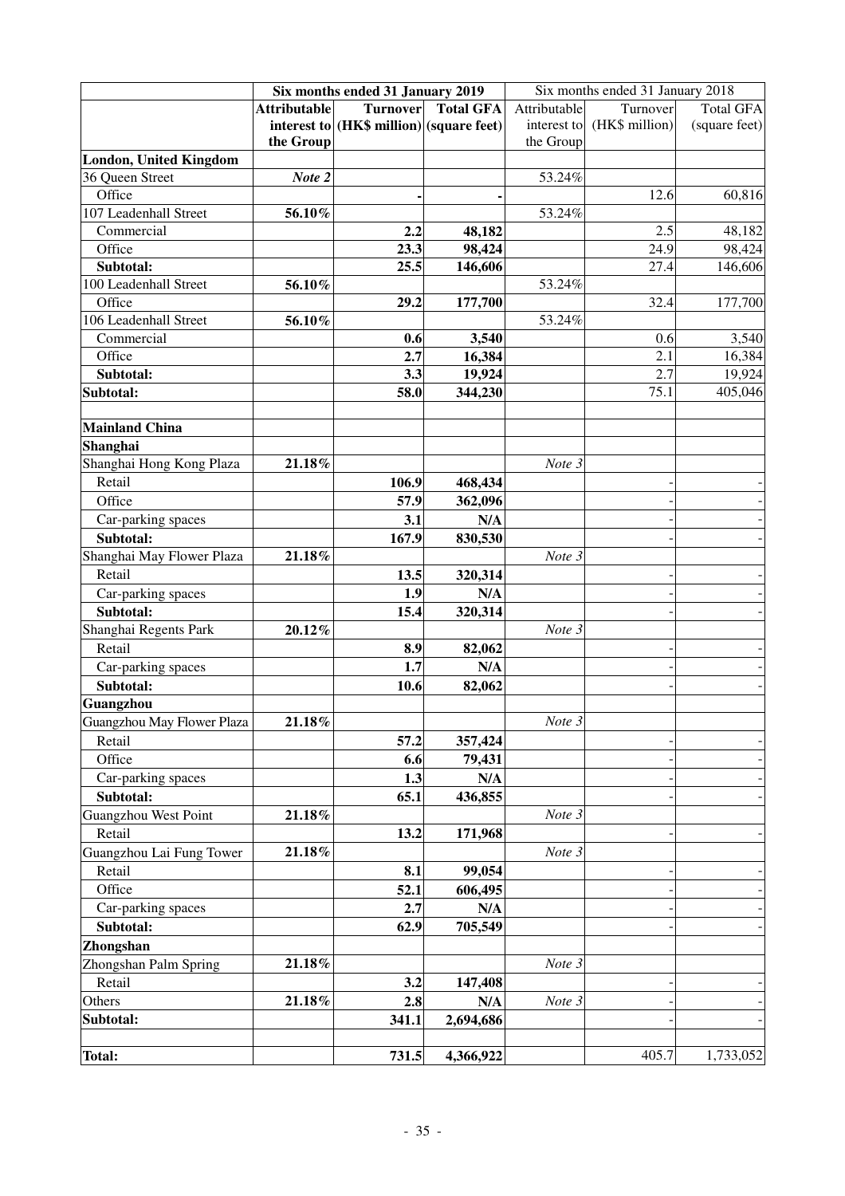|                               | Six months ended 31 January 2019 |                                          |                  | Six months ended 31 January 2018 |                |                  |
|-------------------------------|----------------------------------|------------------------------------------|------------------|----------------------------------|----------------|------------------|
|                               | <b>Attributable</b>              | <b>Turnover</b>                          | <b>Total GFA</b> | Attributable                     | Turnover       | <b>Total GFA</b> |
|                               |                                  | interest to (HK\$ million) (square feet) |                  | interest to                      | (HK\$ million) | (square feet)    |
|                               | the Group                        |                                          |                  | the Group                        |                |                  |
| <b>London, United Kingdom</b> |                                  |                                          |                  |                                  |                |                  |
| 36 Queen Street               | Note 2                           |                                          |                  | 53.24%                           |                |                  |
| Office                        |                                  |                                          |                  |                                  | 12.6           | 60,816           |
| 107 Leadenhall Street         | 56.10%                           |                                          |                  | 53.24%                           |                |                  |
| Commercial                    |                                  | 2.2                                      | 48,182           |                                  | 2.5            | 48,182           |
| Office                        |                                  | 23.3                                     | 98,424           |                                  | 24.9           | 98,424           |
| Subtotal:                     |                                  | 25.5                                     | 146,606          |                                  | 27.4           | 146,606          |
| 100 Leadenhall Street         | 56.10%                           |                                          |                  | 53.24%                           |                |                  |
| Office                        |                                  | 29.2                                     | 177,700          |                                  | 32.4           | 177,700          |
| 106 Leadenhall Street         | 56.10%                           |                                          |                  | 53.24%                           |                |                  |
| Commercial                    |                                  | 0.6                                      | 3,540            |                                  | 0.6            | 3,540            |
| Office                        |                                  | 2.7                                      | 16,384           |                                  | 2.1            | 16,384           |
| Subtotal:                     |                                  | 3.3                                      | 19,924           |                                  | 2.7            | 19,924           |
| Subtotal:                     |                                  | 58.0                                     | 344,230          |                                  | 75.1           | 405,046          |
|                               |                                  |                                          |                  |                                  |                |                  |
| <b>Mainland China</b>         |                                  |                                          |                  |                                  |                |                  |
| Shanghai                      |                                  |                                          |                  |                                  |                |                  |
| Shanghai Hong Kong Plaza      | 21.18%                           |                                          |                  | Note 3                           |                |                  |
| Retail                        |                                  | 106.9                                    | 468,434          |                                  |                |                  |
| Office                        |                                  | 57.9                                     | 362,096          |                                  |                |                  |
| Car-parking spaces            |                                  | 3.1                                      | N/A              |                                  |                |                  |
| Subtotal:                     |                                  | 167.9                                    | 830,530          |                                  |                |                  |
| Shanghai May Flower Plaza     | 21.18%                           |                                          |                  | Note 3                           |                |                  |
| Retail                        |                                  | 13.5                                     | 320,314          |                                  |                |                  |
| Car-parking spaces            |                                  | 1.9                                      | N/A              |                                  |                |                  |
| Subtotal:                     |                                  | 15.4                                     | 320,314          |                                  |                |                  |
| Shanghai Regents Park         | 20.12%                           |                                          |                  | Note 3                           |                |                  |
| Retail                        |                                  | 8.9                                      | 82,062           |                                  |                |                  |
| Car-parking spaces            |                                  | 1.7                                      | N/A              |                                  |                |                  |
| Subtotal:                     |                                  | 10.6                                     | 82,062           |                                  |                |                  |
| Guangzhou                     |                                  |                                          |                  |                                  |                |                  |
| Guangzhou May Flower Plaza    | 21.18%                           |                                          |                  | Note 3                           |                |                  |
| Retail                        |                                  | 57.2                                     | 357,424          |                                  |                |                  |
| Office                        |                                  | 6.6                                      | 79,431           |                                  |                |                  |
| Car-parking spaces            |                                  | 1.3                                      | N/A              |                                  |                |                  |
| Subtotal:                     |                                  | 65.1                                     | 436,855          |                                  |                |                  |
| <b>Guangzhou West Point</b>   | 21.18%                           |                                          |                  | Note 3                           |                |                  |
| Retail                        |                                  | 13.2                                     | 171,968          |                                  |                |                  |
| Guangzhou Lai Fung Tower      | 21.18%                           |                                          |                  | Note 3                           |                |                  |
| Retail                        |                                  | 8.1                                      | 99,054           |                                  |                |                  |
| Office                        |                                  | 52.1                                     | 606,495          |                                  |                |                  |
| Car-parking spaces            |                                  | 2.7                                      | N/A              |                                  |                |                  |
| Subtotal:                     |                                  | 62.9                                     | 705,549          |                                  |                |                  |
| Zhongshan                     |                                  |                                          |                  |                                  |                |                  |
| Zhongshan Palm Spring         | 21.18%                           |                                          |                  | Note 3                           |                |                  |
| Retail                        |                                  | 3.2                                      | 147,408          |                                  |                |                  |
| Others                        | 21.18%                           | 2.8                                      | N/A              | Note 3                           |                |                  |
| Subtotal:                     |                                  | 341.1                                    | 2,694,686        |                                  |                |                  |
|                               |                                  |                                          |                  |                                  |                |                  |
| <b>Total:</b>                 |                                  | 731.5                                    | 4,366,922        |                                  | 405.7          | 1,733,052        |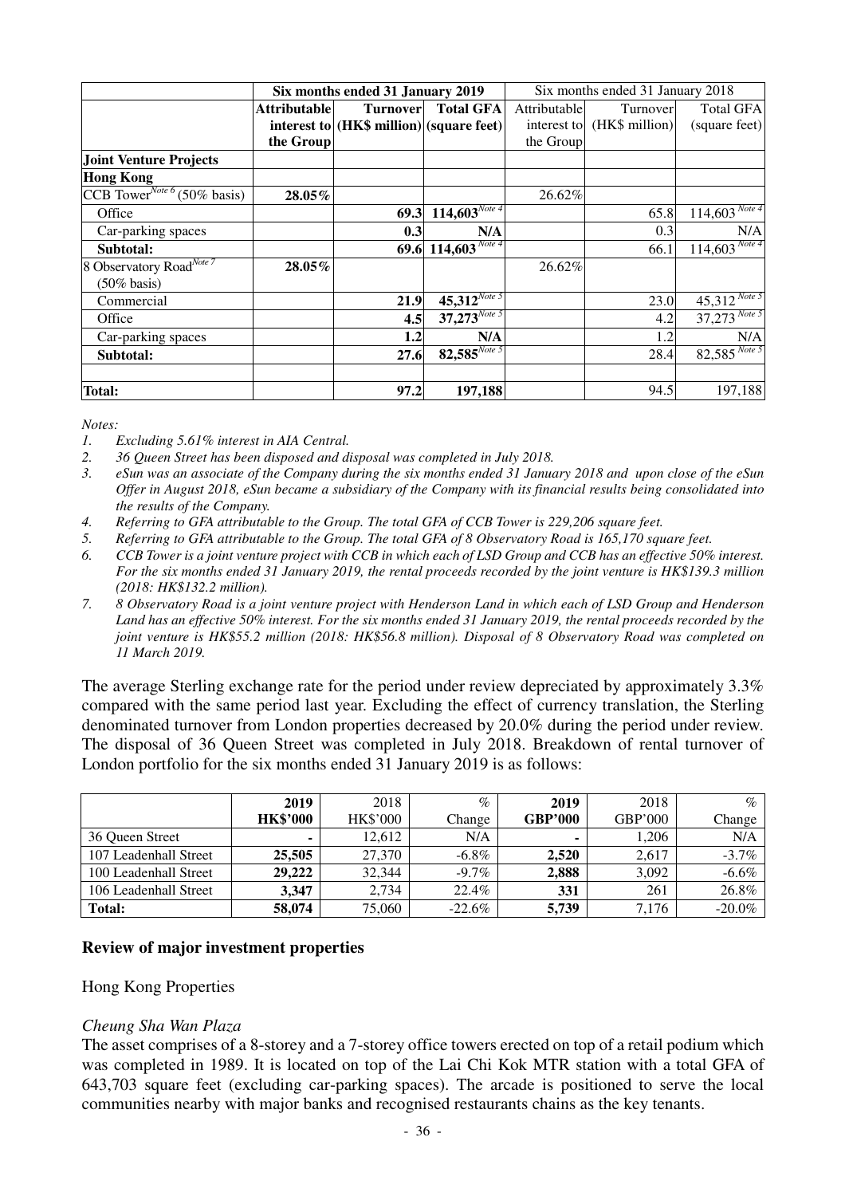|                                         |                     | Six months ended 31 January 2019         |                                     | Six months ended 31 January 2018 |                            |                    |
|-----------------------------------------|---------------------|------------------------------------------|-------------------------------------|----------------------------------|----------------------------|--------------------|
|                                         | <b>Attributable</b> | <b>Turnover</b>                          | <b>Total GFA</b>                    | Attributable                     | Turnover                   | <b>Total GFA</b>   |
|                                         |                     | interest to (HK\$ million) (square feet) |                                     |                                  | interest to (HK\$ million) | (square feet)      |
|                                         | the Group           |                                          |                                     | the Group                        |                            |                    |
| <b>Joint Venture Projects</b>           |                     |                                          |                                     |                                  |                            |                    |
| <b>Hong Kong</b>                        |                     |                                          |                                     |                                  |                            |                    |
| CCB Tower <sup>Note 6</sup> (50% basis) | 28.05%              |                                          |                                     | 26.62%                           |                            |                    |
| Office                                  |                     | 69.3                                     | $114,603^{Note 4}$                  |                                  | 65.8                       | $114,603^{Note 4}$ |
| Car-parking spaces                      |                     | 0.3                                      | N/A                                 |                                  | 0.3                        | N/A                |
| Subtotal:                               |                     |                                          | 69.6 114, $\overline{603}^{Note 4}$ |                                  | 66.1                       | $114,603^{Note 4}$ |
| 8 Observatory Road <sup>Note 7</sup>    | 28.05%              |                                          |                                     | 26.62%                           |                            |                    |
| $(50\%$ basis)                          |                     |                                          |                                     |                                  |                            |                    |
| Commercial                              |                     | 21.9                                     | $45,312^{Note 5}$                   |                                  | 23.0                       | $45,312^{Note 5}$  |
| Office                                  |                     | 4.5                                      | $37,273^{Note 5}$                   |                                  | 4.2                        | $37,273$ Note 5    |
| Car-parking spaces                      |                     | 1.2                                      | N/A                                 |                                  | 1.2                        | N/A                |
| Subtotal:                               |                     | 27.6                                     | $82,585^{Note 5}$                   |                                  | 28.4                       | $82,585^{Note 5}$  |
|                                         |                     |                                          |                                     |                                  |                            |                    |
| Total:                                  |                     | 97.2                                     | 197,188                             |                                  | 94.5                       | 197,188            |

*Notes:* 

- *1. Excluding 5.61% interest in AIA Central.*
- *2. 36 Queen Street has been disposed and disposal was completed in July 2018.*
- *3. eSun was an associate of the Company during the six months ended 31 January 2018 and upon close of the eSun Offer in August 2018, eSun became a subsidiary of the Company with its financial results being consolidated into the results of the Company.*
- *4. Referring to GFA attributable to the Group. The total GFA of CCB Tower is 229,206 square feet.*
- *5. Referring to GFA attributable to the Group. The total GFA of 8 Observatory Road is 165,170 square feet.*
- *6. CCB Tower is a joint venture project with CCB in which each of LSD Group and CCB has an effective 50% interest. For the six months ended 31 January 2019, the rental proceeds recorded by the joint venture is HK\$139.3 million (2018: HK\$132.2 million).*
- *7. 8 Observatory Road is a joint venture project with Henderson Land in which each of LSD Group and Henderson Land has an effective 50% interest. For the six months ended 31 January 2019, the rental proceeds recorded by the joint venture is HK\$55.2 million (2018: HK\$56.8 million). Disposal of 8 Observatory Road was completed on 11 March 2019.*

The average Sterling exchange rate for the period under review depreciated by approximately 3.3% compared with the same period last year. Excluding the effect of currency translation, the Sterling denominated turnover from London properties decreased by 20.0% during the period under review. The disposal of 36 Queen Street was completed in July 2018. Breakdown of rental turnover of London portfolio for the six months ended 31 January 2019 is as follows:

|                       | 2019            | 2018            | $\%$      | 2019           | 2018    | $\%$      |
|-----------------------|-----------------|-----------------|-----------|----------------|---------|-----------|
|                       | <b>HK\$'000</b> | <b>HK\$'000</b> | Change    | <b>GBP'000</b> | GBP'000 | Change    |
| 36 Oueen Street       | ۰               | 12.612          | N/A       |                | 1.206   | N/A       |
| 107 Leadenhall Street | 25,505          | 27.370          | $-6.8\%$  | 2.520          | 2,617   | $-3.7%$   |
| 100 Leadenhall Street | 29,222          | 32,344          | $-9.7\%$  | 2.888          | 3.092   | $-6.6%$   |
| 106 Leadenhall Street | 3.347           | 2.734           | 22.4%     | 331            | 261     | 26.8%     |
| Total:                | 58,074          | 75,060          | $-22.6\%$ | 5,739          | 7,176   | $-20.0\%$ |

#### **Review of major investment properties**

### Hong Kong Properties

#### *Cheung Sha Wan Plaza*

The asset comprises of a 8-storey and a 7-storey office towers erected on top of a retail podium which was completed in 1989. It is located on top of the Lai Chi Kok MTR station with a total GFA of 643,703 square feet (excluding car-parking spaces). The arcade is positioned to serve the local communities nearby with major banks and recognised restaurants chains as the key tenants.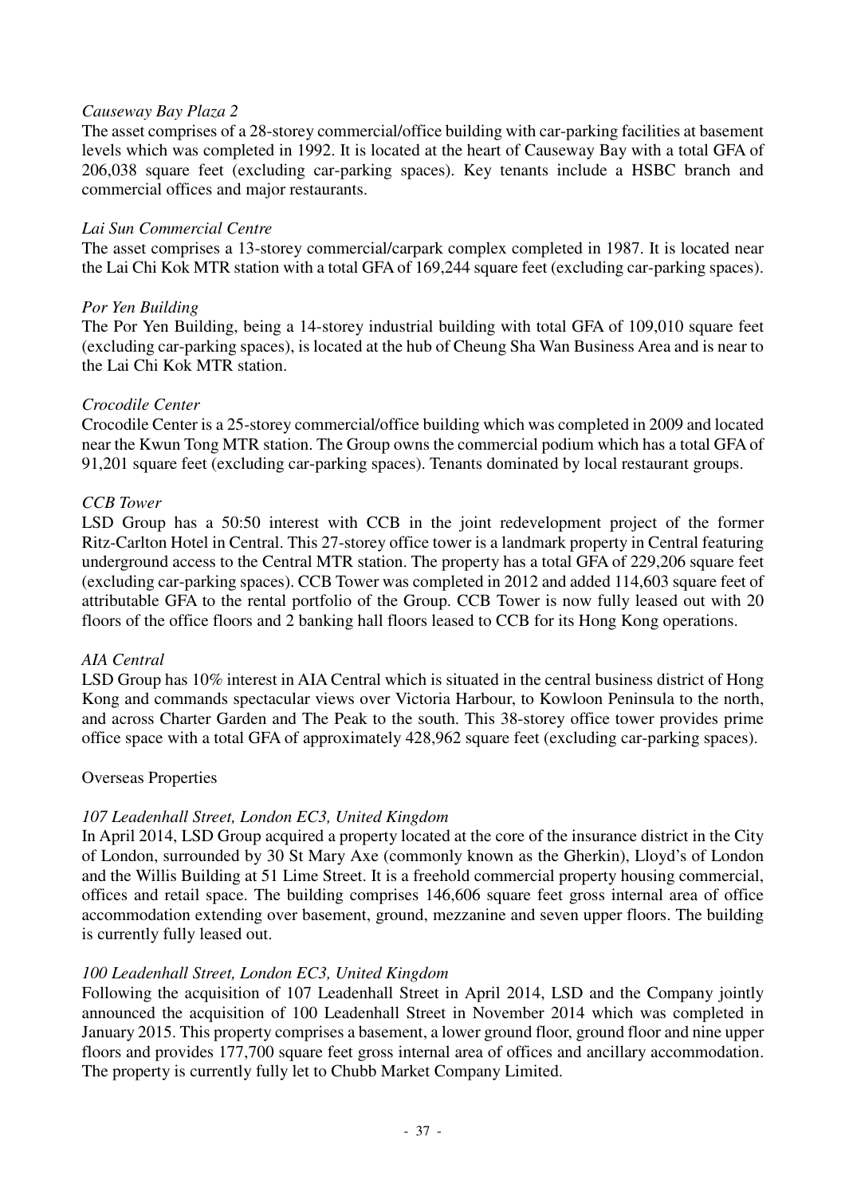### *Causeway Bay Plaza 2*

The asset comprises of a 28-storey commercial/office building with car-parking facilities at basement levels which was completed in 1992. It is located at the heart of Causeway Bay with a total GFA of 206,038 square feet (excluding car-parking spaces). Key tenants include a HSBC branch and commercial offices and major restaurants.

### *Lai Sun Commercial Centre*

The asset comprises a 13-storey commercial/carpark complex completed in 1987. It is located near the Lai Chi Kok MTR station with a total GFA of 169,244 square feet (excluding car-parking spaces).

### *Por Yen Building*

The Por Yen Building, being a 14-storey industrial building with total GFA of 109,010 square feet (excluding car-parking spaces), is located at the hub of Cheung Sha Wan Business Area and is near to the Lai Chi Kok MTR station.

### *Crocodile Center*

Crocodile Center is a 25-storey commercial/office building which was completed in 2009 and located near the Kwun Tong MTR station. The Group owns the commercial podium which has a total GFA of 91,201 square feet (excluding car-parking spaces). Tenants dominated by local restaurant groups.

### *CCB Tower*

LSD Group has a 50:50 interest with CCB in the joint redevelopment project of the former Ritz-Carlton Hotel in Central. This 27-storey office tower is a landmark property in Central featuring underground access to the Central MTR station. The property has a total GFA of 229,206 square feet (excluding car-parking spaces). CCB Tower was completed in 2012 and added 114,603 square feet of attributable GFA to the rental portfolio of the Group. CCB Tower is now fully leased out with 20 floors of the office floors and 2 banking hall floors leased to CCB for its Hong Kong operations.

#### *AIA Central*

LSD Group has 10% interest in AIA Central which is situated in the central business district of Hong Kong and commands spectacular views over Victoria Harbour, to Kowloon Peninsula to the north, and across Charter Garden and The Peak to the south. This 38-storey office tower provides prime office space with a total GFA of approximately 428,962 square feet (excluding car-parking spaces).

## Overseas Properties

## *107 Leadenhall Street, London EC3, United Kingdom*

In April 2014, LSD Group acquired a property located at the core of the insurance district in the City of London, surrounded by 30 St Mary Axe (commonly known as the Gherkin), Lloyd's of London and the Willis Building at 51 Lime Street. It is a freehold commercial property housing commercial, offices and retail space. The building comprises 146,606 square feet gross internal area of office accommodation extending over basement, ground, mezzanine and seven upper floors. The building is currently fully leased out.

## *100 Leadenhall Street, London EC3, United Kingdom*

Following the acquisition of 107 Leadenhall Street in April 2014, LSD and the Company jointly announced the acquisition of 100 Leadenhall Street in November 2014 which was completed in January 2015. This property comprises a basement, a lower ground floor, ground floor and nine upper floors and provides 177,700 square feet gross internal area of offices and ancillary accommodation. The property is currently fully let to Chubb Market Company Limited.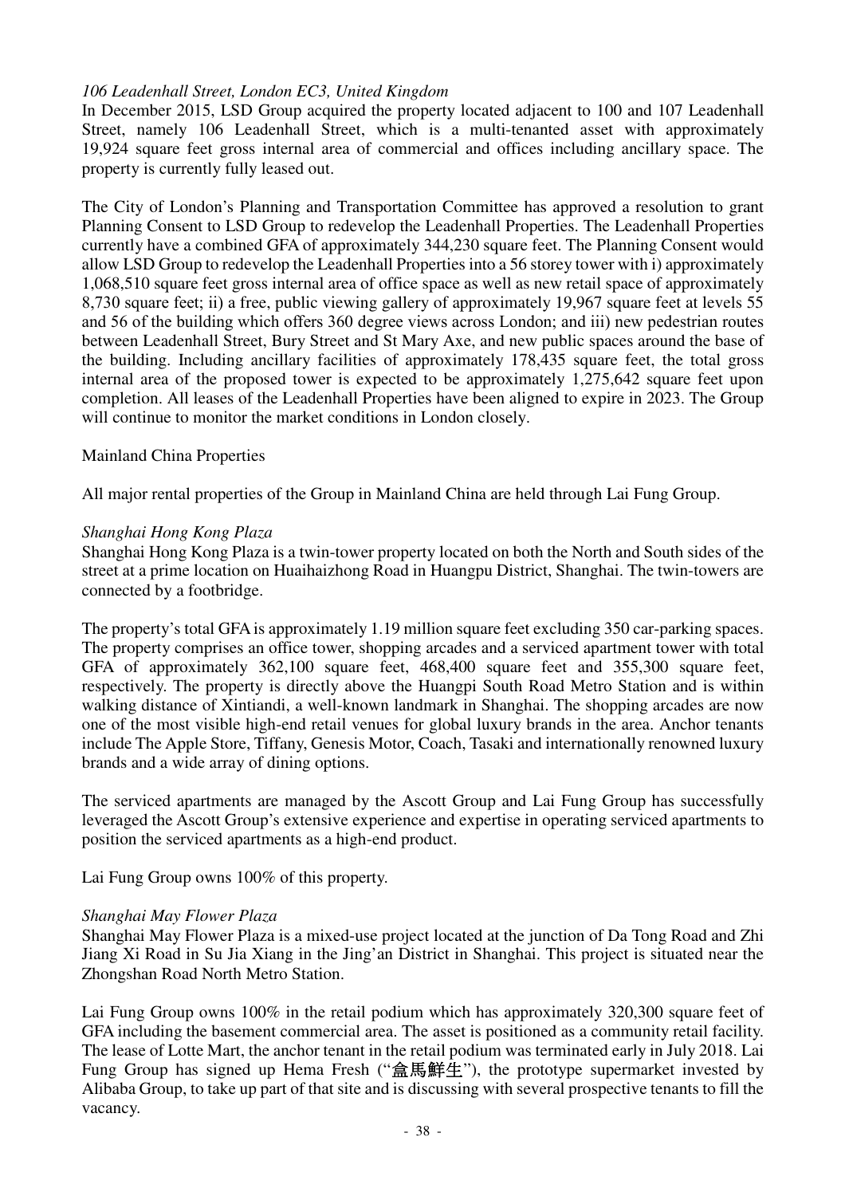## *106 Leadenhall Street, London EC3, United Kingdom*

In December 2015, LSD Group acquired the property located adjacent to 100 and 107 Leadenhall Street, namely 106 Leadenhall Street, which is a multi-tenanted asset with approximately 19,924 square feet gross internal area of commercial and offices including ancillary space. The property is currently fully leased out.

The City of London's Planning and Transportation Committee has approved a resolution to grant Planning Consent to LSD Group to redevelop the Leadenhall Properties. The Leadenhall Properties currently have a combined GFA of approximately 344,230 square feet. The Planning Consent would allow LSD Group to redevelop the Leadenhall Properties into a 56 storey tower with i) approximately 1,068,510 square feet gross internal area of office space as well as new retail space of approximately 8,730 square feet; ii) a free, public viewing gallery of approximately 19,967 square feet at levels 55 and 56 of the building which offers 360 degree views across London; and iii) new pedestrian routes between Leadenhall Street, Bury Street and St Mary Axe, and new public spaces around the base of the building. Including ancillary facilities of approximately 178,435 square feet, the total gross internal area of the proposed tower is expected to be approximately 1,275,642 square feet upon completion. All leases of the Leadenhall Properties have been aligned to expire in 2023. The Group will continue to monitor the market conditions in London closely.

#### Mainland China Properties

All major rental properties of the Group in Mainland China are held through Lai Fung Group.

#### *Shanghai Hong Kong Plaza*

Shanghai Hong Kong Plaza is a twin-tower property located on both the North and South sides of the street at a prime location on Huaihaizhong Road in Huangpu District, Shanghai. The twin-towers are connected by a footbridge.

The property's total GFA is approximately 1.19 million square feet excluding 350 car-parking spaces. The property comprises an office tower, shopping arcades and a serviced apartment tower with total GFA of approximately 362,100 square feet, 468,400 square feet and 355,300 square feet, respectively. The property is directly above the Huangpi South Road Metro Station and is within walking distance of Xintiandi, a well-known landmark in Shanghai. The shopping arcades are now one of the most visible high-end retail venues for global luxury brands in the area. Anchor tenants include The Apple Store, Tiffany, Genesis Motor, Coach, Tasaki and internationally renowned luxury brands and a wide array of dining options.

The serviced apartments are managed by the Ascott Group and Lai Fung Group has successfully leveraged the Ascott Group's extensive experience and expertise in operating serviced apartments to position the serviced apartments as a high-end product.

Lai Fung Group owns 100% of this property.

#### *Shanghai May Flower Plaza*

Shanghai May Flower Plaza is a mixed-use project located at the junction of Da Tong Road and Zhi Jiang Xi Road in Su Jia Xiang in the Jing'an District in Shanghai. This project is situated near the Zhongshan Road North Metro Station.

Lai Fung Group owns 100% in the retail podium which has approximately 320,300 square feet of GFA including the basement commercial area. The asset is positioned as a community retail facility. The lease of Lotte Mart, the anchor tenant in the retail podium was terminated early in July 2018. Lai Fung Group has signed up Hema Fresh ("盒馬鮮生"), the prototype supermarket invested by Alibaba Group, to take up part of that site and is discussing with several prospective tenants to fill the vacancy.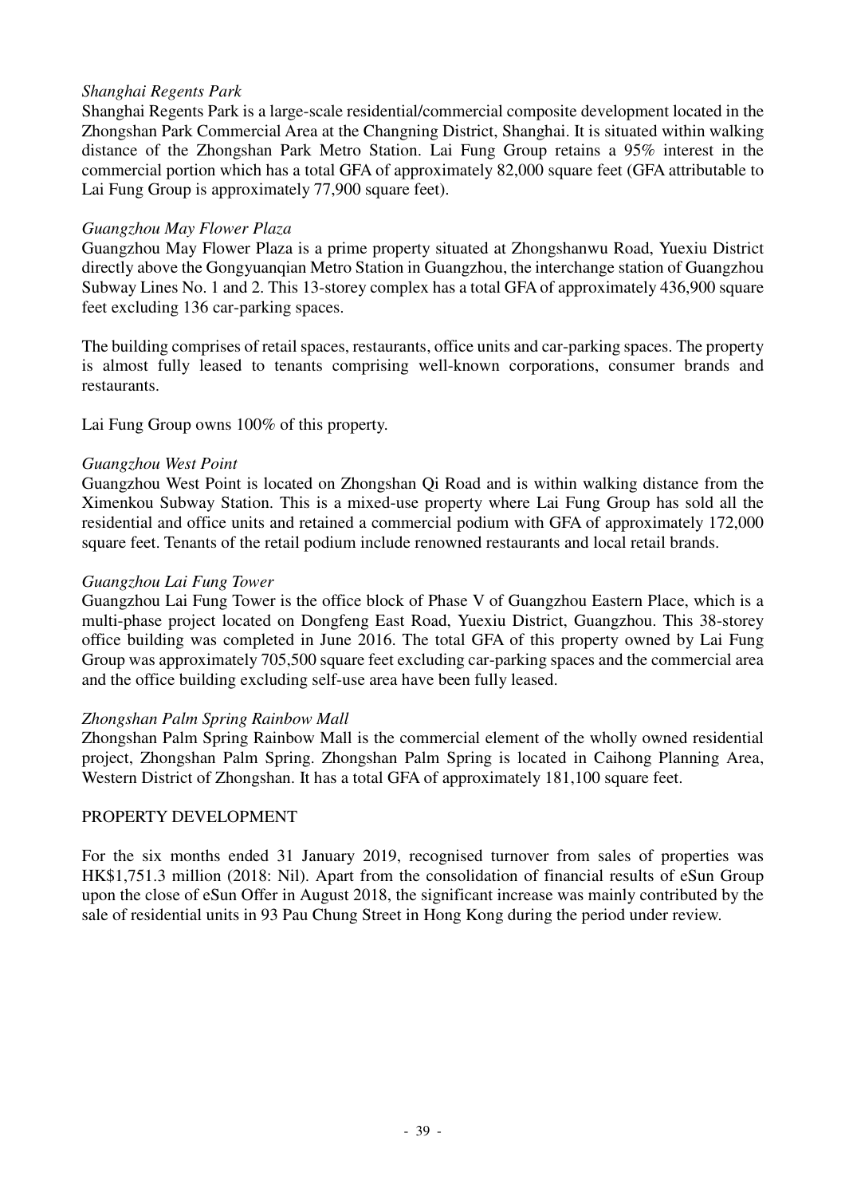### *Shanghai Regents Park*

Shanghai Regents Park is a large-scale residential/commercial composite development located in the Zhongshan Park Commercial Area at the Changning District, Shanghai. It is situated within walking distance of the Zhongshan Park Metro Station. Lai Fung Group retains a 95% interest in the commercial portion which has a total GFA of approximately 82,000 square feet (GFA attributable to Lai Fung Group is approximately 77,900 square feet).

#### *Guangzhou May Flower Plaza*

Guangzhou May Flower Plaza is a prime property situated at Zhongshanwu Road, Yuexiu District directly above the Gongyuanqian Metro Station in Guangzhou, the interchange station of Guangzhou Subway Lines No. 1 and 2. This 13-storey complex has a total GFA of approximately 436,900 square feet excluding 136 car-parking spaces.

The building comprises of retail spaces, restaurants, office units and car-parking spaces. The property is almost fully leased to tenants comprising well-known corporations, consumer brands and restaurants.

Lai Fung Group owns 100% of this property.

#### *Guangzhou West Point*

Guangzhou West Point is located on Zhongshan Qi Road and is within walking distance from the Ximenkou Subway Station. This is a mixed-use property where Lai Fung Group has sold all the residential and office units and retained a commercial podium with GFA of approximately 172,000 square feet. Tenants of the retail podium include renowned restaurants and local retail brands.

#### *Guangzhou Lai Fung Tower*

Guangzhou Lai Fung Tower is the office block of Phase V of Guangzhou Eastern Place, which is a multi-phase project located on Dongfeng East Road, Yuexiu District, Guangzhou. This 38-storey office building was completed in June 2016. The total GFA of this property owned by Lai Fung Group was approximately 705,500 square feet excluding car-parking spaces and the commercial area and the office building excluding self-use area have been fully leased.

#### *Zhongshan Palm Spring Rainbow Mall*

Zhongshan Palm Spring Rainbow Mall is the commercial element of the wholly owned residential project, Zhongshan Palm Spring. Zhongshan Palm Spring is located in Caihong Planning Area, Western District of Zhongshan. It has a total GFA of approximately 181,100 square feet.

### PROPERTY DEVELOPMENT

For the six months ended 31 January 2019, recognised turnover from sales of properties was HK\$1,751.3 million (2018: Nil). Apart from the consolidation of financial results of eSun Group upon the close of eSun Offer in August 2018, the significant increase was mainly contributed by the sale of residential units in 93 Pau Chung Street in Hong Kong during the period under review.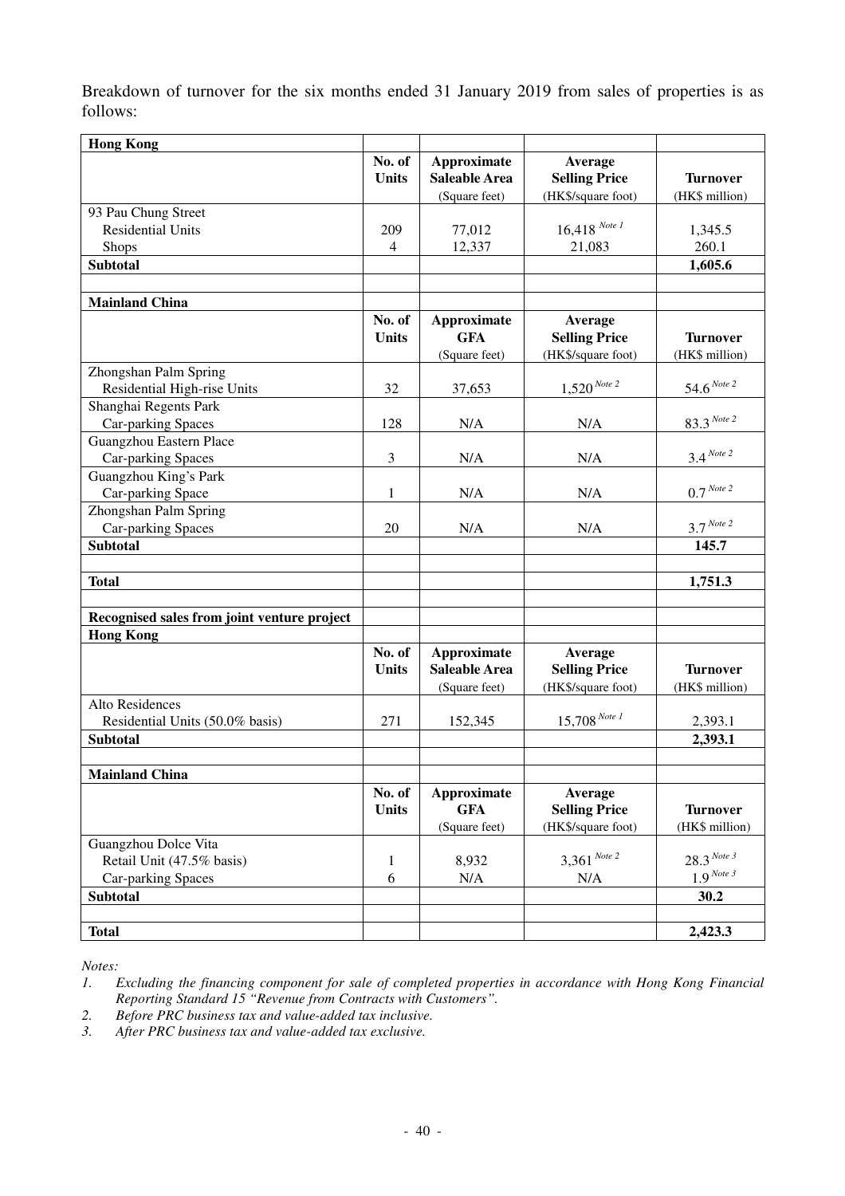Breakdown of turnover for the six months ended 31 January 2019 from sales of properties is as follows:

| <b>Hong Kong</b>                            |                        |                                                             |                                                       |                                   |
|---------------------------------------------|------------------------|-------------------------------------------------------------|-------------------------------------------------------|-----------------------------------|
|                                             | No. of<br><b>Units</b> | <b>Approximate</b><br><b>Saleable Area</b><br>(Square feet) | Average<br><b>Selling Price</b><br>(HK\$/square foot) | <b>Turnover</b><br>(HK\$ million) |
| 93 Pau Chung Street                         |                        |                                                             |                                                       |                                   |
| <b>Residential Units</b>                    | 209                    | 77,012                                                      | $16,418$ Note 1                                       | 1,345.5                           |
| <b>Shops</b>                                | $\overline{4}$         | 12,337                                                      | 21,083                                                | 260.1                             |
| <b>Subtotal</b>                             |                        |                                                             |                                                       | 1,605.6                           |
|                                             |                        |                                                             |                                                       |                                   |
| <b>Mainland China</b>                       |                        |                                                             |                                                       |                                   |
|                                             | No. of                 | Approximate                                                 | Average                                               |                                   |
|                                             | <b>Units</b>           | <b>GFA</b>                                                  | <b>Selling Price</b>                                  | <b>Turnover</b>                   |
|                                             |                        | (Square feet)                                               | (HK\$/square foot)                                    | (HK\$ million)                    |
| Zhongshan Palm Spring                       |                        |                                                             |                                                       |                                   |
| Residential High-rise Units                 | 32                     | 37,653                                                      | $1,520^{Note 2}$                                      | $54.6$ <sup>Note 2</sup>          |
| Shanghai Regents Park                       |                        |                                                             |                                                       |                                   |
| Car-parking Spaces                          | 128                    | N/A                                                         | N/A                                                   | $83.3$ Note 2                     |
| Guangzhou Eastern Place                     |                        |                                                             |                                                       |                                   |
| Car-parking Spaces                          | 3                      | N/A                                                         | N/A                                                   | $3.4$ Note 2                      |
| Guangzhou King's Park                       |                        |                                                             |                                                       |                                   |
| Car-parking Space                           | 1                      | N/A                                                         | N/A                                                   | $0.7$ Note 2                      |
| Zhongshan Palm Spring                       |                        |                                                             |                                                       |                                   |
| Car-parking Spaces                          | 20                     | N/A                                                         | N/A                                                   | $3.7$ <sup>Note 2</sup>           |
|                                             |                        |                                                             |                                                       |                                   |
| <b>Subtotal</b>                             |                        |                                                             |                                                       | 145.7                             |
| <b>Total</b>                                |                        |                                                             |                                                       | 1,751.3                           |
|                                             |                        |                                                             |                                                       |                                   |
| Recognised sales from joint venture project |                        |                                                             |                                                       |                                   |
| <b>Hong Kong</b>                            |                        |                                                             |                                                       |                                   |
|                                             | No. of<br><b>Units</b> | <b>Approximate</b><br><b>Saleable Area</b><br>(Square feet) | Average<br><b>Selling Price</b><br>(HK\$/square foot) | <b>Turnover</b><br>(HK\$ million) |
| Alto Residences                             |                        |                                                             |                                                       |                                   |
| Residential Units (50.0% basis)             | 271                    | 152,345                                                     | $15,708$ Note 1                                       | 2,393.1                           |
| <b>Subtotal</b>                             |                        |                                                             |                                                       | 2,393.1                           |
|                                             |                        |                                                             |                                                       |                                   |
| <b>Mainland China</b>                       |                        |                                                             |                                                       |                                   |
|                                             | No. of                 | <b>Approximate</b>                                          | Average                                               |                                   |
|                                             | <b>Units</b>           | <b>GFA</b>                                                  | <b>Selling Price</b>                                  | <b>Turnover</b>                   |
|                                             |                        | (Square feet)                                               | (HK\$/square foot)                                    | (HK\$ million)                    |
| Guangzhou Dolce Vita                        |                        |                                                             |                                                       |                                   |
| Retail Unit (47.5% basis)                   | 1                      | 8,932                                                       | $3,361$ Note 2                                        | $28.3$ Note 3                     |
| Car-parking Spaces                          | 6                      | N/A                                                         | N/A                                                   | $1.9$ Note 3                      |
| <b>Subtotal</b>                             |                        |                                                             |                                                       | 30.2                              |
|                                             |                        |                                                             |                                                       |                                   |
| <b>Total</b>                                |                        |                                                             |                                                       | 2,423.3                           |

*Notes:* 

- *2. Before PRC business tax and value-added tax inclusive.*
- *3. After PRC business tax and value-added tax exclusive.*

*<sup>1.</sup> Excluding the financing component for sale of completed properties in accordance with Hong Kong Financial Reporting Standard 15 "Revenue from Contracts with Customers".*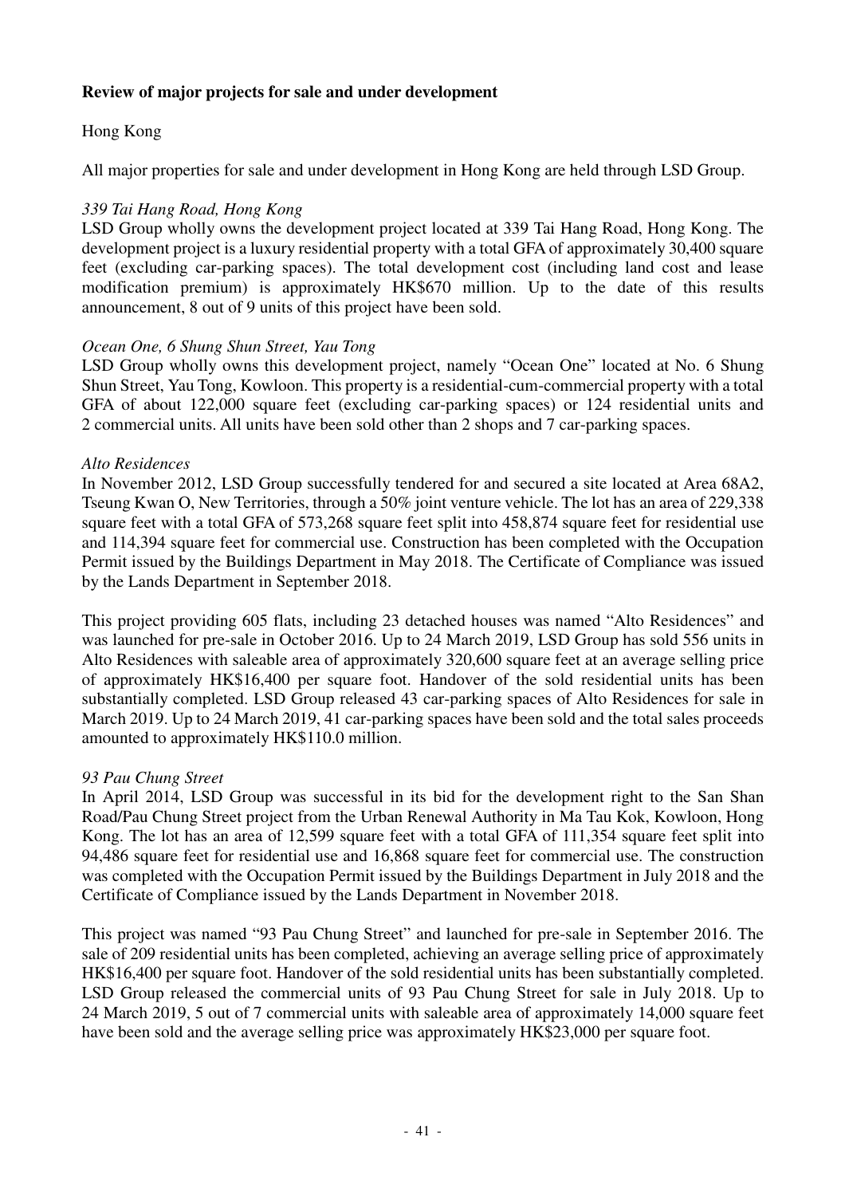## **Review of major projects for sale and under development**

## Hong Kong

All major properties for sale and under development in Hong Kong are held through LSD Group.

## *339 Tai Hang Road, Hong Kong*

LSD Group wholly owns the development project located at 339 Tai Hang Road, Hong Kong. The development project is a luxury residential property with a total GFA of approximately 30,400 square feet (excluding car-parking spaces). The total development cost (including land cost and lease modification premium) is approximately HK\$670 million. Up to the date of this results announcement, 8 out of 9 units of this project have been sold.

### *Ocean One, 6 Shung Shun Street, Yau Tong*

LSD Group wholly owns this development project, namely "Ocean One" located at No. 6 Shung Shun Street, Yau Tong, Kowloon. This property is a residential-cum-commercial property with a total GFA of about 122,000 square feet (excluding car-parking spaces) or 124 residential units and 2 commercial units. All units have been sold other than 2 shops and 7 car-parking spaces.

### *Alto Residences*

In November 2012, LSD Group successfully tendered for and secured a site located at Area 68A2, Tseung Kwan O, New Territories, through a 50% joint venture vehicle. The lot has an area of 229,338 square feet with a total GFA of 573,268 square feet split into 458,874 square feet for residential use and 114,394 square feet for commercial use. Construction has been completed with the Occupation Permit issued by the Buildings Department in May 2018. The Certificate of Compliance was issued by the Lands Department in September 2018.

This project providing 605 flats, including 23 detached houses was named "Alto Residences" and was launched for pre-sale in October 2016. Up to 24 March 2019, LSD Group has sold 556 units in Alto Residences with saleable area of approximately 320,600 square feet at an average selling price of approximately HK\$16,400 per square foot. Handover of the sold residential units has been substantially completed. LSD Group released 43 car-parking spaces of Alto Residences for sale in March 2019. Up to 24 March 2019, 41 car-parking spaces have been sold and the total sales proceeds amounted to approximately HK\$110.0 million.

## *93 Pau Chung Street*

In April 2014, LSD Group was successful in its bid for the development right to the San Shan Road/Pau Chung Street project from the Urban Renewal Authority in Ma Tau Kok, Kowloon, Hong Kong. The lot has an area of 12,599 square feet with a total GFA of 111,354 square feet split into 94,486 square feet for residential use and 16,868 square feet for commercial use. The construction was completed with the Occupation Permit issued by the Buildings Department in July 2018 and the Certificate of Compliance issued by the Lands Department in November 2018.

This project was named "93 Pau Chung Street" and launched for pre-sale in September 2016. The sale of 209 residential units has been completed, achieving an average selling price of approximately HK\$16,400 per square foot. Handover of the sold residential units has been substantially completed. LSD Group released the commercial units of 93 Pau Chung Street for sale in July 2018. Up to 24 March 2019, 5 out of 7 commercial units with saleable area of approximately 14,000 square feet have been sold and the average selling price was approximately HK\$23,000 per square foot.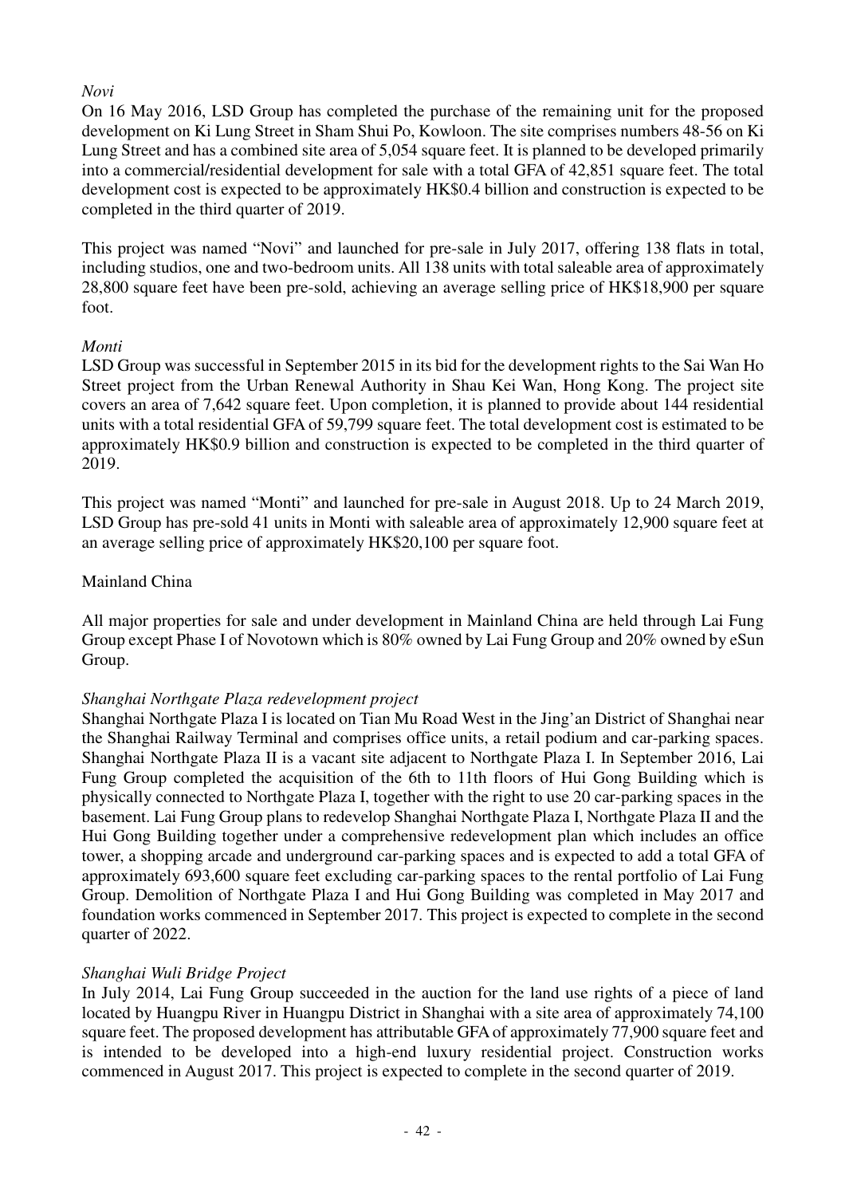## *Novi*

On 16 May 2016, LSD Group has completed the purchase of the remaining unit for the proposed development on Ki Lung Street in Sham Shui Po, Kowloon. The site comprises numbers 48-56 on Ki Lung Street and has a combined site area of 5,054 square feet. It is planned to be developed primarily into a commercial/residential development for sale with a total GFA of 42,851 square feet. The total development cost is expected to be approximately HK\$0.4 billion and construction is expected to be completed in the third quarter of 2019.

This project was named "Novi" and launched for pre-sale in July 2017, offering 138 flats in total, including studios, one and two-bedroom units. All 138 units with total saleable area of approximately 28,800 square feet have been pre-sold, achieving an average selling price of HK\$18,900 per square foot.

## *Monti*

LSD Group was successful in September 2015 in its bid for the development rights to the Sai Wan Ho Street project from the Urban Renewal Authority in Shau Kei Wan, Hong Kong. The project site covers an area of 7,642 square feet. Upon completion, it is planned to provide about 144 residential units with a total residential GFA of 59,799 square feet. The total development cost is estimated to be approximately HK\$0.9 billion and construction is expected to be completed in the third quarter of 2019.

This project was named "Monti" and launched for pre-sale in August 2018. Up to 24 March 2019, LSD Group has pre-sold 41 units in Monti with saleable area of approximately 12,900 square feet at an average selling price of approximately HK\$20,100 per square foot.

## Mainland China

All major properties for sale and under development in Mainland China are held through Lai Fung Group except Phase I of Novotown which is 80% owned by Lai Fung Group and 20% owned by eSun Group.

## *Shanghai Northgate Plaza redevelopment project*

Shanghai Northgate Plaza I is located on Tian Mu Road West in the Jing'an District of Shanghai near the Shanghai Railway Terminal and comprises office units, a retail podium and car-parking spaces. Shanghai Northgate Plaza II is a vacant site adjacent to Northgate Plaza I. In September 2016, Lai Fung Group completed the acquisition of the 6th to 11th floors of Hui Gong Building which is physically connected to Northgate Plaza I, together with the right to use 20 car-parking spaces in the basement. Lai Fung Group plans to redevelop Shanghai Northgate Plaza I, Northgate Plaza II and the Hui Gong Building together under a comprehensive redevelopment plan which includes an office tower, a shopping arcade and underground car-parking spaces and is expected to add a total GFA of approximately 693,600 square feet excluding car-parking spaces to the rental portfolio of Lai Fung Group. Demolition of Northgate Plaza I and Hui Gong Building was completed in May 2017 and foundation works commenced in September 2017. This project is expected to complete in the second quarter of 2022.

## *Shanghai Wuli Bridge Project*

In July 2014, Lai Fung Group succeeded in the auction for the land use rights of a piece of land located by Huangpu River in Huangpu District in Shanghai with a site area of approximately 74,100 square feet. The proposed development has attributable GFA of approximately 77,900 square feet and is intended to be developed into a high-end luxury residential project. Construction works commenced in August 2017. This project is expected to complete in the second quarter of 2019.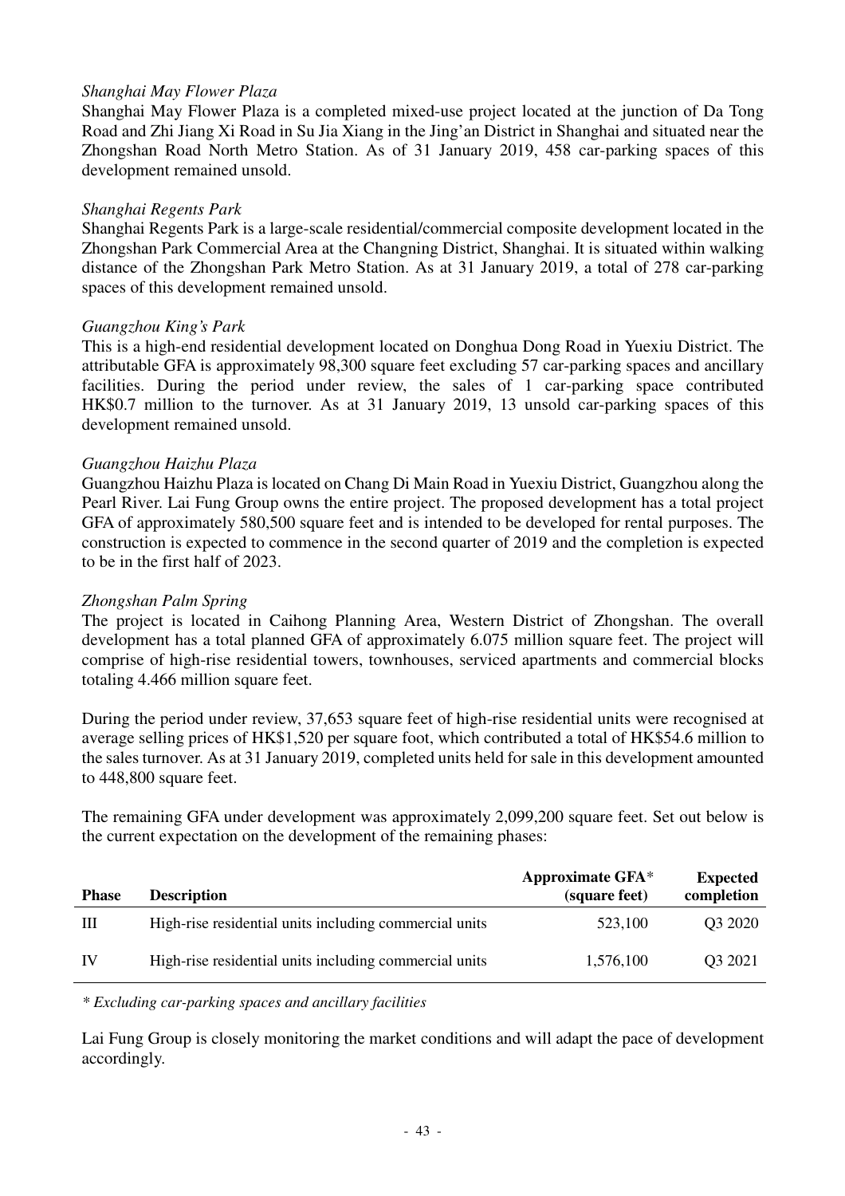### *Shanghai May Flower Plaza*

Shanghai May Flower Plaza is a completed mixed-use project located at the junction of Da Tong Road and Zhi Jiang Xi Road in Su Jia Xiang in the Jing'an District in Shanghai and situated near the Zhongshan Road North Metro Station. As of 31 January 2019, 458 car-parking spaces of this development remained unsold.

#### *Shanghai Regents Park*

Shanghai Regents Park is a large-scale residential/commercial composite development located in the Zhongshan Park Commercial Area at the Changning District, Shanghai. It is situated within walking distance of the Zhongshan Park Metro Station. As at 31 January 2019, a total of 278 car-parking spaces of this development remained unsold.

### *Guangzhou King's Park*

This is a high-end residential development located on Donghua Dong Road in Yuexiu District. The attributable GFA is approximately 98,300 square feet excluding 57 car-parking spaces and ancillary facilities. During the period under review, the sales of 1 car-parking space contributed HK\$0.7 million to the turnover. As at 31 January 2019, 13 unsold car-parking spaces of this development remained unsold.

### *Guangzhou Haizhu Plaza*

Guangzhou Haizhu Plaza is located on Chang Di Main Road in Yuexiu District, Guangzhou along the Pearl River. Lai Fung Group owns the entire project. The proposed development has a total project GFA of approximately 580,500 square feet and is intended to be developed for rental purposes. The construction is expected to commence in the second quarter of 2019 and the completion is expected to be in the first half of 2023.

### *Zhongshan Palm Spring*

The project is located in Caihong Planning Area, Western District of Zhongshan. The overall development has a total planned GFA of approximately 6.075 million square feet. The project will comprise of high-rise residential towers, townhouses, serviced apartments and commercial blocks totaling 4.466 million square feet.

During the period under review, 37,653 square feet of high-rise residential units were recognised at average selling prices of HK\$1,520 per square foot, which contributed a total of HK\$54.6 million to the sales turnover. As at 31 January 2019, completed units held for sale in this development amounted to 448,800 square feet.

The remaining GFA under development was approximately 2,099,200 square feet. Set out below is the current expectation on the development of the remaining phases:

| <b>Phase</b> | <b>Description</b>                                     | Approximate GFA*<br>(square feet) | <b>Expected</b><br>completion |
|--------------|--------------------------------------------------------|-----------------------------------|-------------------------------|
| Ш            | High-rise residential units including commercial units | 523,100                           | Q3 2020                       |
| <b>IV</b>    | High-rise residential units including commercial units | 1,576,100                         | Q3 2021                       |

*\* Excluding car-parking spaces and ancillary facilities* 

Lai Fung Group is closely monitoring the market conditions and will adapt the pace of development accordingly.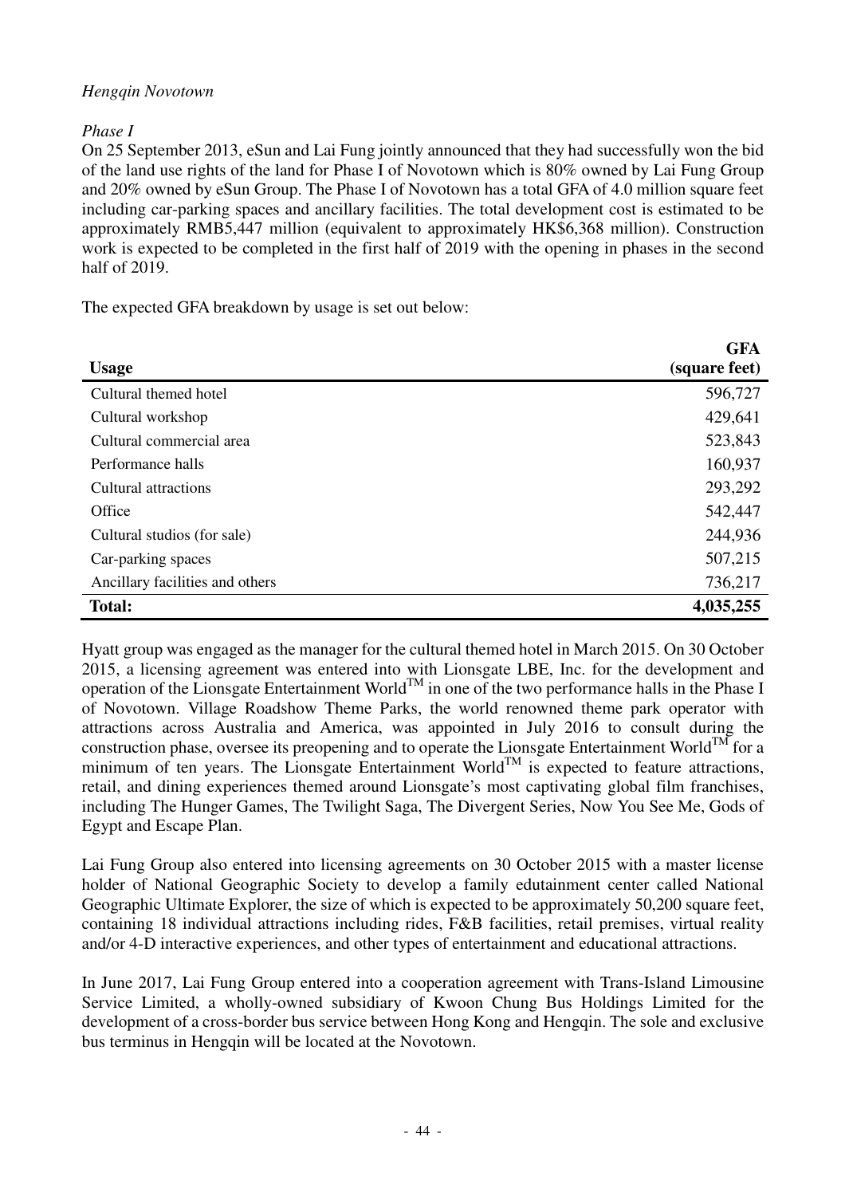## *Hengqin Novotown*

## *Phase I*

On 25 September 2013, eSun and Lai Fung jointly announced that they had successfully won the bid of the land use rights of the land for Phase I of Novotown which is 80% owned by Lai Fung Group and 20% owned by eSun Group. The Phase I of Novotown has a total GFA of 4.0 million square feet including car-parking spaces and ancillary facilities. The total development cost is estimated to be approximately RMB5,447 million (equivalent to approximately HK\$6,368 million). Construction work is expected to be completed in the first half of 2019 with the opening in phases in the second half of 2019.

The expected GFA breakdown by usage is set out below:

| <b>Usage</b>                    | <b>GFA</b><br>(square feet) |
|---------------------------------|-----------------------------|
| Cultural themed hotel           | 596,727                     |
| Cultural workshop               | 429,641                     |
| Cultural commercial area        | 523,843                     |
| Performance halls               | 160,937                     |
| Cultural attractions            | 293,292                     |
| Office                          | 542,447                     |
| Cultural studios (for sale)     | 244,936                     |
| Car-parking spaces              | 507,215                     |
| Ancillary facilities and others | 736,217                     |
| <b>Total:</b>                   | 4,035,255                   |

Hyatt group was engaged as the manager for the cultural themed hotel in March 2015. On 30 October 2015, a licensing agreement was entered into with Lionsgate LBE, Inc. for the development and operation of the Lionsgate Entertainment World<sup>TM</sup> in one of the two performance halls in the Phase I of Novotown. Village Roadshow Theme Parks, the world renowned theme park operator with attractions across Australia and America, was appointed in July 2016 to consult during the construction phase, oversee its preopening and to operate the Lionsgate Entertainment World<sup>TM</sup> for a minimum of ten years. The Lionsgate Entertainment World<sup>TM</sup> is expected to feature attractions, retail, and dining experiences themed around Lionsgate's most captivating global film franchises, including The Hunger Games, The Twilight Saga, The Divergent Series, Now You See Me, Gods of Egypt and Escape Plan.

Lai Fung Group also entered into licensing agreements on 30 October 2015 with a master license holder of National Geographic Society to develop a family edutainment center called National Geographic Ultimate Explorer, the size of which is expected to be approximately 50,200 square feet, containing 18 individual attractions including rides, F&B facilities, retail premises, virtual reality and/or 4-D interactive experiences, and other types of entertainment and educational attractions.

In June 2017, Lai Fung Group entered into a cooperation agreement with Trans-Island Limousine Service Limited, a wholly-owned subsidiary of Kwoon Chung Bus Holdings Limited for the development of a cross-border bus service between Hong Kong and Hengqin. The sole and exclusive bus terminus in Hengqin will be located at the Novotown.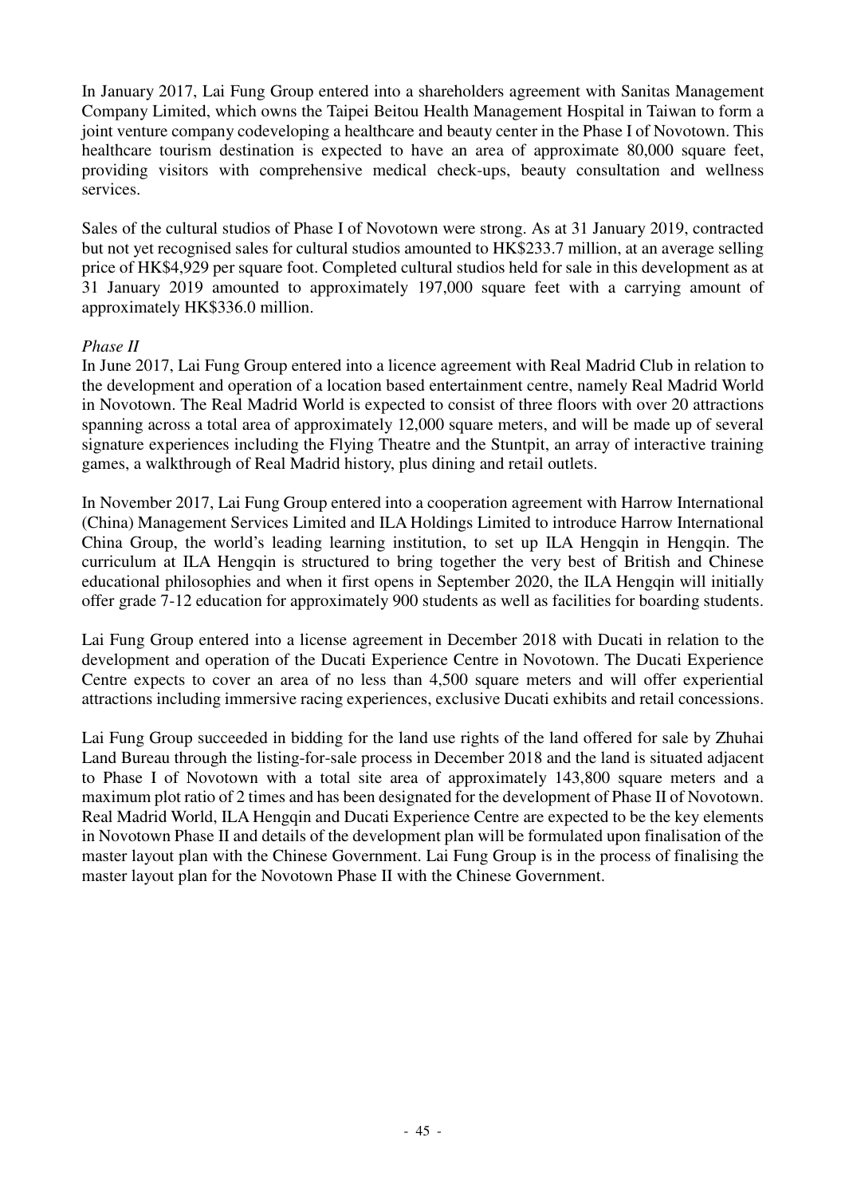In January 2017, Lai Fung Group entered into a shareholders agreement with Sanitas Management Company Limited, which owns the Taipei Beitou Health Management Hospital in Taiwan to form a joint venture company codeveloping a healthcare and beauty center in the Phase I of Novotown. This healthcare tourism destination is expected to have an area of approximate 80,000 square feet. providing visitors with comprehensive medical check-ups, beauty consultation and wellness services.

Sales of the cultural studios of Phase I of Novotown were strong. As at 31 January 2019, contracted but not yet recognised sales for cultural studios amounted to HK\$233.7 million, at an average selling price of HK\$4,929 per square foot. Completed cultural studios held for sale in this development as at 31 January 2019 amounted to approximately 197,000 square feet with a carrying amount of approximately HK\$336.0 million.

## *Phase II*

In June 2017, Lai Fung Group entered into a licence agreement with Real Madrid Club in relation to the development and operation of a location based entertainment centre, namely Real Madrid World in Novotown. The Real Madrid World is expected to consist of three floors with over 20 attractions spanning across a total area of approximately 12,000 square meters, and will be made up of several signature experiences including the Flying Theatre and the Stuntpit, an array of interactive training games, a walkthrough of Real Madrid history, plus dining and retail outlets.

In November 2017, Lai Fung Group entered into a cooperation agreement with Harrow International (China) Management Services Limited and ILA Holdings Limited to introduce Harrow International China Group, the world's leading learning institution, to set up ILA Hengqin in Hengqin. The curriculum at ILA Hengqin is structured to bring together the very best of British and Chinese educational philosophies and when it first opens in September 2020, the ILA Hengqin will initially offer grade 7-12 education for approximately 900 students as well as facilities for boarding students.

Lai Fung Group entered into a license agreement in December 2018 with Ducati in relation to the development and operation of the Ducati Experience Centre in Novotown. The Ducati Experience Centre expects to cover an area of no less than 4,500 square meters and will offer experiential attractions including immersive racing experiences, exclusive Ducati exhibits and retail concessions.

Lai Fung Group succeeded in bidding for the land use rights of the land offered for sale by Zhuhai Land Bureau through the listing-for-sale process in December 2018 and the land is situated adjacent to Phase I of Novotown with a total site area of approximately 143,800 square meters and a maximum plot ratio of 2 times and has been designated for the development of Phase II of Novotown. Real Madrid World, ILA Hengqin and Ducati Experience Centre are expected to be the key elements in Novotown Phase II and details of the development plan will be formulated upon finalisation of the master layout plan with the Chinese Government. Lai Fung Group is in the process of finalising the master layout plan for the Novotown Phase II with the Chinese Government.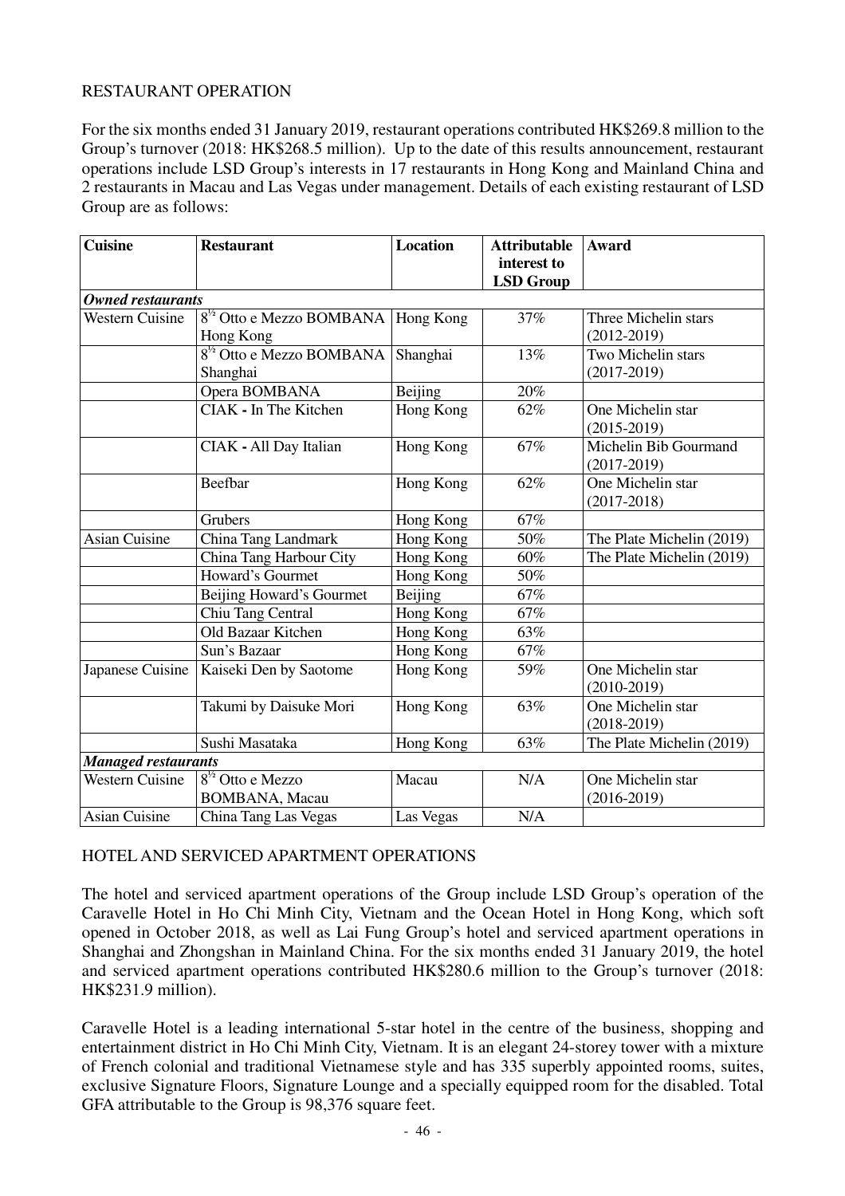## RESTAURANT OPERATION

For the six months ended 31 January 2019, restaurant operations contributed HK\$269.8 million to the Group's turnover (2018: HK\$268.5 million). Up to the date of this results announcement, restaurant operations include LSD Group's interests in 17 restaurants in Hong Kong and Mainland China and 2 restaurants in Macau and Las Vegas under management. Details of each existing restaurant of LSD Group are as follows:

| <b>Cuisine</b>             | <b>Restaurant</b>              | <b>Location</b> | <b>Attributable</b><br>interest to | Award                     |
|----------------------------|--------------------------------|-----------------|------------------------------------|---------------------------|
|                            |                                |                 | <b>LSD Group</b>                   |                           |
| <b>Owned restaurants</b>   |                                |                 |                                    |                           |
| <b>Western Cuisine</b>     | $8^{1/2}$ Otto e Mezzo BOMBANA | Hong Kong       | 37%                                | Three Michelin stars      |
|                            | Hong Kong                      |                 |                                    | $(2012 - 2019)$           |
|                            | $81/2$ Otto e Mezzo BOMBANA    | Shanghai        | 13%                                | Two Michelin stars        |
|                            | Shanghai                       |                 |                                    | $(2017-2019)$             |
|                            | Opera BOMBANA                  | Beijing         | 20%                                |                           |
|                            | CIAK - In The Kitchen          | Hong Kong       | 62%                                | One Michelin star         |
|                            |                                |                 |                                    | $(2015 - 2019)$           |
|                            | CIAK - All Day Italian         | Hong Kong       | 67%                                | Michelin Bib Gourmand     |
|                            |                                |                 |                                    | $(2017-2019)$             |
|                            | Beefbar                        | Hong Kong       | 62%                                | One Michelin star         |
|                            |                                |                 |                                    | $(2017 - 2018)$           |
|                            | Grubers                        | Hong Kong       | 67%                                |                           |
| <b>Asian Cuisine</b>       | China Tang Landmark            | Hong Kong       | 50%                                | The Plate Michelin (2019) |
|                            | China Tang Harbour City        | Hong Kong       | 60%                                | The Plate Michelin (2019) |
|                            | Howard's Gourmet               | Hong Kong       | 50%                                |                           |
|                            | Beijing Howard's Gourmet       | Beijing         | $67\%$                             |                           |
|                            | Chiu Tang Central              | Hong Kong       | 67%                                |                           |
|                            | Old Bazaar Kitchen             | Hong Kong       | 63%                                |                           |
|                            | Sun's Bazaar                   | Hong Kong       | 67%                                |                           |
| Japanese Cuisine           | Kaiseki Den by Saotome         | Hong Kong       | 59%                                | One Michelin star         |
|                            |                                |                 |                                    | $(2010-2019)$             |
|                            | Takumi by Daisuke Mori         | Hong Kong       | 63%                                | One Michelin star         |
|                            |                                |                 |                                    | $(2018-2019)$             |
|                            | Sushi Masataka                 | Hong Kong       | 63%                                | The Plate Michelin (2019) |
| <b>Managed restaurants</b> |                                |                 |                                    |                           |
| <b>Western Cuisine</b>     | $8^{1/2}$ Otto e Mezzo         | Macau           | N/A                                | One Michelin star         |
|                            | <b>BOMBANA</b> , Macau         |                 |                                    | $(2016 - 2019)$           |
| <b>Asian Cuisine</b>       | China Tang Las Vegas           | Las Vegas       | N/A                                |                           |

#### HOTEL AND SERVICED APARTMENT OPERATIONS

The hotel and serviced apartment operations of the Group include LSD Group's operation of the Caravelle Hotel in Ho Chi Minh City, Vietnam and the Ocean Hotel in Hong Kong, which soft opened in October 2018, as well as Lai Fung Group's hotel and serviced apartment operations in Shanghai and Zhongshan in Mainland China. For the six months ended 31 January 2019, the hotel and serviced apartment operations contributed HK\$280.6 million to the Group's turnover (2018: HK\$231.9 million).

Caravelle Hotel is a leading international 5-star hotel in the centre of the business, shopping and entertainment district in Ho Chi Minh City, Vietnam. It is an elegant 24-storey tower with a mixture of French colonial and traditional Vietnamese style and has 335 superbly appointed rooms, suites, exclusive Signature Floors, Signature Lounge and a specially equipped room for the disabled. Total GFA attributable to the Group is 98,376 square feet.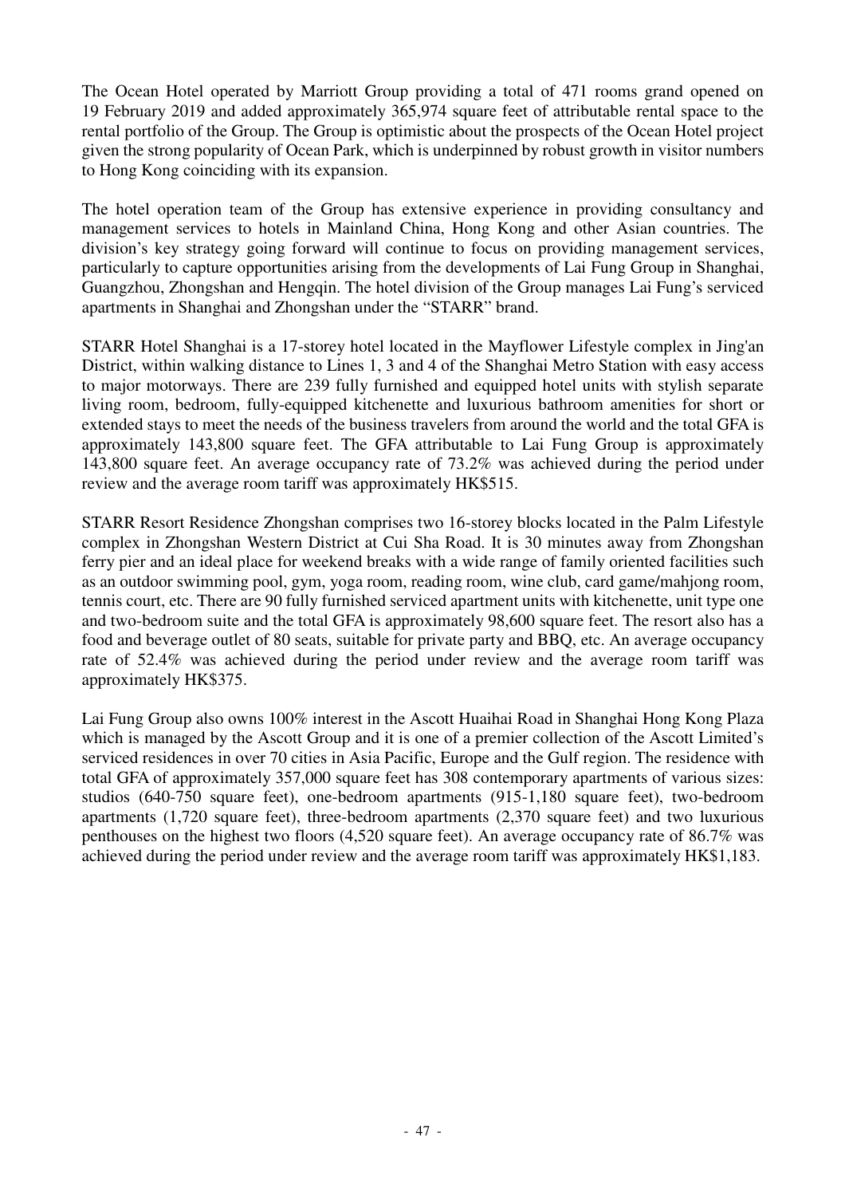The Ocean Hotel operated by Marriott Group providing a total of 471 rooms grand opened on 19 February 2019 and added approximately 365,974 square feet of attributable rental space to the rental portfolio of the Group. The Group is optimistic about the prospects of the Ocean Hotel project given the strong popularity of Ocean Park, which is underpinned by robust growth in visitor numbers to Hong Kong coinciding with its expansion.

The hotel operation team of the Group has extensive experience in providing consultancy and management services to hotels in Mainland China, Hong Kong and other Asian countries. The division's key strategy going forward will continue to focus on providing management services, particularly to capture opportunities arising from the developments of Lai Fung Group in Shanghai, Guangzhou, Zhongshan and Hengqin. The hotel division of the Group manages Lai Fung's serviced apartments in Shanghai and Zhongshan under the "STARR" brand.

STARR Hotel Shanghai is a 17-storey hotel located in the Mayflower Lifestyle complex in Jing'an District, within walking distance to Lines 1, 3 and 4 of the Shanghai Metro Station with easy access to major motorways. There are 239 fully furnished and equipped hotel units with stylish separate living room, bedroom, fully-equipped kitchenette and luxurious bathroom amenities for short or extended stays to meet the needs of the business travelers from around the world and the total GFA is approximately 143,800 square feet. The GFA attributable to Lai Fung Group is approximately 143,800 square feet. An average occupancy rate of 73.2% was achieved during the period under review and the average room tariff was approximately HK\$515.

STARR Resort Residence Zhongshan comprises two 16-storey blocks located in the Palm Lifestyle complex in Zhongshan Western District at Cui Sha Road. It is 30 minutes away from Zhongshan ferry pier and an ideal place for weekend breaks with a wide range of family oriented facilities such as an outdoor swimming pool, gym, yoga room, reading room, wine club, card game/mahjong room, tennis court, etc. There are 90 fully furnished serviced apartment units with kitchenette, unit type one and two-bedroom suite and the total GFA is approximately 98,600 square feet. The resort also has a food and beverage outlet of 80 seats, suitable for private party and BBQ, etc. An average occupancy rate of 52.4% was achieved during the period under review and the average room tariff was approximately HK\$375.

Lai Fung Group also owns 100% interest in the Ascott Huaihai Road in Shanghai Hong Kong Plaza which is managed by the Ascott Group and it is one of a premier collection of the Ascott Limited's serviced residences in over 70 cities in Asia Pacific, Europe and the Gulf region. The residence with total GFA of approximately 357,000 square feet has 308 contemporary apartments of various sizes: studios (640-750 square feet), one-bedroom apartments (915-1,180 square feet), two-bedroom apartments (1,720 square feet), three-bedroom apartments (2,370 square feet) and two luxurious penthouses on the highest two floors (4,520 square feet). An average occupancy rate of 86.7% was achieved during the period under review and the average room tariff was approximately HK\$1,183.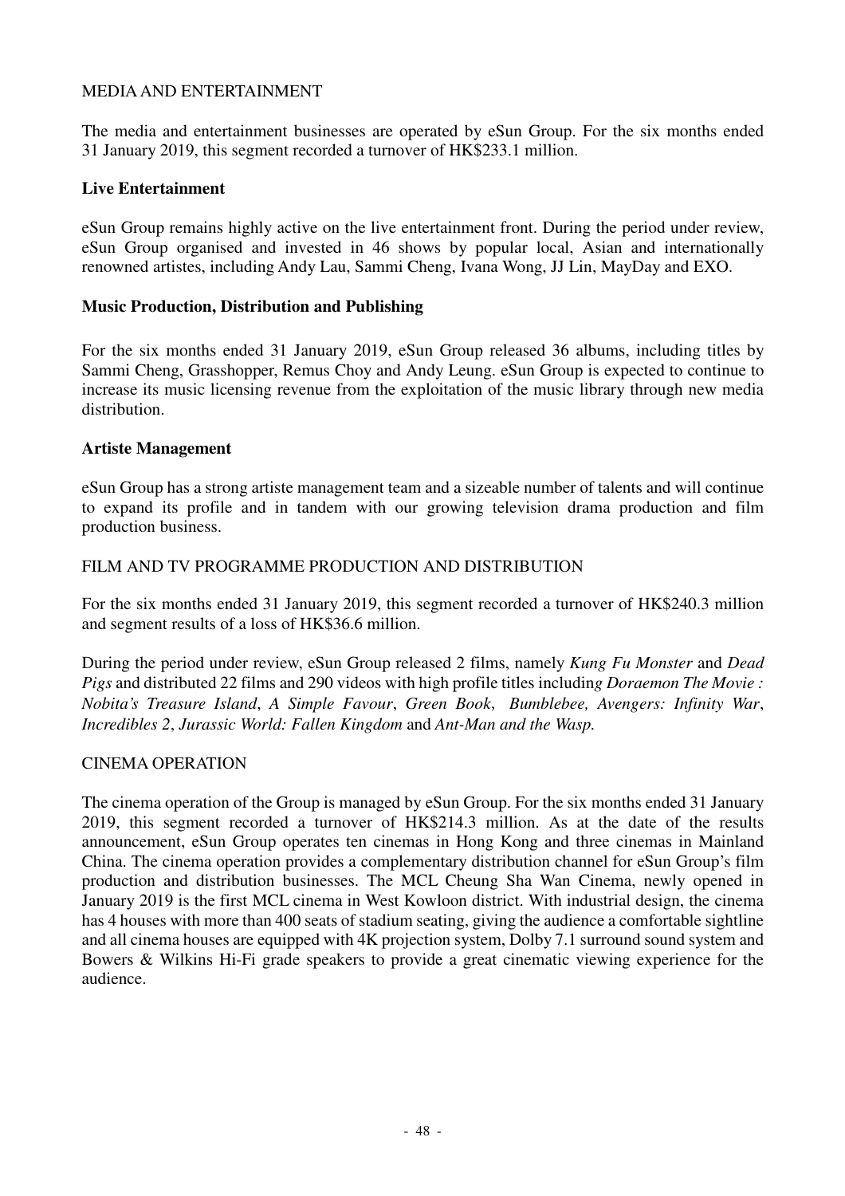### MEDIA AND ENTERTAINMENT

The media and entertainment businesses are operated by eSun Group. For the six months ended 31 January 2019, this segment recorded a turnover of HK\$233.1 million.

### **Live Entertainment**

eSun Group remains highly active on the live entertainment front. During the period under review, eSun Group organised and invested in 46 shows by popular local, Asian and internationally renowned artistes, including Andy Lau, Sammi Cheng, Ivana Wong, JJ Lin, MayDay and EXO.

### **Music Production, Distribution and Publishing**

For the six months ended 31 January 2019, eSun Group released 36 albums, including titles by Sammi Cheng, Grasshopper, Remus Choy and Andy Leung. eSun Group is expected to continue to increase its music licensing revenue from the exploitation of the music library through new media distribution.

### **Artiste Management**

eSun Group has a strong artiste management team and a sizeable number of talents and will continue to expand its profile and in tandem with our growing television drama production and film production business.

### FILM AND TV PROGRAMME PRODUCTION AND DISTRIBUTION

For the six months ended 31 January 2019, this segment recorded a turnover of HK\$240.3 million and segment results of a loss of HK\$36.6 million.

During the period under review, eSun Group released 2 films, namely *Kung Fu Monster* and *Dead Pigs* and distributed 22 films and 290 videos with high profile titles includin*g Doraemon The Movie : Nobita's Treasure Island*, *A Simple Favour*, *Green Book*, *Bumblebee, Avengers: Infinity War*, *Incredibles 2*, *Jurassic World: Fallen Kingdom* and *Ant-Man and the Wasp.* 

## CINEMA OPERATION

The cinema operation of the Group is managed by eSun Group. For the six months ended 31 January 2019, this segment recorded a turnover of HK\$214.3 million. As at the date of the results announcement, eSun Group operates ten cinemas in Hong Kong and three cinemas in Mainland China. The cinema operation provides a complementary distribution channel for eSun Group's film production and distribution businesses. The MCL Cheung Sha Wan Cinema, newly opened in January 2019 is the first MCL cinema in West Kowloon district. With industrial design, the cinema has 4 houses with more than 400 seats of stadium seating, giving the audience a comfortable sightline and all cinema houses are equipped with 4K projection system, Dolby 7.1 surround sound system and Bowers & Wilkins Hi-Fi grade speakers to provide a great cinematic viewing experience for the audience.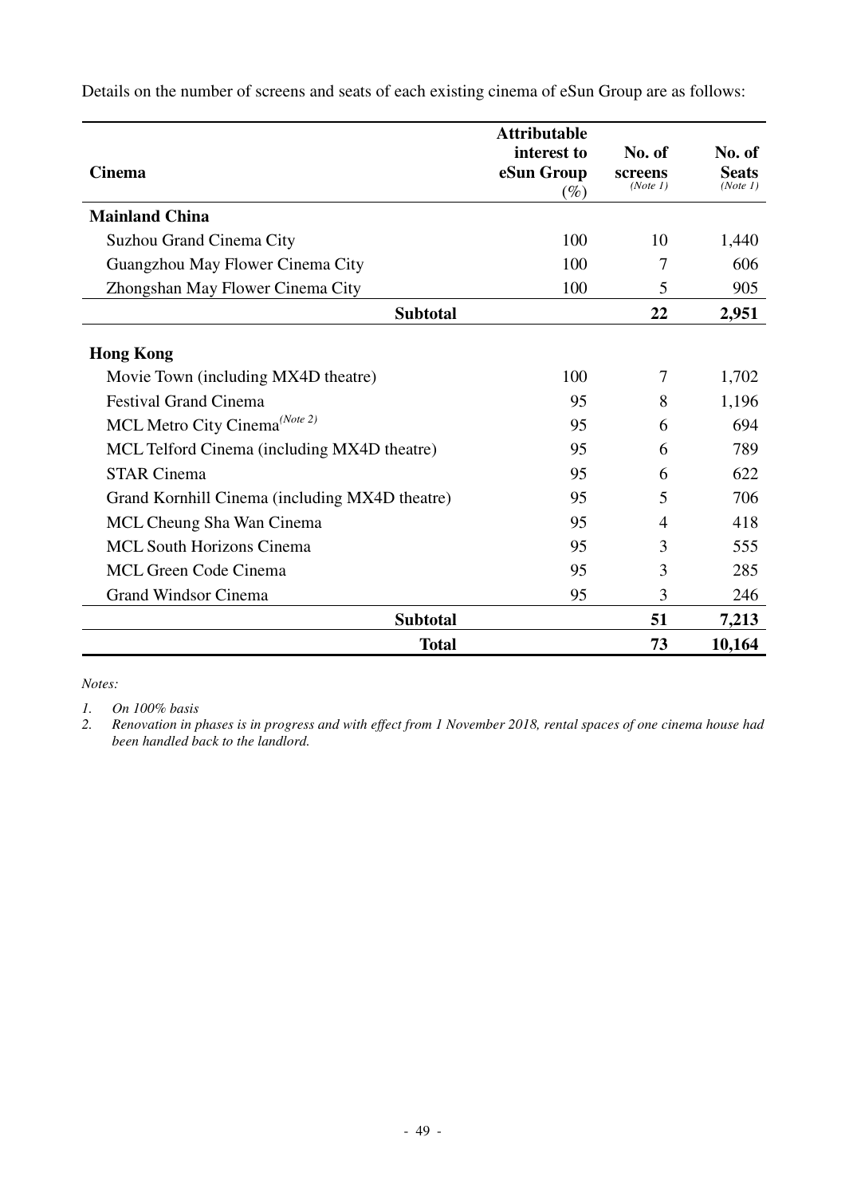| <b>Cinema</b>                                  | <b>Attributable</b><br>interest to<br>eSun Group<br>$(\%)$ | No. of<br>screens<br>(Note 1) | No. of<br><b>Seats</b><br>(Note 1) |
|------------------------------------------------|------------------------------------------------------------|-------------------------------|------------------------------------|
| <b>Mainland China</b>                          |                                                            |                               |                                    |
| Suzhou Grand Cinema City                       | 100                                                        | 10                            | 1,440                              |
| Guangzhou May Flower Cinema City               | 100                                                        | 7                             | 606                                |
| Zhongshan May Flower Cinema City               | 100                                                        | 5                             | 905                                |
| <b>Subtotal</b>                                |                                                            | 22                            | 2,951                              |
| <b>Hong Kong</b>                               |                                                            |                               |                                    |
| Movie Town (including MX4D theatre)            | 100                                                        | 7                             | 1,702                              |
| <b>Festival Grand Cinema</b>                   | 95                                                         | 8                             | 1,196                              |
| MCL Metro City Cinema <sup>(Note 2)</sup>      | 95                                                         | 6                             | 694                                |
| MCL Telford Cinema (including MX4D theatre)    | 95                                                         | 6                             | 789                                |
| <b>STAR Cinema</b>                             | 95                                                         | 6                             | 622                                |
| Grand Kornhill Cinema (including MX4D theatre) | 95                                                         | 5                             | 706                                |
| MCL Cheung Sha Wan Cinema                      | 95                                                         | 4                             | 418                                |
| <b>MCL South Horizons Cinema</b>               | 95                                                         | 3                             | 555                                |
| <b>MCL Green Code Cinema</b>                   | 95                                                         | 3                             | 285                                |
| <b>Grand Windsor Cinema</b>                    | 95                                                         | 3                             | 246                                |
| <b>Subtotal</b>                                |                                                            | 51                            | 7,213                              |
| <b>Total</b>                                   |                                                            | 73                            | 10,164                             |

Details on the number of screens and seats of each existing cinema of eSun Group are as follows:

*Notes:* 

*1. On 100% basis* 

*2. Renovation in phases is in progress and with effect from 1 November 2018, rental spaces of one cinema house had been handled back to the landlord.*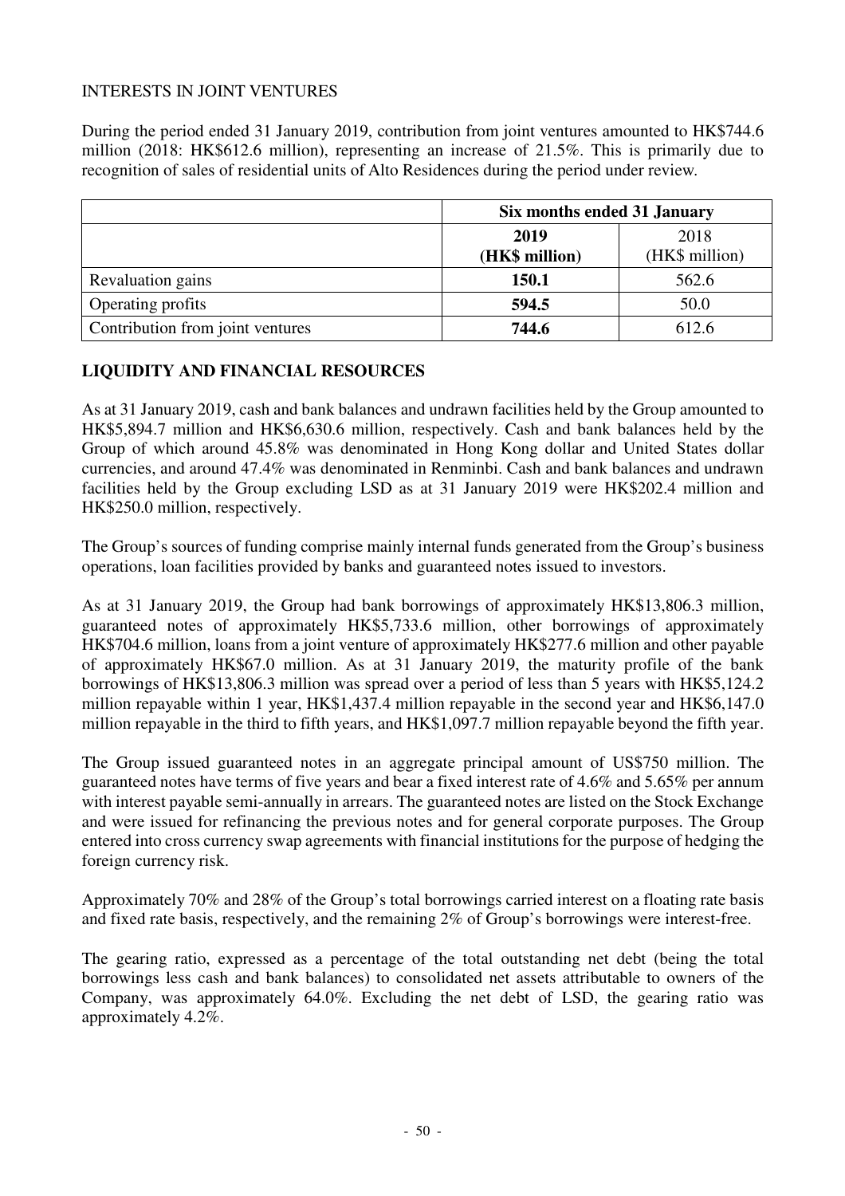## INTERESTS IN JOINT VENTURES

During the period ended 31 January 2019, contribution from joint ventures amounted to HK\$744.6 million (2018: HK\$612.6 million), representing an increase of 21.5%. This is primarily due to recognition of sales of residential units of Alto Residences during the period under review.

|                                  | Six months ended 31 January |                |  |  |
|----------------------------------|-----------------------------|----------------|--|--|
|                                  | 2018<br>2019                |                |  |  |
|                                  | (HK\$ million)              | (HK\$ million) |  |  |
| Revaluation gains                | 150.1                       | 562.6          |  |  |
| Operating profits                | 594.5                       | 50.0           |  |  |
| Contribution from joint ventures | 744.6                       | 612.6          |  |  |

## **LIQUIDITY AND FINANCIAL RESOURCES**

As at 31 January 2019, cash and bank balances and undrawn facilities held by the Group amounted to HK\$5,894.7 million and HK\$6,630.6 million, respectively. Cash and bank balances held by the Group of which around 45.8% was denominated in Hong Kong dollar and United States dollar currencies, and around 47.4% was denominated in Renminbi. Cash and bank balances and undrawn facilities held by the Group excluding LSD as at 31 January 2019 were HK\$202.4 million and HK\$250.0 million, respectively.

The Group's sources of funding comprise mainly internal funds generated from the Group's business operations, loan facilities provided by banks and guaranteed notes issued to investors.

As at 31 January 2019, the Group had bank borrowings of approximately HK\$13,806.3 million, guaranteed notes of approximately HK\$5,733.6 million, other borrowings of approximately HK\$704.6 million, loans from a joint venture of approximately HK\$277.6 million and other payable of approximately HK\$67.0 million. As at 31 January 2019, the maturity profile of the bank borrowings of HK\$13,806.3 million was spread over a period of less than 5 years with HK\$5,124.2 million repayable within 1 year, HK\$1,437.4 million repayable in the second year and HK\$6,147.0 million repayable in the third to fifth years, and HK\$1,097.7 million repayable beyond the fifth year.

The Group issued guaranteed notes in an aggregate principal amount of US\$750 million. The guaranteed notes have terms of five years and bear a fixed interest rate of 4.6% and 5.65% per annum with interest payable semi-annually in arrears. The guaranteed notes are listed on the Stock Exchange and were issued for refinancing the previous notes and for general corporate purposes. The Group entered into cross currency swap agreements with financial institutions for the purpose of hedging the foreign currency risk.

Approximately 70% and 28% of the Group's total borrowings carried interest on a floating rate basis and fixed rate basis, respectively, and the remaining 2% of Group's borrowings were interest-free.

The gearing ratio, expressed as a percentage of the total outstanding net debt (being the total borrowings less cash and bank balances) to consolidated net assets attributable to owners of the Company, was approximately 64.0%. Excluding the net debt of LSD, the gearing ratio was approximately 4.2%.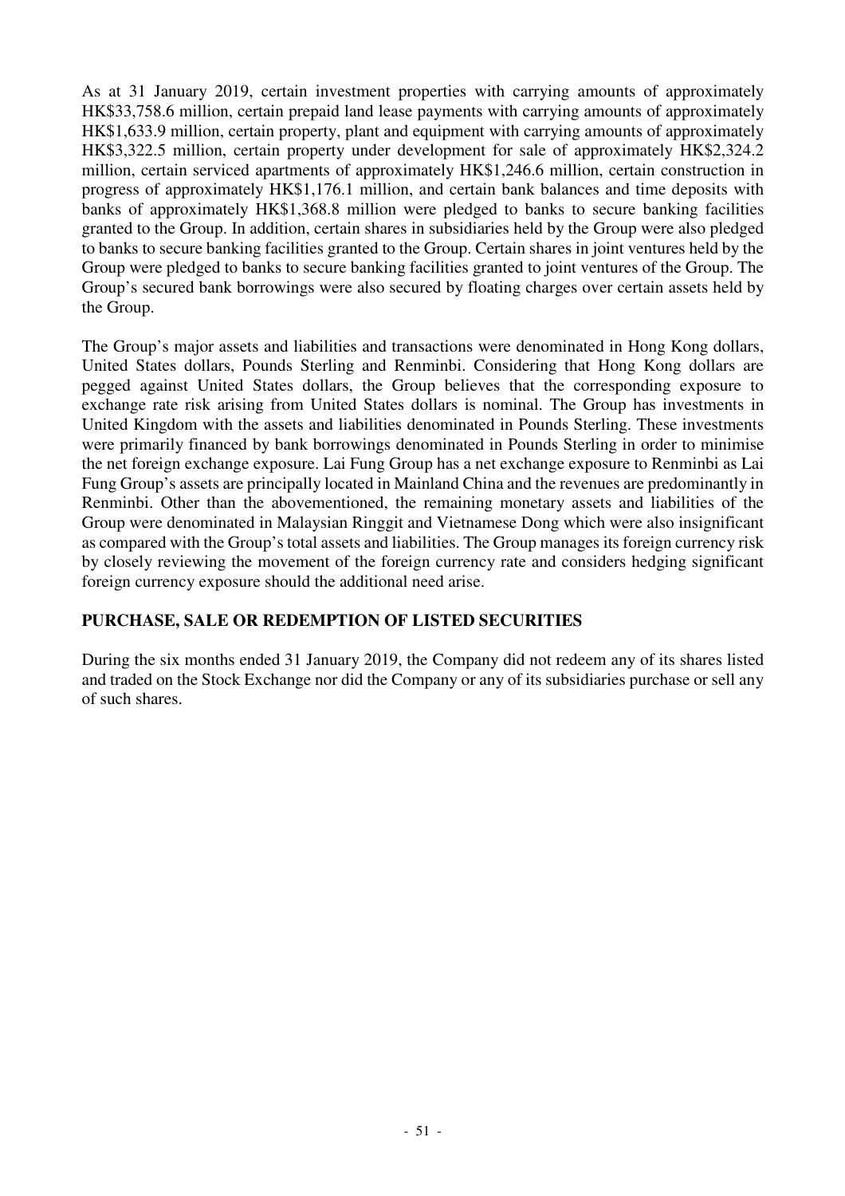As at 31 January 2019, certain investment properties with carrying amounts of approximately HK\$33,758.6 million, certain prepaid land lease payments with carrying amounts of approximately HK\$1,633.9 million, certain property, plant and equipment with carrying amounts of approximately HK\$3,322.5 million, certain property under development for sale of approximately HK\$2,324.2 million, certain serviced apartments of approximately HK\$1,246.6 million, certain construction in progress of approximately HK\$1,176.1 million, and certain bank balances and time deposits with banks of approximately HK\$1,368.8 million were pledged to banks to secure banking facilities granted to the Group. In addition, certain shares in subsidiaries held by the Group were also pledged to banks to secure banking facilities granted to the Group. Certain shares in joint ventures held by the Group were pledged to banks to secure banking facilities granted to joint ventures of the Group. The Group's secured bank borrowings were also secured by floating charges over certain assets held by the Group.

The Group's major assets and liabilities and transactions were denominated in Hong Kong dollars, United States dollars, Pounds Sterling and Renminbi. Considering that Hong Kong dollars are pegged against United States dollars, the Group believes that the corresponding exposure to exchange rate risk arising from United States dollars is nominal. The Group has investments in United Kingdom with the assets and liabilities denominated in Pounds Sterling. These investments were primarily financed by bank borrowings denominated in Pounds Sterling in order to minimise the net foreign exchange exposure. Lai Fung Group has a net exchange exposure to Renminbi as Lai Fung Group's assets are principally located in Mainland China and the revenues are predominantly in Renminbi. Other than the abovementioned, the remaining monetary assets and liabilities of the Group were denominated in Malaysian Ringgit and Vietnamese Dong which were also insignificant as compared with the Group's total assets and liabilities. The Group manages its foreign currency risk by closely reviewing the movement of the foreign currency rate and considers hedging significant foreign currency exposure should the additional need arise.

## **PURCHASE, SALE OR REDEMPTION OF LISTED SECURITIES**

During the six months ended 31 January 2019, the Company did not redeem any of its shares listed and traded on the Stock Exchange nor did the Company or any of its subsidiaries purchase or sell any of such shares.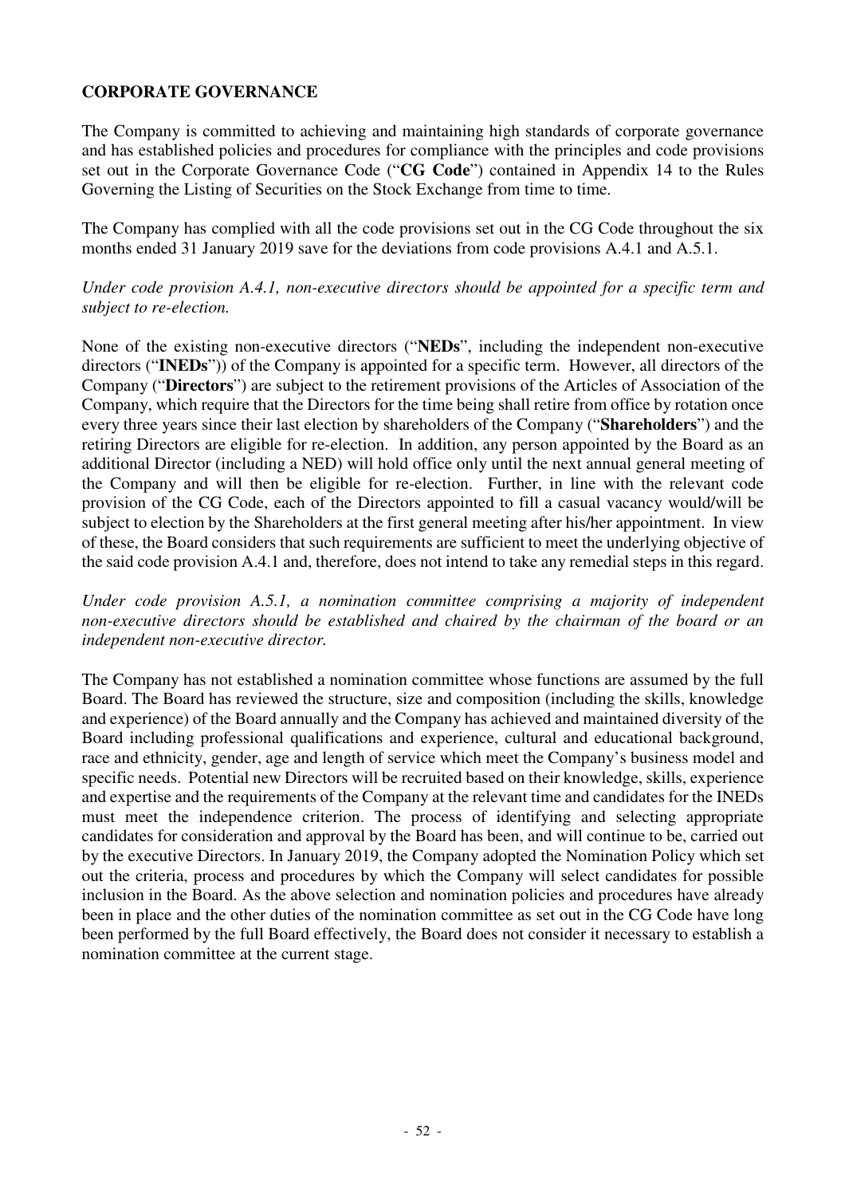## **CORPORATE GOVERNANCE**

The Company is committed to achieving and maintaining high standards of corporate governance and has established policies and procedures for compliance with the principles and code provisions set out in the Corporate Governance Code ("**CG Code**") contained in Appendix 14 to the Rules Governing the Listing of Securities on the Stock Exchange from time to time.

The Company has complied with all the code provisions set out in the CG Code throughout the six months ended 31 January 2019 save for the deviations from code provisions A.4.1 and A.5.1.

## *Under code provision A.4.1, non-executive directors should be appointed for a specific term and subject to re-election.*

None of the existing non-executive directors ("**NEDs**", including the independent non-executive directors ("**INEDs**")) of the Company is appointed for a specific term. However, all directors of the Company ("**Directors**") are subject to the retirement provisions of the Articles of Association of the Company, which require that the Directors for the time being shall retire from office by rotation once every three years since their last election by shareholders of the Company ("**Shareholders**") and the retiring Directors are eligible for re-election. In addition, any person appointed by the Board as an additional Director (including a NED) will hold office only until the next annual general meeting of the Company and will then be eligible for re-election. Further, in line with the relevant code provision of the CG Code, each of the Directors appointed to fill a casual vacancy would/will be subject to election by the Shareholders at the first general meeting after his/her appointment. In view of these, the Board considers that such requirements are sufficient to meet the underlying objective of the said code provision A.4.1 and, therefore, does not intend to take any remedial steps in this regard.

*Under code provision A.5.1, a nomination committee comprising a majority of independent non-executive directors should be established and chaired by the chairman of the board or an independent non-executive director.* 

The Company has not established a nomination committee whose functions are assumed by the full Board. The Board has reviewed the structure, size and composition (including the skills, knowledge and experience) of the Board annually and the Company has achieved and maintained diversity of the Board including professional qualifications and experience, cultural and educational background, race and ethnicity, gender, age and length of service which meet the Company's business model and specific needs. Potential new Directors will be recruited based on their knowledge, skills, experience and expertise and the requirements of the Company at the relevant time and candidates for the INEDs must meet the independence criterion. The process of identifying and selecting appropriate candidates for consideration and approval by the Board has been, and will continue to be, carried out by the executive Directors. In January 2019, the Company adopted the Nomination Policy which set out the criteria, process and procedures by which the Company will select candidates for possible inclusion in the Board. As the above selection and nomination policies and procedures have already been in place and the other duties of the nomination committee as set out in the CG Code have long been performed by the full Board effectively, the Board does not consider it necessary to establish a nomination committee at the current stage.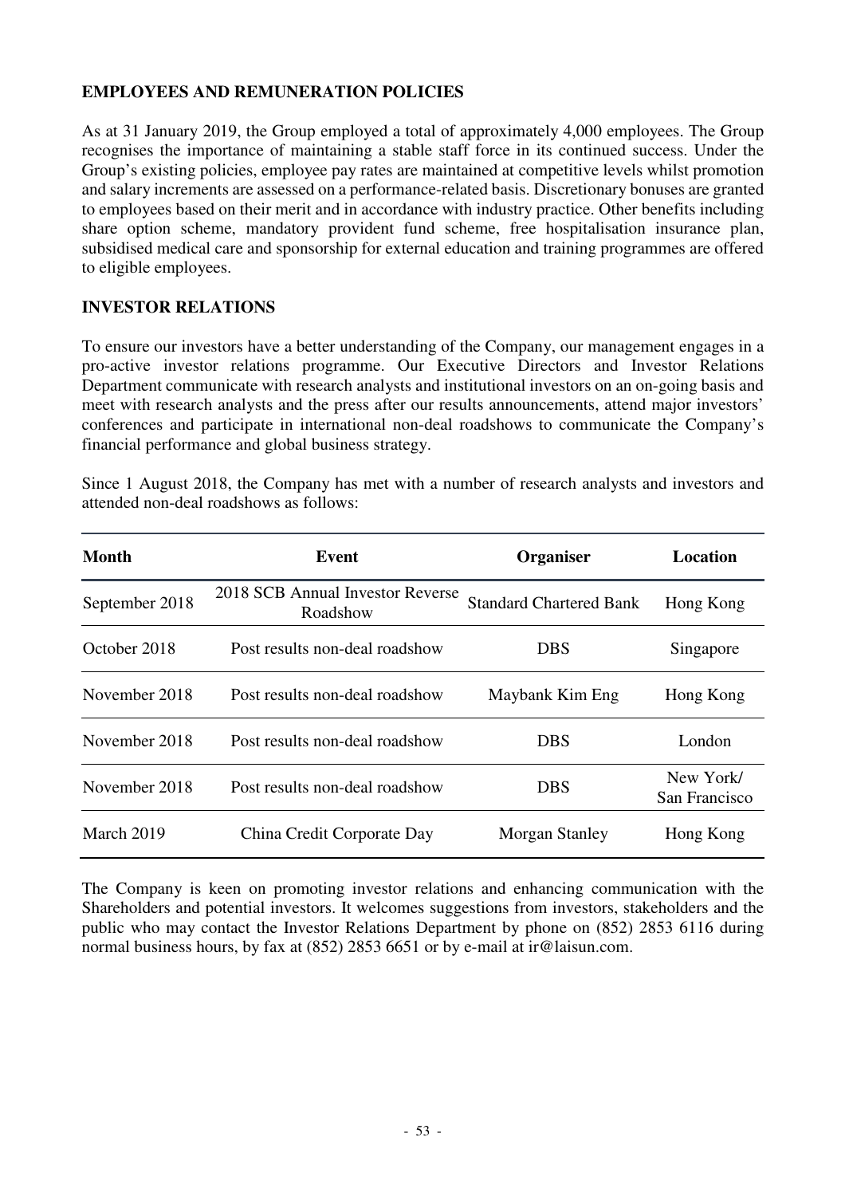## **EMPLOYEES AND REMUNERATION POLICIES**

As at 31 January 2019, the Group employed a total of approximately 4,000 employees. The Group recognises the importance of maintaining a stable staff force in its continued success. Under the Group's existing policies, employee pay rates are maintained at competitive levels whilst promotion and salary increments are assessed on a performance-related basis. Discretionary bonuses are granted to employees based on their merit and in accordance with industry practice. Other benefits including share option scheme, mandatory provident fund scheme, free hospitalisation insurance plan, subsidised medical care and sponsorship for external education and training programmes are offered to eligible employees.

## **INVESTOR RELATIONS**

To ensure our investors have a better understanding of the Company, our management engages in a pro-active investor relations programme. Our Executive Directors and Investor Relations Department communicate with research analysts and institutional investors on an on-going basis and meet with research analysts and the press after our results announcements, attend major investors' conferences and participate in international non-deal roadshows to communicate the Company's financial performance and global business strategy.

Since 1 August 2018, the Company has met with a number of research analysts and investors and attended non-deal roadshows as follows:

| <b>Month</b>   | <b>Event</b>                                 | Organiser                      | <b>Location</b>            |
|----------------|----------------------------------------------|--------------------------------|----------------------------|
| September 2018 | 2018 SCB Annual Investor Reverse<br>Roadshow | <b>Standard Chartered Bank</b> | Hong Kong                  |
| October 2018   | Post results non-deal roadshow               | <b>DBS</b>                     | Singapore                  |
| November 2018  | Post results non-deal roadshow               | Maybank Kim Eng                | Hong Kong                  |
| November 2018  | Post results non-deal roadshow               | <b>DBS</b>                     | London                     |
| November 2018  | Post results non-deal roadshow               | <b>DBS</b>                     | New York/<br>San Francisco |
| March 2019     | China Credit Corporate Day                   | Morgan Stanley                 | Hong Kong                  |

The Company is keen on promoting investor relations and enhancing communication with the Shareholders and potential investors. It welcomes suggestions from investors, stakeholders and the public who may contact the Investor Relations Department by phone on (852) 2853 6116 during normal business hours, by fax at (852) 2853 6651 or by e-mail at ir@laisun.com.